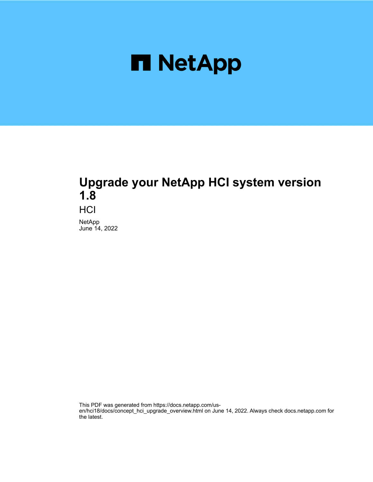

# **Upgrade your NetApp HCI system version 1.8**

**HCI** 

NetApp June 14, 2022

This PDF was generated from https://docs.netapp.com/usen/hci18/docs/concept\_hci\_upgrade\_overview.html on June 14, 2022. Always check docs.netapp.com for the latest.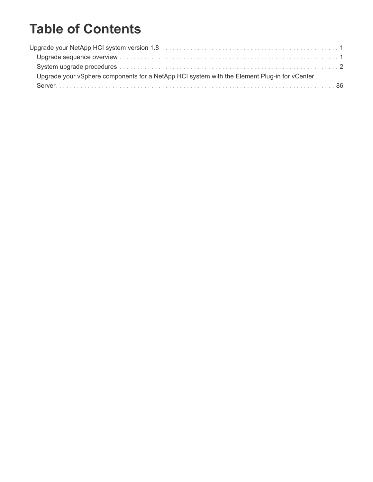# **Table of Contents**

| Upgrade your vSphere components for a NetApp HCI system with the Element Plug-in for vCenter |  |
|----------------------------------------------------------------------------------------------|--|
|                                                                                              |  |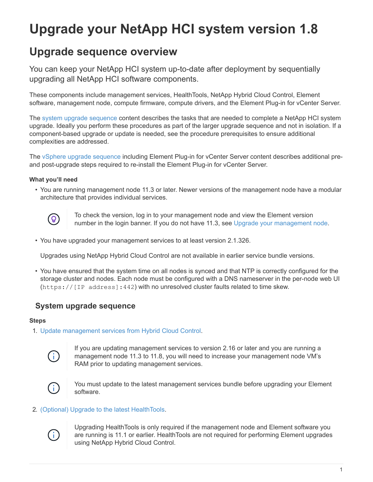# <span id="page-2-0"></span>**Upgrade your NetApp HCI system version 1.8**

# <span id="page-2-1"></span>**Upgrade sequence overview**

You can keep your NetApp HCI system up-to-date after deployment by sequentially upgrading all NetApp HCI software components.

These components include management services, HealthTools, NetApp Hybrid Cloud Control, Element software, management node, compute firmware, compute drivers, and the Element Plug-in for vCenter Server.

The [system upgrade sequence](#page-2-2) content describes the tasks that are needed to complete a NetApp HCI system upgrade. Ideally you perform these procedures as part of the larger upgrade sequence and not in isolation. If a component-based upgrade or update is needed, see the procedure prerequisites to ensure additional complexities are addressed.

The [vSphere upgrade sequence](#page-87-0) including Element Plug-in for vCenter Server content describes additional preand post-upgrade steps required to re-install the Element Plug-in for vCenter Server.

# **What you'll need**

• You are running management node 11.3 or later. Newer versions of the management node have a modular architecture that provides individual services.



To check the version, log in to your management node and view the Element version number in the login banner. If you do not have 11.3, see [Upgrade your management node.](#page-47-0)

• You have upgraded your management services to at least version 2.1.326.

Upgrades using NetApp Hybrid Cloud Control are not available in earlier service bundle versions.

• You have ensured that the system time on all nodes is synced and that NTP is correctly configured for the storage cluster and nodes. Each node must be configured with a DNS nameserver in the per-node web UI (https://[IP address]:442) with no unresolved cluster faults related to time skew.

# <span id="page-2-2"></span>**System upgrade sequence**

#### **Steps**

1. [Update management services from Hybrid Cloud Control.](#page-3-1)



If you are updating management services to version 2.16 or later and you are running a management node 11.3 to 11.8, you will need to increase your management node VM's RAM prior to updating management services.



You must update to the latest management services bundle before upgrading your Element software.

# 2. [\(Optional\) Upgrade to the latest HealthTools](#page-7-0).



Upgrading HealthTools is only required if the management node and Element software you are running is 11.1 or earlier. HealthTools are not required for performing Element upgrades using NetApp Hybrid Cloud Control.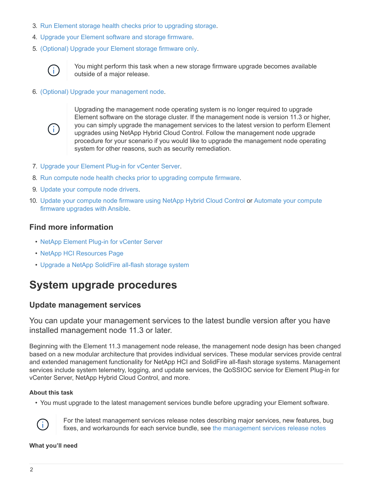- 3. [Run Element storage health checks prior to upgrading storage.](#page-9-0)
- 4. [Upgrade your Element software and storage firmware](#page-17-0).
- 5. [\(Optional\) Upgrade your Element storage firmware only](#page-36-0).



You might perform this task when a new storage firmware upgrade becomes available outside of a major release.

6. [\(Optional\) Upgrade your management node](#page-47-0).



Upgrading the management node operating system is no longer required to upgrade Element software on the storage cluster. If the management node is version 11.3 or higher, you can simply upgrade the management services to the latest version to perform Element upgrades using NetApp Hybrid Cloud Control. Follow the management node upgrade procedure for your scenario if you would like to upgrade the management node operating system for other reasons, such as security remediation.

- 7. [Upgrade your Element Plug-in for vCenter Server](#page-59-0).
- 8. [Run compute node health checks prior to upgrading compute firmware](#page-63-0).
- 9. [Update your compute node drivers](#page-69-0).
- 10. [Update your compute node firmware using NetApp Hybrid Cloud Control](#page-71-0) or [Automate your compute](https://docs.netapp.com/us-en/hci18/docs/task_hcc_upgrade_compute_firmware_ansible.html) [firmware upgrades with Ansible](https://docs.netapp.com/us-en/hci18/docs/task_hcc_upgrade_compute_firmware_ansible.html).

# **Find more information**

- [NetApp Element Plug-in for vCenter Server](https://docs.netapp.com/us-en/vcp/index.html)
- [NetApp HCI Resources Page](https://www.netapp.com/hybrid-cloud/hci-documentation/)
- [Upgrade a NetApp SolidFire all-flash storage system](https://docs.netapp.com/us-en/element-software/upgrade/task_sf_upgrade_all.html)

# <span id="page-3-0"></span>**System upgrade procedures**

# <span id="page-3-1"></span>**Update management services**

You can update your management services to the latest bundle version after you have installed management node 11.3 or later.

Beginning with the Element 11.3 management node release, the management node design has been changed based on a new modular architecture that provides individual services. These modular services provide central and extended management functionality for NetApp HCI and SolidFire all-flash storage systems. Management services include system telemetry, logging, and update services, the QoSSIOC service for Element Plug-in for vCenter Server, NetApp Hybrid Cloud Control, and more.

# **About this task**

• You must upgrade to the latest management services bundle before upgrading your Element software.



For the latest management services release notes describing major services, new features, bug fixes, and workarounds for each service bundle, see [the management services release notes](https://kb.netapp.com/Advice_and_Troubleshooting/Data_Storage_Software/Management_services_for_Element_Software_and_NetApp_HCI/Management_Services_Release_Notes)

#### **What you'll need**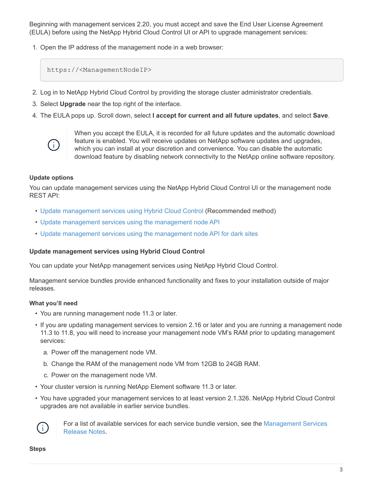Beginning with management services 2.20, you must accept and save the End User License Agreement (EULA) before using the NetApp Hybrid Cloud Control UI or API to upgrade management services:

1. Open the IP address of the management node in a web browser:

https://<ManagementNodeIP>

- 2. Log in to NetApp Hybrid Cloud Control by providing the storage cluster administrator credentials.
- 3. Select **Upgrade** near the top right of the interface.
- 4. The EULA pops up. Scroll down, select **I accept for current and all future updates**, and select **Save**.



When you accept the EULA, it is recorded for all future updates and the automatic download feature is enabled. You will receive updates on NetApp software updates and upgrades, which you can install at your discretion and convenience. You can disable the automatic download feature by disabling network connectivity to the NetApp online software repository.

# **Update options**

You can update management services using the NetApp Hybrid Cloud Control UI or the management node REST API:

- [Update management services using Hybrid Cloud Control](#page-4-0) (Recommended method)
- [Update management services using the management node API](#page-5-0)
- [Update management services using the management node API for dark sites](#page-6-0)

# <span id="page-4-0"></span>**Update management services using Hybrid Cloud Control**

You can update your NetApp management services using NetApp Hybrid Cloud Control.

Management service bundles provide enhanced functionality and fixes to your installation outside of major releases.

# **What you'll need**

- You are running management node 11.3 or later.
- If you are updating management services to version 2.16 or later and you are running a management node 11.3 to 11.8, you will need to increase your management node VM's RAM prior to updating management services:
	- a. Power off the management node VM.
	- b. Change the RAM of the management node VM from 12GB to 24GB RAM.
	- c. Power on the management node VM.
- Your cluster version is running NetApp Element software 11.3 or later.
- You have upgraded your management services to at least version 2.1.326. NetApp Hybrid Cloud Control upgrades are not available in earlier service bundles.



For a list of available services for each service bundle version, see the [Management Services](https://kb.netapp.com/Advice_and_Troubleshooting/Data_Storage_Software/Management_services_for_Element_Software_and_NetApp_HCI/Management_Services_Release_Notes) [Release Notes](https://kb.netapp.com/Advice_and_Troubleshooting/Data_Storage_Software/Management_services_for_Element_Software_and_NetApp_HCI/Management_Services_Release_Notes).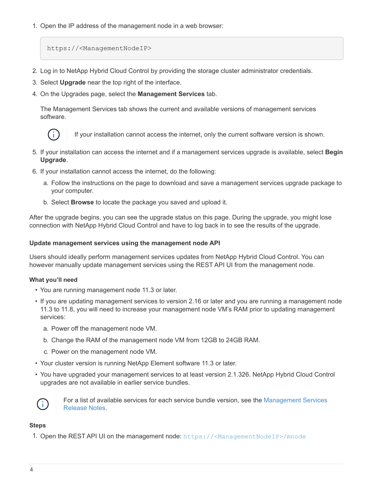1. Open the IP address of the management node in a web browser:

https://<ManagementNodeIP>

- 2. Log in to NetApp Hybrid Cloud Control by providing the storage cluster administrator credentials.
- 3. Select **Upgrade** near the top right of the interface.
- 4. On the Upgrades page, select the **Management Services** tab.

The Management Services tab shows the current and available versions of management services software.



If your installation cannot access the internet, only the current software version is shown.

- 5. If your installation can access the internet and if a management services upgrade is available, select **Begin Upgrade**.
- 6. If your installation cannot access the internet, do the following:
	- a. Follow the instructions on the page to download and save a management services upgrade package to your computer.
	- b. Select **Browse** to locate the package you saved and upload it.

After the upgrade begins, you can see the upgrade status on this page. During the upgrade, you might lose connection with NetApp Hybrid Cloud Control and have to log back in to see the results of the upgrade.

# <span id="page-5-0"></span>**Update management services using the management node API**

Users should ideally perform management services updates from NetApp Hybrid Cloud Control. You can however manually update management services using the REST API UI from the management node.

# **What you'll need**

- You are running management node 11.3 or later.
- If you are updating management services to version 2.16 or later and you are running a management node 11.3 to 11.8, you will need to increase your management node VM's RAM prior to updating management services:
	- a. Power off the management node VM.
	- b. Change the RAM of the management node VM from 12GB to 24GB RAM.
	- c. Power on the management node VM.
- Your cluster version is running NetApp Element software 11.3 or later.
- You have upgraded your management services to at least version 2.1.326. NetApp Hybrid Cloud Control upgrades are not available in earlier service bundles.



For a list of available services for each service bundle version, see the [Management Services](https://kb.netapp.com/Advice_and_Troubleshooting/Data_Storage_Software/Management_services_for_Element_Software_and_NetApp_HCI/Management_Services_Release_Notes) [Release Notes](https://kb.netapp.com/Advice_and_Troubleshooting/Data_Storage_Software/Management_services_for_Element_Software_and_NetApp_HCI/Management_Services_Release_Notes).

# **Steps**

1. Open the REST API UI on the management node: <https://<ManagementNodeIP>/mnode>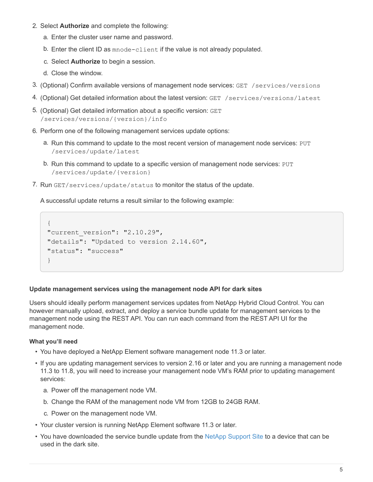- 2. Select **Authorize** and complete the following:
	- a. Enter the cluster user name and password.
	- b. Enter the client ID as mnode-client if the value is not already populated.
	- c. Select **Authorize** to begin a session.
	- d. Close the window.
- 3. (Optional) Confirm available versions of management node services: GET /services/versions
- 4. (Optional) Get detailed information about the latest version: GET /services/versions/latest
- 5. (Optional) Get detailed information about a specific version: GET /services/versions/{version}/info
- 6. Perform one of the following management services update options:
	- a. Run this command to update to the most recent version of management node services: PUT /services/update/latest
	- b. Run this command to update to a specific version of management node services: PUT /services/update/{version}
- 7. Run  $GET/series/update/status$  to monitor the status of the update.

A successful update returns a result similar to the following example:

```
{
"current version": "2.10.29",
"details": "Updated to version 2.14.60",
"status": "success"
}
```
# <span id="page-6-0"></span>**Update management services using the management node API for dark sites**

Users should ideally perform management services updates from NetApp Hybrid Cloud Control. You can however manually upload, extract, and deploy a service bundle update for management services to the management node using the REST API. You can run each command from the REST API UI for the management node.

# **What you'll need**

- You have deployed a NetApp Element software management node 11.3 or later.
- If you are updating management services to version 2.16 or later and you are running a management node 11.3 to 11.8, you will need to increase your management node VM's RAM prior to updating management services:
	- a. Power off the management node VM.
	- b. Change the RAM of the management node VM from 12GB to 24GB RAM.
	- c. Power on the management node VM.
- Your cluster version is running NetApp Element software 11.3 or later.
- You have downloaded the service bundle update from the [NetApp Support Site](https://mysupport.netapp.com/site/products/all/details/mgmtservices/downloads-tab) to a device that can be used in the dark site.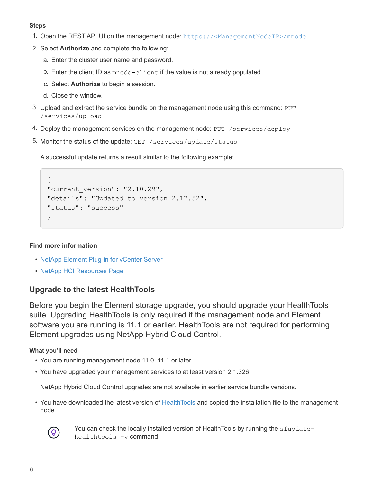# **Steps**

- 1. Open the REST API UI on the management node: <https://<ManagementNodeIP>/mnode>
- 2. Select **Authorize** and complete the following:
	- a. Enter the cluster user name and password.
	- b. Enter the client ID as mnode-client if the value is not already populated.
	- c. Select **Authorize** to begin a session.
	- d. Close the window.
- 3. Upload and extract the service bundle on the management node using this command: PUT /services/upload
- 4. Deploy the management services on the management node: PUT /services/deploy
- 5. Monitor the status of the update: GET /services/update/status

A successful update returns a result similar to the following example:

```
{
"current version": "2.10.29",
"details": "Updated to version 2.17.52",
"status": "success"
}
```
# **Find more information**

- [NetApp Element Plug-in for vCenter Server](https://docs.netapp.com/us-en/vcp/index.html)
- [NetApp HCI Resources Page](https://www.netapp.com/hybrid-cloud/hci-documentation/)

# <span id="page-7-0"></span>**Upgrade to the latest HealthTools**

Before you begin the Element storage upgrade, you should upgrade your HealthTools suite. Upgrading HealthTools is only required if the management node and Element software you are running is 11.1 or earlier. HealthTools are not required for performing Element upgrades using NetApp Hybrid Cloud Control.

# **What you'll need**

- You are running management node 11.0, 11.1 or later.
- You have upgraded your management services to at least version 2.1.326.

NetApp Hybrid Cloud Control upgrades are not available in earlier service bundle versions.

• You have downloaded the latest version of [HealthTools](https://mysupport.netapp.com/site/products/all/details/element-healthtools/downloads-tab) and copied the installation file to the management node.



You can check the locally installed version of HealthTools by running the sfupdatehealthtools -v command.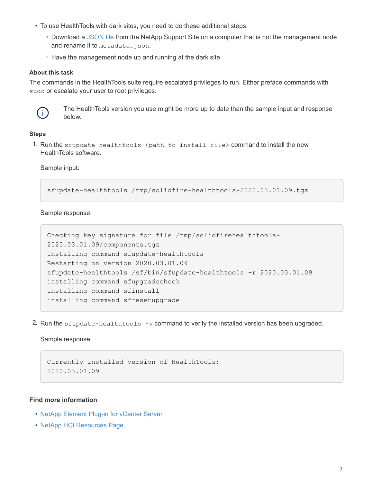- To use HealthTools with dark sites, you need to do these additional steps:
	- Download a [JSON file](https://library.netapp.com/ecm/ecm_get_file/ECMLP2840740) from the NetApp Support Site on a computer that is not the management node and rename it to metadata.json.
	- Have the management node up and running at the dark site.

#### **About this task**

The commands in the HealthTools suite require escalated privileges to run. Either preface commands with sudo or escalate your user to root privileges.



The HealthTools version you use might be more up to date than the sample input and response below.

# **Steps**

1. Run the sfupdate-healthtools  $\zeta$  ath to install file  $>$  command to install the new HealthTools software.

Sample input:

sfupdate-healthtools /tmp/solidfire-healthtools-2020.03.01.09.tgz

Sample response:

```
Checking key signature for file /tmp/solidfirehealthtools-
2020.03.01.09/components.tgz
installing command sfupdate-healthtools
Restarting on version 2020.03.01.09
sfupdate-healthtools /sf/bin/sfupdate-healthtools -r 2020.03.01.09
installing command sfupgradecheck
installing command sfinstall
installing command sfresetupgrade
```
2. Run the sfupdate-healthtools -v command to verify the installed version has been upgraded.

Sample response:

```
Currently installed version of HealthTools:
2020.03.01.09
```
#### **Find more information**

- [NetApp Element Plug-in for vCenter Server](https://docs.netapp.com/us-en/vcp/index.html)
- [NetApp HCI Resources Page](https://www.netapp.com/hybrid-cloud/hci-documentation/)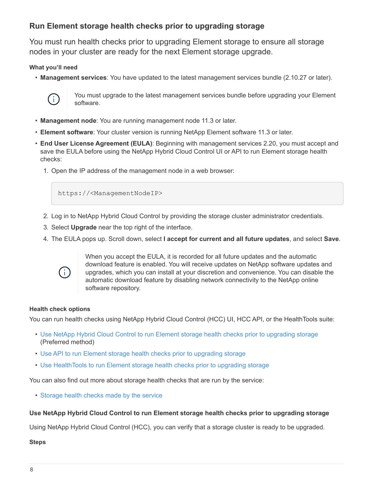# <span id="page-9-0"></span>**Run Element storage health checks prior to upgrading storage**

You must run health checks prior to upgrading Element storage to ensure all storage nodes in your cluster are ready for the next Element storage upgrade.

# **What you'll need**

• **Management services**: You have updated to the latest management services bundle (2.10.27 or later).



You must upgrade to the latest management services bundle before upgrading your Element software.

- **Management node**: You are running management node 11.3 or later.
- **Element software**: Your cluster version is running NetApp Element software 11.3 or later.
- **End User License Agreement (EULA)**: Beginning with management services 2.20, you must accept and save the EULA before using the NetApp Hybrid Cloud Control UI or API to run Element storage health checks:
	- 1. Open the IP address of the management node in a web browser:

https://<ManagementNodeIP>

- 2. Log in to NetApp Hybrid Cloud Control by providing the storage cluster administrator credentials.
- 3. Select **Upgrade** near the top right of the interface.
- 4. The EULA pops up. Scroll down, select **I accept for current and all future updates**, and select **Save**.



When you accept the EULA, it is recorded for all future updates and the automatic download feature is enabled. You will receive updates on NetApp software updates and upgrades, which you can install at your discretion and convenience. You can disable the automatic download feature by disabling network connectivity to the NetApp online software repository.

# **Health check options**

You can run health checks using NetApp Hybrid Cloud Control (HCC) UI, HCC API, or the HealthTools suite:

- [Use NetApp Hybrid Cloud Control to run Element storage health checks prior to upgrading storage](#page-9-1) (Preferred method)
- [Use API to run Element storage health checks prior to upgrading storage](#page-10-0)
- [Use HealthTools to run Element storage health checks prior to upgrading storage](#page-13-0)

You can also find out more about storage health checks that are run by the service:

• [Storage health checks made by the service](#page-16-0)

# <span id="page-9-1"></span>**Use NetApp Hybrid Cloud Control to run Element storage health checks prior to upgrading storage**

Using NetApp Hybrid Cloud Control (HCC), you can verify that a storage cluster is ready to be upgraded.

# **Steps**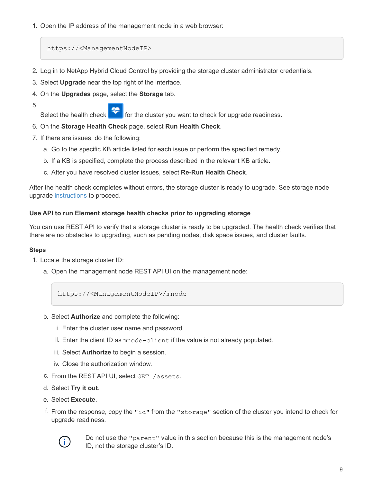1. Open the IP address of the management node in a web browser:

https://<ManagementNodeIP>

- 2. Log in to NetApp Hybrid Cloud Control by providing the storage cluster administrator credentials.
- 3. Select **Upgrade** near the top right of the interface.
- 4. On the **Upgrades** page, select the **Storage** tab.
- 5.

Select the health check  $\blacksquare$  for the cluster you want to check for upgrade readiness.

- 6. On the **Storage Health Check** page, select **Run Health Check**.
- 7. If there are issues, do the following:
	- a. Go to the specific KB article listed for each issue or perform the specified remedy.
	- b. If a KB is specified, complete the process described in the relevant KB article.
	- c. After you have resolved cluster issues, select **Re-Run Health Check**.

After the health check completes without errors, the storage cluster is ready to upgrade. See storage node upgrade [instructions](#page-17-0) to proceed.

# <span id="page-10-0"></span>**Use API to run Element storage health checks prior to upgrading storage**

You can use REST API to verify that a storage cluster is ready to be upgraded. The health check verifies that there are no obstacles to upgrading, such as pending nodes, disk space issues, and cluster faults.

# **Steps**

- 1. Locate the storage cluster ID:
	- a. Open the management node REST API UI on the management node:

https://<ManagementNodeIP>/mnode

- b. Select **Authorize** and complete the following:
	- i. Enter the cluster user name and password.
	- ii. Enter the client ID as mnode-client if the value is not already populated.
	- iii. Select **Authorize** to begin a session.
	- iv. Close the authorization window.
- c. From the REST API UI, select GET /assets.
- d. Select **Try it out**.
- e. Select **Execute**.
- f. From the response, copy the "id" from the "storage" section of the cluster you intend to check for upgrade readiness.



Do not use the "parent" value in this section because this is the management node's ID, not the storage cluster's ID.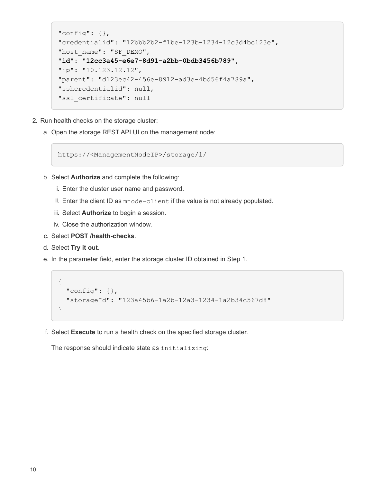```
"config": \{\},
"credentialid": "12bbb2b2-f1be-123b-1234-12c3d4bc123e",
"host name": "SF DEMO",
"id": "12cc3a45-e6e7-8d91-a2bb-0bdb3456b789",
"ip": "10.123.12.12",
"parent": "d123ec42-456e-8912-ad3e-4bd56f4a789a",
"sshcredentialid": null,
"ssl_certificate": null
```
- 2. Run health checks on the storage cluster:
	- a. Open the storage REST API UI on the management node:

https://<ManagementNodeIP>/storage/1/

- b. Select **Authorize** and complete the following:
	- i. Enter the cluster user name and password.
	- ii. Enter the client ID as mnode-client if the value is not already populated.
	- iii. Select **Authorize** to begin a session.
	- iv. Close the authorization window.
- c. Select **POST /health-checks**.
- d. Select **Try it out**.
- e. In the parameter field, enter the storage cluster ID obtained in Step 1.

```
{
    "config": {},
    "storageId": "123a45b6-1a2b-12a3-1234-1a2b34c567d8"
}
```
f. Select **Execute** to run a health check on the specified storage cluster.

The response should indicate state as initializing: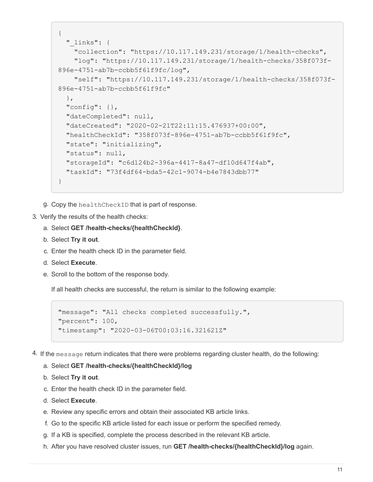```
{
  " links": {
      "collection": "https://10.117.149.231/storage/1/health-checks",
      "log": "https://10.117.149.231/storage/1/health-checks/358f073f-
896e-4751-ab7b-ccbb5f61f9fc/log",
      "self": "https://10.117.149.231/storage/1/health-checks/358f073f-
896e-4751-ab7b-ccbb5f61f9fc"
   },
    "config": {},
    "dateCompleted": null,
    "dateCreated": "2020-02-21T22:11:15.476937+00:00",
    "healthCheckId": "358f073f-896e-4751-ab7b-ccbb5f61f9fc",
    "state": "initializing",
   "status": null,
    "storageId": "c6d124b2-396a-4417-8a47-df10d647f4ab",
    "taskId": "73f4df64-bda5-42c1-9074-b4e7843dbb77"
}
```
g. Copy the healthCheckID that is part of response.

#### 3. Verify the results of the health checks:

- a. Select **GET /health-checks/{healthCheckId}**.
- b. Select **Try it out**.
- c. Enter the health check ID in the parameter field.
- d. Select **Execute**.
- e. Scroll to the bottom of the response body.

If all health checks are successful, the return is similar to the following example:

```
"message": "All checks completed successfully.",
"percent": 100,
"timestamp": "2020-03-06T00:03:16.321621Z"
```
4. If the message return indicates that there were problems regarding cluster health, do the following:

#### a. Select **GET /health-checks/{healthCheckId}/log**

- b. Select **Try it out**.
- c. Enter the health check ID in the parameter field.
- d. Select **Execute**.
- e. Review any specific errors and obtain their associated KB article links.
- f. Go to the specific KB article listed for each issue or perform the specified remedy.
- g. If a KB is specified, complete the process described in the relevant KB article.
- h. After you have resolved cluster issues, run **GET /health-checks/{healthCheckId}/log** again.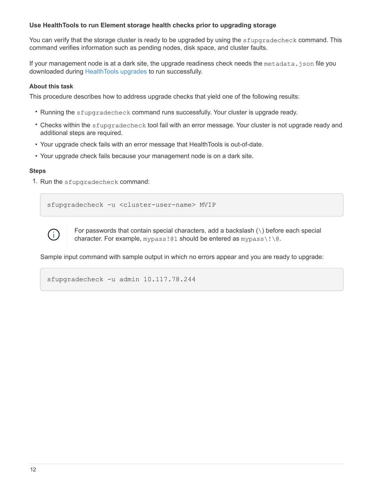# <span id="page-13-0"></span>**Use HealthTools to run Element storage health checks prior to upgrading storage**

You can verify that the storage cluster is ready to be upgraded by using the sfupgradecheck command. This command verifies information such as pending nodes, disk space, and cluster faults.

If your management node is at a dark site, the upgrade readiness check needs the metadata.json file you downloaded during [HealthTools upgrades](#page-7-0) to run successfully.

#### **About this task**

This procedure describes how to address upgrade checks that yield one of the following results:

- Running the sfupgradecheck command runs successfully. Your cluster is upgrade ready.
- Checks within the sfupgradecheck tool fail with an error message. Your cluster is not upgrade ready and additional steps are required.
- Your upgrade check fails with an error message that HealthTools is out-of-date.
- Your upgrade check fails because your management node is on a dark site.

# **Steps**

1. Run the sfupgradecheck command:

sfupgradecheck -u <cluster-user-name> MVIP



For passwords that contain special characters, add a backslash  $(\setminus)$  before each special character. For example, mypass!@1 should be entered as mypass\!\@.

Sample input command with sample output in which no errors appear and you are ready to upgrade:

sfupgradecheck -u admin 10.117.78.244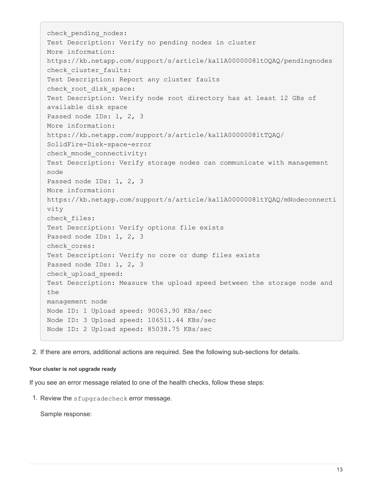check pending nodes: Test Description: Verify no pending nodes in cluster More information: https://kb.netapp.com/support/s/article/ka11A0000008ltOQAQ/pendingnodes check cluster faults: Test Description: Report any cluster faults check root disk space: Test Description: Verify node root directory has at least 12 GBs of available disk space Passed node IDs: 1, 2, 3 More information: https://kb.netapp.com/support/s/article/ka11A0000008ltTQAQ/ SolidFire-Disk-space-error check mnode connectivity: Test Description: Verify storage nodes can communicate with management node Passed node IDs: 1, 2, 3 More information: https://kb.netapp.com/support/s/article/ka11A0000008ltYQAQ/mNodeconnecti vity check\_files: Test Description: Verify options file exists Passed node IDs: 1, 2, 3 check\_cores: Test Description: Verify no core or dump files exists Passed node IDs: 1, 2, 3 check\_upload\_speed: Test Description: Measure the upload speed between the storage node and the management node Node ID: 1 Upload speed: 90063.90 KBs/sec Node ID: 3 Upload speed: 106511.44 KBs/sec Node ID: 2 Upload speed: 85038.75 KBs/sec

2. If there are errors, additional actions are required. See the following sub-sections for details.

#### **Your cluster is not upgrade ready**

If you see an error message related to one of the health checks, follow these steps:

1. Review the sfupgradecheck error message.

Sample response: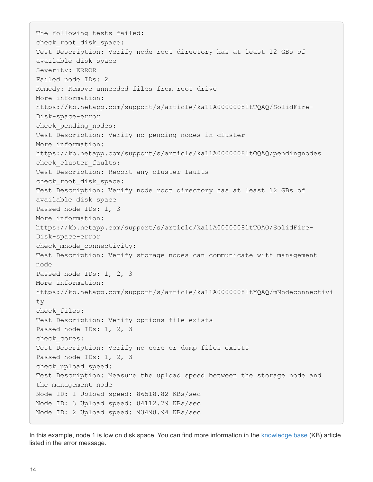The following tests failed: check root disk space: Test Description: Verify node root directory has at least 12 GBs of available disk space Severity: ERROR Failed node IDs: 2 Remedy: Remove unneeded files from root drive More information: https://kb.netapp.com/support/s/article/ka11A0000008ltTQAQ/SolidFire-Disk-space-error check pending nodes: Test Description: Verify no pending nodes in cluster More information: https://kb.netapp.com/support/s/article/ka11A0000008ltOQAQ/pendingnodes check cluster faults: Test Description: Report any cluster faults check root disk space: Test Description: Verify node root directory has at least 12 GBs of available disk space Passed node IDs: 1, 3 More information: https://kb.netapp.com/support/s/article/ka11A0000008ltTQAQ/SolidFire-Disk-space-error check mnode connectivity: Test Description: Verify storage nodes can communicate with management node Passed node IDs: 1, 2, 3 More information: https://kb.netapp.com/support/s/article/ka11A0000008ltYQAQ/mNodeconnectivi ty check\_files: Test Description: Verify options file exists Passed node IDs: 1, 2, 3 check\_cores: Test Description: Verify no core or dump files exists Passed node IDs: 1, 2, 3 check\_upload\_speed: Test Description: Measure the upload speed between the storage node and the management node Node ID: 1 Upload speed: 86518.82 KBs/sec Node ID: 3 Upload speed: 84112.79 KBs/sec Node ID: 2 Upload speed: 93498.94 KBs/sec

In this example, node 1 is low on disk space. You can find more information in the [knowledge base](https://kb.netapp.com) (KB) article listed in the error message.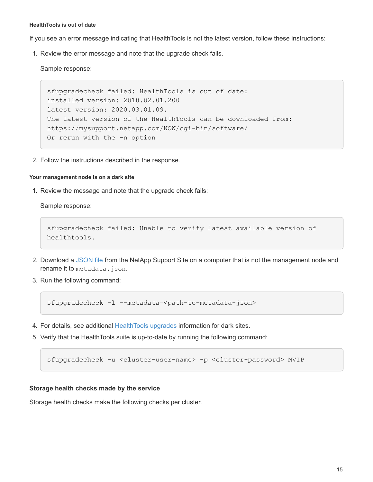#### **HealthTools is out of date**

If you see an error message indicating that HealthTools is not the latest version, follow these instructions:

1. Review the error message and note that the upgrade check fails.

Sample response:

```
sfupgradecheck failed: HealthTools is out of date:
installed version: 2018.02.01.200
latest version: 2020.03.01.09.
The latest version of the HealthTools can be downloaded from:
https://mysupport.netapp.com/NOW/cgi-bin/software/
Or rerun with the -n option
```
2. Follow the instructions described in the response.

#### **Your management node is on a dark site**

1. Review the message and note that the upgrade check fails:

Sample response:

```
sfupgradecheck failed: Unable to verify latest available version of
healthtools.
```
- 2. Download a [JSON file](https://library.netapp.com/ecm/ecm_get_file/ECMLP2840740) from the NetApp Support Site on a computer that is not the management node and rename it to metadata.json.
- 3. Run the following command:

sfupgradecheck -1 --metadata=<path-to-metadata-json>

- 4. For details, see additional [HealthTools upgrades](#page-7-0) information for dark sites.
- 5. Verify that the HealthTools suite is up-to-date by running the following command:

sfupgradecheck -u <cluster-user-name> -p <cluster-password> MVIP

#### <span id="page-16-0"></span>**Storage health checks made by the service**

Storage health checks make the following checks per cluster.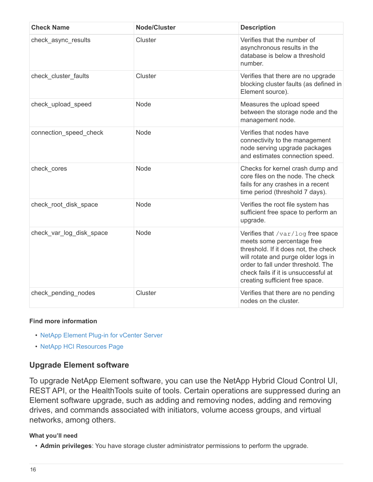| <b>Check Name</b>        | <b>Node/Cluster</b> | <b>Description</b>                                                                                                                                                                                                                                              |
|--------------------------|---------------------|-----------------------------------------------------------------------------------------------------------------------------------------------------------------------------------------------------------------------------------------------------------------|
| check async results      | Cluster             | Verifies that the number of<br>asynchronous results in the<br>database is below a threshold<br>number.                                                                                                                                                          |
| check cluster faults     | Cluster             | Verifies that there are no upgrade<br>blocking cluster faults (as defined in<br>Element source).                                                                                                                                                                |
| check upload speed       | Node                | Measures the upload speed<br>between the storage node and the<br>management node.                                                                                                                                                                               |
| connection speed check   | Node                | Verifies that nodes have<br>connectivity to the management<br>node serving upgrade packages<br>and estimates connection speed.                                                                                                                                  |
| check cores              | Node                | Checks for kernel crash dump and<br>core files on the node. The check<br>fails for any crashes in a recent<br>time period (threshold 7 days).                                                                                                                   |
| check root disk space    | <b>Node</b>         | Verifies the root file system has<br>sufficient free space to perform an<br>upgrade.                                                                                                                                                                            |
| check var log disk space | Node                | Verifies that /var/log free space<br>meets some percentage free<br>threshold. If it does not, the check<br>will rotate and purge older logs in<br>order to fall under threshold. The<br>check fails if it is unsuccessful at<br>creating sufficient free space. |
| check pending nodes      | Cluster             | Verifies that there are no pending<br>nodes on the cluster.                                                                                                                                                                                                     |

# **Find more information**

- [NetApp Element Plug-in for vCenter Server](https://docs.netapp.com/us-en/vcp/index.html)
- [NetApp HCI Resources Page](https://www.netapp.com/hybrid-cloud/hci-documentation/)

# <span id="page-17-0"></span>**Upgrade Element software**

To upgrade NetApp Element software, you can use the NetApp Hybrid Cloud Control UI, REST API, or the HealthTools suite of tools. Certain operations are suppressed during an Element software upgrade, such as adding and removing nodes, adding and removing drives, and commands associated with initiators, volume access groups, and virtual networks, among others.

# **What you'll need**

• **Admin privileges**: You have storage cluster administrator permissions to perform the upgrade.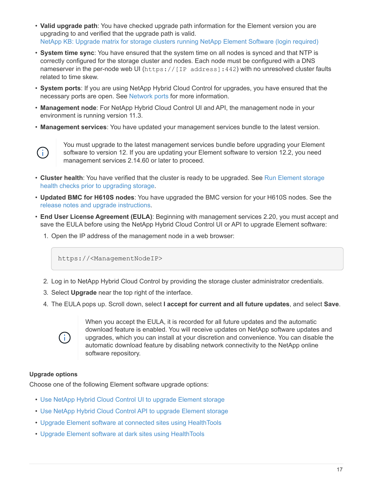- **Valid upgrade path**: You have checked upgrade path information for the Element version you are upgrading to and verified that the upgrade path is valid. [NetApp KB: Upgrade matrix for storage clusters running NetApp Element Software \(login required\)](https://kb.netapp.com/Advice_and_Troubleshooting/Data_Storage_Software/Element_Software/What_is_the_upgrade_matrix_for_storage_clusters_running_NetApp_Element_software%3F)
- **System time sync**: You have ensured that the system time on all nodes is synced and that NTP is correctly configured for the storage cluster and nodes. Each node must be configured with a DNS nameserver in the per-node web UI (https://[IP address]:442) with no unresolved cluster faults related to time skew.
- **System ports**: If you are using NetApp Hybrid Cloud Control for upgrades, you have ensured that the necessary ports are open. See [Network ports](https://docs.netapp.com/us-en/hci18/docs/hci_prereqs_required_network_ports.html) for more information.
- **Management node**: For NetApp Hybrid Cloud Control UI and API, the management node in your environment is running version 11.3.
- **Management services**: You have updated your management services bundle to the latest version.



You must upgrade to the latest management services bundle before upgrading your Element software to version 12. If you are updating your Element software to version 12.2, you need management services 2.14.60 or later to proceed.

- **Cluster health**: You have verified that the cluster is ready to be upgraded. See [Run Element storage](#page-9-0) [health checks prior to upgrading storage](#page-9-0).
- **Updated BMC for H610S nodes**: You have upgraded the BMC version for your H610S nodes. See the [release notes and upgrade instructions](https://docs.netapp.com/us-en/hci18/docs/rn_H610S_BMC_3.84.07.html).
- **End User License Agreement (EULA)**: Beginning with management services 2.20, you must accept and save the EULA before using the NetApp Hybrid Cloud Control UI or API to upgrade Element software:
	- 1. Open the IP address of the management node in a web browser:

https://<ManagementNodeIP>

- 2. Log in to NetApp Hybrid Cloud Control by providing the storage cluster administrator credentials.
- 3. Select **Upgrade** near the top right of the interface.
- 4. The EULA pops up. Scroll down, select **I accept for current and all future updates**, and select **Save**.



When you accept the EULA, it is recorded for all future updates and the automatic download feature is enabled. You will receive updates on NetApp software updates and upgrades, which you can install at your discretion and convenience. You can disable the automatic download feature by disabling network connectivity to the NetApp online software repository.

# **Upgrade options**

Choose one of the following Element software upgrade options:

- [Use NetApp Hybrid Cloud Control UI to upgrade Element storage](#page-19-0)
- [Use NetApp Hybrid Cloud Control API to upgrade Element storage](#page-22-0)
- [Upgrade Element software at connected sites using HealthTools](#page-29-0)
- [Upgrade Element software at dark sites using HealthTools](#page-33-0)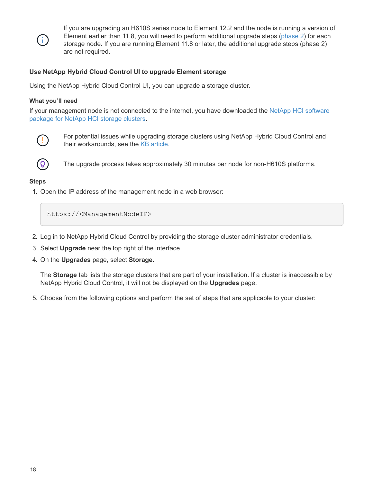

If you are upgrading an H610S series node to Element 12.2 and the node is running a version of Element earlier than 11.8, you will need to perform additional upgrade steps ([phase 2\)](#page-35-0) for each storage node. If you are running Element 11.8 or later, the additional upgrade steps (phase 2) are not required.

# <span id="page-19-0"></span>**Use NetApp Hybrid Cloud Control UI to upgrade Element storage**

Using the NetApp Hybrid Cloud Control UI, you can upgrade a storage cluster.

# **What you'll need**

If your management node is not connected to the internet, you have downloaded the [NetApp HCI software](https://mysupport.netapp.com/site/products/all/details/netapp-hci/downloads-tab) [package for NetApp HCI storage clusters.](https://mysupport.netapp.com/site/products/all/details/netapp-hci/downloads-tab)



For potential issues while upgrading storage clusters using NetApp Hybrid Cloud Control and their workarounds, see the [KB article.](https://kb.netapp.com/Advice_and_Troubleshooting/Hybrid_Cloud_Infrastructure/NetApp_HCI/Potential_issues_and_workarounds_when_running_storage_upgrades_using_NetApp_Hybrid_Cloud_Control)



The upgrade process takes approximately 30 minutes per node for non-H610S platforms.

#### **Steps**

1. Open the IP address of the management node in a web browser:

https://<ManagementNodeIP>

- 2. Log in to NetApp Hybrid Cloud Control by providing the storage cluster administrator credentials.
- 3. Select **Upgrade** near the top right of the interface.
- 4. On the **Upgrades** page, select **Storage**.

The **Storage** tab lists the storage clusters that are part of your installation. If a cluster is inaccessible by NetApp Hybrid Cloud Control, it will not be displayed on the **Upgrades** page.

5. Choose from the following options and perform the set of steps that are applicable to your cluster: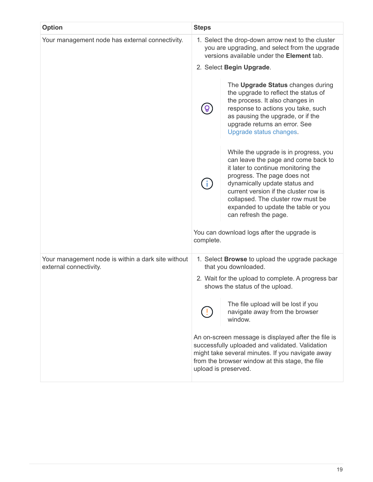| <b>Option</b>                                                                | <b>Steps</b>                                                                                                                                            |                                                                                                                                                                                                                                                                                                                                    |
|------------------------------------------------------------------------------|---------------------------------------------------------------------------------------------------------------------------------------------------------|------------------------------------------------------------------------------------------------------------------------------------------------------------------------------------------------------------------------------------------------------------------------------------------------------------------------------------|
| Your management node has external connectivity.                              | 1. Select the drop-down arrow next to the cluster<br>you are upgrading, and select from the upgrade<br>versions available under the <b>Element</b> tab. |                                                                                                                                                                                                                                                                                                                                    |
|                                                                              |                                                                                                                                                         | 2. Select Begin Upgrade.                                                                                                                                                                                                                                                                                                           |
|                                                                              |                                                                                                                                                         | The Upgrade Status changes during<br>the upgrade to reflect the status of<br>the process. It also changes in<br>response to actions you take, such<br>as pausing the upgrade, or if the<br>upgrade returns an error. See<br>Upgrade status changes.                                                                                |
|                                                                              |                                                                                                                                                         | While the upgrade is in progress, you<br>can leave the page and come back to<br>it later to continue monitoring the<br>progress. The page does not<br>dynamically update status and<br>current version if the cluster row is<br>collapsed. The cluster row must be<br>expanded to update the table or you<br>can refresh the page. |
|                                                                              | complete.                                                                                                                                               | You can download logs after the upgrade is                                                                                                                                                                                                                                                                                         |
| Your management node is within a dark site without<br>external connectivity. |                                                                                                                                                         | 1. Select <b>Browse</b> to upload the upgrade package<br>that you downloaded.                                                                                                                                                                                                                                                      |
|                                                                              |                                                                                                                                                         | 2. Wait for the upload to complete. A progress bar<br>shows the status of the upload.                                                                                                                                                                                                                                              |
|                                                                              |                                                                                                                                                         | The file upload will be lost if you<br>navigate away from the browser<br>window.                                                                                                                                                                                                                                                   |
|                                                                              |                                                                                                                                                         | An on-screen message is displayed after the file is<br>successfully uploaded and validated. Validation<br>might take several minutes. If you navigate away<br>from the browser window at this stage, the file<br>upload is preserved.                                                                                              |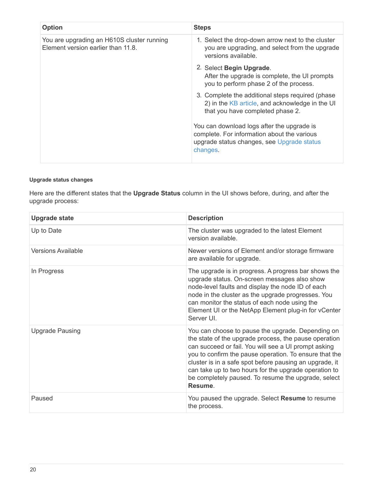| <b>Option</b>                                                                    | <b>Steps</b>                                                                                                                                        |
|----------------------------------------------------------------------------------|-----------------------------------------------------------------------------------------------------------------------------------------------------|
| You are upgrading an H610S cluster running<br>Element version earlier than 11.8. | 1. Select the drop-down arrow next to the cluster<br>you are upgrading, and select from the upgrade<br>versions available.                          |
|                                                                                  | 2. Select Begin Upgrade.<br>After the upgrade is complete, the UI prompts<br>you to perform phase 2 of the process.                                 |
|                                                                                  | 3. Complete the additional steps required (phase)<br>2) in the KB article, and acknowledge in the UI<br>that you have completed phase 2.            |
|                                                                                  | You can download logs after the upgrade is<br>complete. For information about the various<br>upgrade status changes, see Upgrade status<br>changes. |

# <span id="page-21-0"></span>**Upgrade status changes**

Here are the different states that the **Upgrade Status** column in the UI shows before, during, and after the upgrade process:

| <b>Upgrade state</b>      | <b>Description</b>                                                                                                                                                                                                                                                                                                                                                                                                 |
|---------------------------|--------------------------------------------------------------------------------------------------------------------------------------------------------------------------------------------------------------------------------------------------------------------------------------------------------------------------------------------------------------------------------------------------------------------|
| Up to Date                | The cluster was upgraded to the latest Element<br>version available.                                                                                                                                                                                                                                                                                                                                               |
| <b>Versions Available</b> | Newer versions of Element and/or storage firmware<br>are available for upgrade.                                                                                                                                                                                                                                                                                                                                    |
| In Progress               | The upgrade is in progress. A progress bar shows the<br>upgrade status. On-screen messages also show<br>node-level faults and display the node ID of each<br>node in the cluster as the upgrade progresses. You<br>can monitor the status of each node using the<br>Element UI or the NetApp Element plug-in for vCenter<br>Server UI.                                                                             |
| <b>Upgrade Pausing</b>    | You can choose to pause the upgrade. Depending on<br>the state of the upgrade process, the pause operation<br>can succeed or fail. You will see a UI prompt asking<br>you to confirm the pause operation. To ensure that the<br>cluster is in a safe spot before pausing an upgrade, it<br>can take up to two hours for the upgrade operation to<br>be completely paused. To resume the upgrade, select<br>Resume. |
| Paused                    | You paused the upgrade. Select Resume to resume<br>the process.                                                                                                                                                                                                                                                                                                                                                    |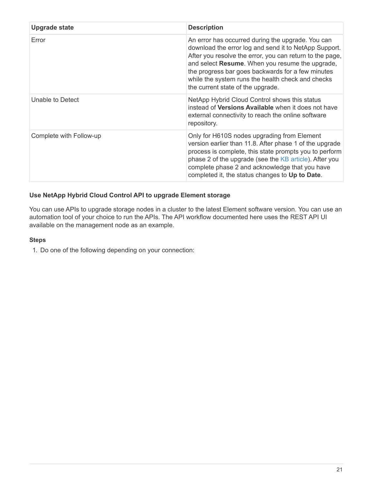| <b>Upgrade state</b>    | <b>Description</b>                                                                                                                                                                                                                                                                                                                                                       |
|-------------------------|--------------------------------------------------------------------------------------------------------------------------------------------------------------------------------------------------------------------------------------------------------------------------------------------------------------------------------------------------------------------------|
| Error                   | An error has occurred during the upgrade. You can<br>download the error log and send it to NetApp Support.<br>After you resolve the error, you can return to the page,<br>and select Resume. When you resume the upgrade,<br>the progress bar goes backwards for a few minutes<br>while the system runs the health check and checks<br>the current state of the upgrade. |
| Unable to Detect        | NetApp Hybrid Cloud Control shows this status<br>instead of <b>Versions Available</b> when it does not have<br>external connectivity to reach the online software<br>repository.                                                                                                                                                                                         |
| Complete with Follow-up | Only for H610S nodes upgrading from Element<br>version earlier than 11.8. After phase 1 of the upgrade<br>process is complete, this state prompts you to perform<br>phase 2 of the upgrade (see the KB article). After you<br>complete phase 2 and acknowledge that you have<br>completed it, the status changes to Up to Date.                                          |

# <span id="page-22-0"></span>**Use NetApp Hybrid Cloud Control API to upgrade Element storage**

You can use APIs to upgrade storage nodes in a cluster to the latest Element software version. You can use an automation tool of your choice to run the APIs. The API workflow documented here uses the REST API UI available on the management node as an example.

# **Steps**

1. Do one of the following depending on your connection: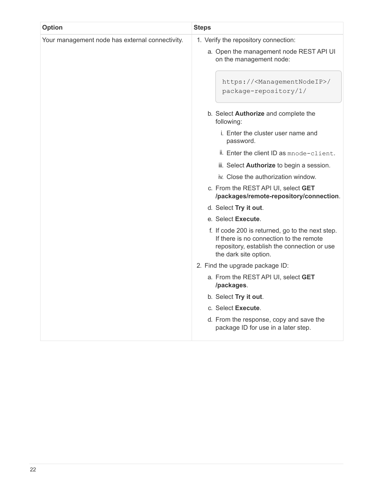| <b>Option</b>                                   | <b>Steps</b>                                                                                                                                                        |
|-------------------------------------------------|---------------------------------------------------------------------------------------------------------------------------------------------------------------------|
| Your management node has external connectivity. | 1. Verify the repository connection:                                                                                                                                |
|                                                 | a. Open the management node REST API UI<br>on the management node:                                                                                                  |
|                                                 | https:// <managementnodeip>/<br/>package-repository/1/</managementnodeip>                                                                                           |
|                                                 | b. Select Authorize and complete the<br>following:                                                                                                                  |
|                                                 | i. Enter the cluster user name and<br>password.                                                                                                                     |
|                                                 | ii. Enter the client ID as mnode-client.                                                                                                                            |
|                                                 | iii. Select <b>Authorize</b> to begin a session.                                                                                                                    |
|                                                 | iv. Close the authorization window.                                                                                                                                 |
|                                                 | c. From the REST API UI, select GET<br>/packages/remote-repository/connection.                                                                                      |
|                                                 | d. Select Try it out.                                                                                                                                               |
|                                                 | e. Select Execute.                                                                                                                                                  |
|                                                 | f. If code 200 is returned, go to the next step.<br>If there is no connection to the remote<br>repository, establish the connection or use<br>the dark site option. |
|                                                 | 2. Find the upgrade package ID:                                                                                                                                     |
|                                                 | a. From the REST API UI, select GET<br>/packages.                                                                                                                   |
|                                                 | b. Select Try it out.                                                                                                                                               |
|                                                 | c. Select Execute.                                                                                                                                                  |
|                                                 | d. From the response, copy and save the<br>package ID for use in a later step.                                                                                      |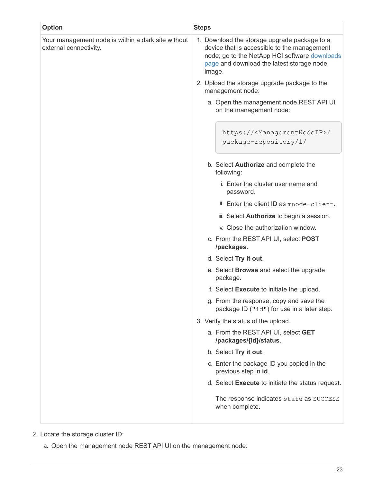| <b>Option</b>                                                                | <b>Steps</b>                                                                                                                                                                                        |
|------------------------------------------------------------------------------|-----------------------------------------------------------------------------------------------------------------------------------------------------------------------------------------------------|
| Your management node is within a dark site without<br>external connectivity. | 1. Download the storage upgrade package to a<br>device that is accessible to the management<br>node; go to the NetApp HCI software downloads<br>page and download the latest storage node<br>image. |
|                                                                              | 2. Upload the storage upgrade package to the<br>management node:                                                                                                                                    |
|                                                                              | a. Open the management node REST API UI<br>on the management node:                                                                                                                                  |
|                                                                              | https:// <managementnodeip>/<br/>package-repository/1/</managementnodeip>                                                                                                                           |
|                                                                              | b. Select <b>Authorize</b> and complete the<br>following:                                                                                                                                           |
|                                                                              | i. Enter the cluster user name and<br>password.                                                                                                                                                     |
|                                                                              | ii. Enter the client ID as mnode-client.                                                                                                                                                            |
|                                                                              | iii. Select <b>Authorize</b> to begin a session.                                                                                                                                                    |
|                                                                              | iv. Close the authorization window.                                                                                                                                                                 |
|                                                                              | c. From the REST API UI, select POST<br>/packages.                                                                                                                                                  |
|                                                                              | d. Select Try it out.                                                                                                                                                                               |
|                                                                              | e. Select <b>Browse</b> and select the upgrade<br>package.                                                                                                                                          |
|                                                                              | f. Select Execute to initiate the upload.                                                                                                                                                           |
|                                                                              | g. From the response, copy and save the<br>package ID ("id") for use in a later step.                                                                                                               |
|                                                                              | 3. Verify the status of the upload.                                                                                                                                                                 |
|                                                                              | a. From the REST API UI, select GET<br>/packages/{id}/status.                                                                                                                                       |
|                                                                              | b. Select Try it out.                                                                                                                                                                               |
|                                                                              | c. Enter the package ID you copied in the<br>previous step in id.                                                                                                                                   |
|                                                                              | d. Select Execute to initiate the status request.                                                                                                                                                   |
|                                                                              | The response indicates state as SUCCESS<br>when complete.                                                                                                                                           |
|                                                                              |                                                                                                                                                                                                     |

- 2. Locate the storage cluster ID:
	- a. Open the management node REST API UI on the management node: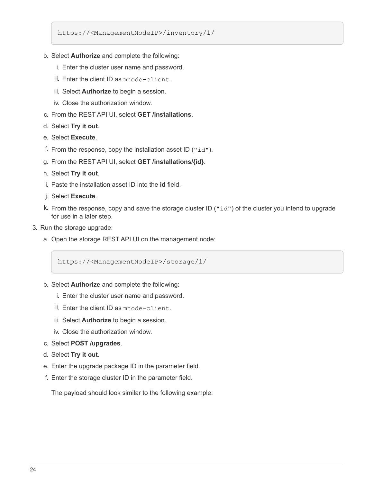https://<ManagementNodeIP>/inventory/1/

- b. Select **Authorize** and complete the following:
	- i. Enter the cluster user name and password.
	- ii. Enter the client ID as mnode-client.
	- iii. Select **Authorize** to begin a session.
	- iv. Close the authorization window.
- c. From the REST API UI, select **GET /installations**.
- d. Select **Try it out**.
- e. Select **Execute**.
- f. From the response, copy the installation asset ID (" $id$ ").
- g. From the REST API UI, select **GET /installations/{id}**.
- h. Select **Try it out**.
- i. Paste the installation asset ID into the **id** field.
- j. Select **Execute**.
- k. From the response, copy and save the storage cluster ID ("id") of the cluster you intend to upgrade for use in a later step.
- 3. Run the storage upgrade:
	- a. Open the storage REST API UI on the management node:

https://<ManagementNodeIP>/storage/1/

- b. Select **Authorize** and complete the following:
	- i. Enter the cluster user name and password.
	- ii. Enter the client ID as mnode-client.
	- iii. Select **Authorize** to begin a session.
	- iv. Close the authorization window.
- c. Select **POST /upgrades**.
- d. Select **Try it out**.
- e. Enter the upgrade package ID in the parameter field.
- f. Enter the storage cluster ID in the parameter field.

The payload should look similar to the following example: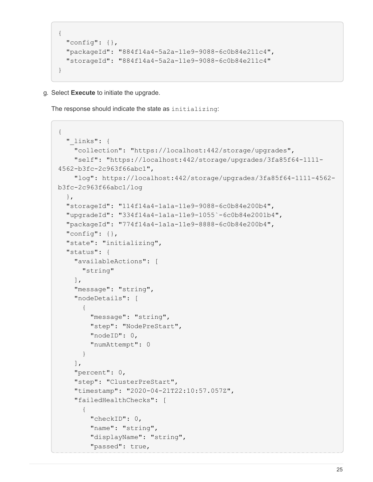```
{
   "config": {},
   "packageId": "884f14a4-5a2a-11e9-9088-6c0b84e211c4",
    "storageId": "884f14a4-5a2a-11e9-9088-6c0b84e211c4"
}
```
g. Select **Execute** to initiate the upgrade.

The response should indicate the state as initializing:

```
{
  " links": {
      "collection": "https://localhost:442/storage/upgrades",
      "self": "https://localhost:442/storage/upgrades/3fa85f64-1111-
4562-b3fc-2c963f66abc1",
      "log": https://localhost:442/storage/upgrades/3fa85f64-1111-4562-
b3fc-2c963f66abc1/log
    },
    "storageId": "114f14a4-1a1a-11e9-9088-6c0b84e200b4",
    "upgradeId": "334f14a4-1a1a-11e9-1055`-6c0b84e2001b4",
    "packageId": "774f14a4-1a1a-11e9-8888-6c0b84e200b4",
  "config": \{\},
    "state": "initializing",
    "status": {
      "availableActions": [
        "string"
    \vert,
      "message": "string",
      "nodeDetails": [
        {
           "message": "string",
           "step": "NodePreStart",
           "nodeID": 0,
           "numAttempt": 0
        }
    \frac{1}{\sqrt{2}}  "percent": 0,
      "step": "ClusterPreStart",
      "timestamp": "2020-04-21T22:10:57.057Z",
      "failedHealthChecks": [
         {
           "checkID": 0,
         "name": "string",
           "displayName": "string",
           "passed": true,
```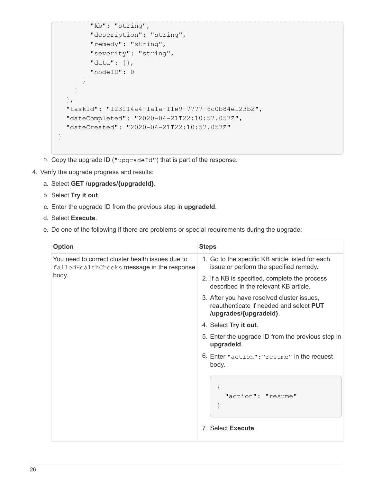```
"kb": "string",
           "description": "string",
          "remedy": "string",
          "severity": "string",
          "data": {},
          "nodeID": 0
        }
      ]
    },
    "taskId": "123f14a4-1a1a-11e9-7777-6c0b84e123b2",
    "dateCompleted": "2020-04-21T22:10:57.057Z",
    "dateCreated": "2020-04-21T22:10:57.057Z"
}
```
- h. Copy the upgrade ID ("upgradeId") that is part of the response.
- 4. Verify the upgrade progress and results:
	- a. Select **GET /upgrades/{upgradeId}**.
	- b. Select **Try it out**.
	- c. Enter the upgrade ID from the previous step in **upgradeId**.
	- d. Select **Execute**.
	- e. Do one of the following if there are problems or special requirements during the upgrade:

| <b>Option</b>                                                                                             | <b>Steps</b>                                                                                                    |
|-----------------------------------------------------------------------------------------------------------|-----------------------------------------------------------------------------------------------------------------|
| You need to correct cluster health issues due to<br>failed Health Checks message in the response<br>body. | 1. Go to the specific KB article listed for each<br>issue or perform the specified remedy.                      |
|                                                                                                           | 2. If a KB is specified, complete the process<br>described in the relevant KB article.                          |
|                                                                                                           | 3. After you have resolved cluster issues,<br>reauthenticate if needed and select PUT<br>/upgrades/{upgradeld}. |
|                                                                                                           | 4. Select Try it out.                                                                                           |
|                                                                                                           | 5. Enter the upgrade ID from the previous step in<br>upgradeld.                                                 |
|                                                                                                           | 6. Enter "action": "resume" in the request<br>body.                                                             |
|                                                                                                           | "action": "resume"                                                                                              |
|                                                                                                           | 7. Select Execute.                                                                                              |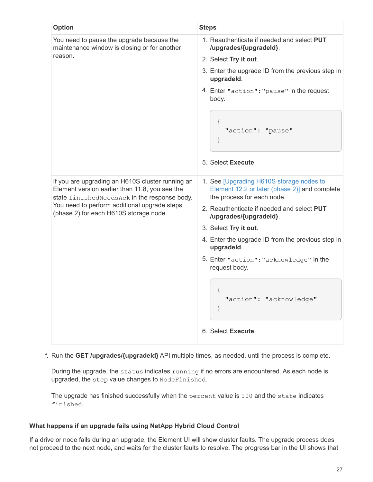| <b>Option</b>                                                                                                                                                                                                                                | <b>Steps</b>                                                                                                                                                                                                                                                                                                                                                                                                     |
|----------------------------------------------------------------------------------------------------------------------------------------------------------------------------------------------------------------------------------------------|------------------------------------------------------------------------------------------------------------------------------------------------------------------------------------------------------------------------------------------------------------------------------------------------------------------------------------------------------------------------------------------------------------------|
| You need to pause the upgrade because the<br>maintenance window is closing or for another<br>reason.                                                                                                                                         | 1. Reauthenticate if needed and select PUT<br>/upgrades/{upgradeld}.<br>2. Select Try it out.<br>3. Enter the upgrade ID from the previous step in<br>upgradeld.<br>4. Enter "action": "pause" in the request<br>body.<br>"action": "pause"<br>$\}$<br>5. Select Execute.                                                                                                                                        |
| If you are upgrading an H610S cluster running an<br>Element version earlier than 11.8, you see the<br>state finishedNeedsAck in the response body.<br>You need to perform additional upgrade steps<br>(phase 2) for each H610S storage node. | 1. See [Upgrading H610S storage nodes to<br>Element 12.2 or later (phase 2)] and complete<br>the process for each node.<br>2. Reauthenticate if needed and select PUT<br>/upgrades/{upgradeld}.<br>3. Select Try it out.<br>4. Enter the upgrade ID from the previous step in<br>upgradeld.<br>5. Enter "action": "acknowledge" in the<br>request body.<br>"action": "acknowledge"<br>$\}$<br>6. Select Execute. |

# f. Run the **GET /upgrades/{upgradeId}** API multiple times, as needed, until the process is complete.

During the upgrade, the status indicates running if no errors are encountered. As each node is upgraded, the step value changes to NodeFinished.

The upgrade has finished successfully when the percent value is 100 and the state indicates finished.

# **What happens if an upgrade fails using NetApp Hybrid Cloud Control**

If a drive or node fails during an upgrade, the Element UI will show cluster faults. The upgrade process does not proceed to the next node, and waits for the cluster faults to resolve. The progress bar in the UI shows that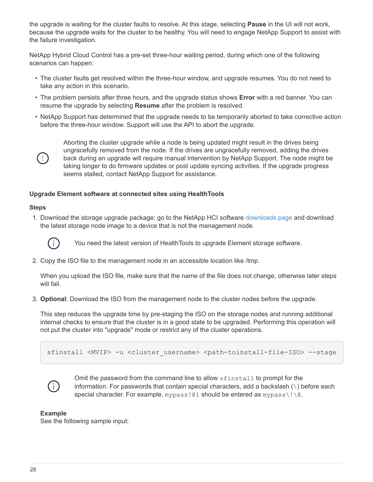the upgrade is waiting for the cluster faults to resolve. At this stage, selecting **Pause** in the UI will not work, because the upgrade waits for the cluster to be healthy. You will need to engage NetApp Support to assist with the failure investigation.

NetApp Hybrid Cloud Control has a pre-set three-hour waiting period, during which one of the following scenarios can happen:

- The cluster faults get resolved within the three-hour window, and upgrade resumes. You do not need to take any action in this scenario.
- The problem persists after three hours, and the upgrade status shows **Error** with a red banner. You can resume the upgrade by selecting **Resume** after the problem is resolved.
- NetApp Support has determined that the upgrade needs to be temporarily aborted to take corrective action before the three-hour window. Support will use the API to abort the upgrade.



Aborting the cluster upgrade while a node is being updated might result in the drives being ungracefully removed from the node. If the drives are ungracefully removed, adding the drives back during an upgrade will require manual intervention by NetApp Support. The node might be taking longer to do firmware updates or post update syncing activities. If the upgrade progress seems stalled, contact NetApp Support for assistance.

# <span id="page-29-0"></span>**Upgrade Element software at connected sites using HealthTools**

#### **Steps**

1. Download the storage upgrade package; go to the NetApp HCI software [downloads page](https://mysupport.netapp.com/site/products/all/details/netapp-hci/downloads-tab) and download the latest storage node image to a device that is not the management node.



You need the latest version of HealthTools to upgrade Element storage software.

2. Copy the ISO file to the management node in an accessible location like /tmp.

When you upload the ISO file, make sure that the name of the file does not change, otherwise later steps will fail.

3. **Optional**: Download the ISO from the management node to the cluster nodes before the upgrade.

This step reduces the upgrade time by pre-staging the ISO on the storage nodes and running additional internal checks to ensure that the cluster is in a good state to be upgraded. Performing this operation will not put the cluster into "upgrade" mode or restrict any of the cluster operations.

sfinstall <MVIP> -u <cluster username> <path-toinstall-file-ISO> --stage



Omit the password from the command line to allow sfinstall to prompt for the information. For passwords that contain special characters, add a backslash (\) before each special character. For example, mypass!@1 should be entered as mypass $\setminus\setminus\setminus\emptyset$ .

#### **Example**

See the following sample input: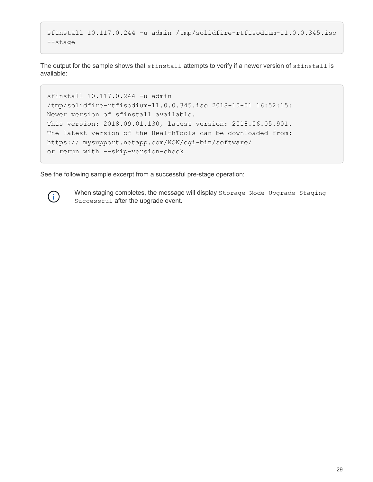```
sfinstall 10.117.0.244 -u admin /tmp/solidfire-rtfisodium-11.0.0.345.iso
--stage
```
The output for the sample shows that sfinstall attempts to verify if a newer version of sfinstall is available:

```
sfinstall 10.117.0.244 -u admin
/tmp/solidfire-rtfisodium-11.0.0.345.iso 2018-10-01 16:52:15:
Newer version of sfinstall available.
This version: 2018.09.01.130, latest version: 2018.06.05.901.
The latest version of the HealthTools can be downloaded from:
https:// mysupport.netapp.com/NOW/cgi-bin/software/
or rerun with --skip-version-check
```
See the following sample excerpt from a successful pre-stage operation:



When staging completes, the message will display Storage Node Upgrade Staging Successful after the upgrade event.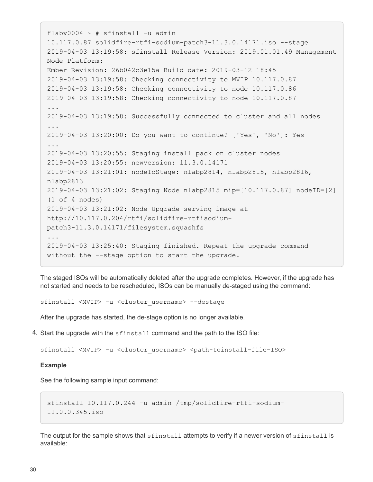```
flabv0004 ~ # sfinstall -u admin
10.117.0.87 solidfire-rtfi-sodium-patch3-11.3.0.14171.iso --stage
2019-04-03 13:19:58: sfinstall Release Version: 2019.01.01.49 Management
Node Platform:
Ember Revision: 26b042c3e15a Build date: 2019-03-12 18:45
2019-04-03 13:19:58: Checking connectivity to MVIP 10.117.0.87
2019-04-03 13:19:58: Checking connectivity to node 10.117.0.86
2019-04-03 13:19:58: Checking connectivity to node 10.117.0.87
...
2019-04-03 13:19:58: Successfully connected to cluster and all nodes
...
2019-04-03 13:20:00: Do you want to continue? ['Yes', 'No']: Yes
...
2019-04-03 13:20:55: Staging install pack on cluster nodes
2019-04-03 13:20:55: newVersion: 11.3.0.14171
2019-04-03 13:21:01: nodeToStage: nlabp2814, nlabp2815, nlabp2816,
nlabp2813
2019-04-03 13:21:02: Staging Node nlabp2815 mip=[10.117.0.87] nodeID=[2]
(1 of 4 nodes)
2019-04-03 13:21:02: Node Upgrade serving image at
http://10.117.0.204/rtfi/solidfire-rtfisodium-
patch3-11.3.0.14171/filesystem.squashfs
...
2019-04-03 13:25:40: Staging finished. Repeat the upgrade command
without the --stage option to start the upgrade.
```
The staged ISOs will be automatically deleted after the upgrade completes. However, if the upgrade has not started and needs to be rescheduled, ISOs can be manually de-staged using the command:

sfinstall <MVIP> -u <cluster username> --destage

After the upgrade has started, the de-stage option is no longer available.

4. Start the upgrade with the sfinstall command and the path to the ISO file:

sfinstall <MVIP> -u <cluster username> <path-toinstall-file-ISO>

#### **Example**

See the following sample input command:

```
sfinstall 10.117.0.244 -u admin /tmp/solidfire-rtfi-sodium-
11.0.0.345.iso
```
The output for the sample shows that sfinstall attempts to verify if a newer version of sfinstall is available: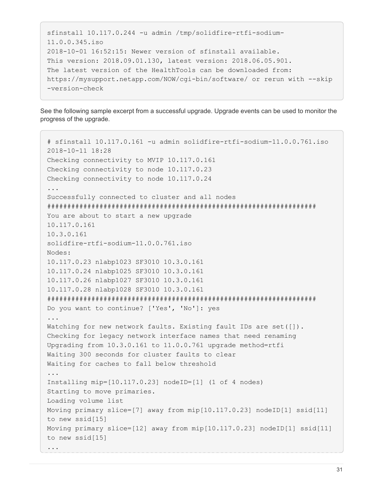```
sfinstall 10.117.0.244 -u admin /tmp/solidfire-rtfi-sodium-
11.0.0.345.iso
2018-10-01 16:52:15: Newer version of sfinstall available.
This version: 2018.09.01.130, latest version: 2018.06.05.901.
The latest version of the HealthTools can be downloaded from:
https://mysupport.netapp.com/NOW/cgi-bin/software/ or rerun with --skip
-version-check
```
See the following sample excerpt from a successful upgrade. Upgrade events can be used to monitor the progress of the upgrade.

```
# sfinstall 10.117.0.161 -u admin solidfire-rtfi-sodium-11.0.0.761.iso
2018-10-11 18:28
Checking connectivity to MVIP 10.117.0.161
Checking connectivity to node 10.117.0.23
Checking connectivity to node 10.117.0.24
...
Successfully connected to cluster and all nodes
###################################################################
You are about to start a new upgrade
10.117.0.161
10.3.0.161
solidfire-rtfi-sodium-11.0.0.761.iso
Nodes:
10.117.0.23 nlabp1023 SF3010 10.3.0.161
10.117.0.24 nlabp1025 SF3010 10.3.0.161
10.117.0.26 nlabp1027 SF3010 10.3.0.161
10.117.0.28 nlabp1028 SF3010 10.3.0.161
###################################################################
Do you want to continue? ['Yes', 'No']: yes
...
Watching for new network faults. Existing fault IDs are set([]).
Checking for legacy network interface names that need renaming
Upgrading from 10.3.0.161 to 11.0.0.761 upgrade method=rtfi
Waiting 300 seconds for cluster faults to clear
Waiting for caches to fall below threshold
...
Installing mip=[10.117.0.23] nodeID=[1] (1 of 4 nodes)
Starting to move primaries.
Loading volume list
Moving primary slice=[7] away from mip[10.117.0.23] nodeID[1] ssid[11]
to new ssid[15]
Moving primary slice=[12] away from mip[10.117.0.23] nodeID[1] ssid[11]
to new ssid[15]
...
```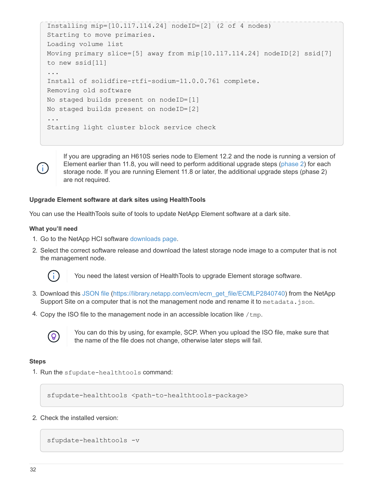```
Installing mip=[10.117.114.24] nodeID=[2] (2 of 4 nodes)
Starting to move primaries.
Loading volume list
Moving primary slice=[5] away from mip[10.117.114.24] nodeID[2] ssid[7]
to new ssid[11]
...
Install of solidfire-rtfi-sodium-11.0.0.761 complete.
Removing old software
No staged builds present on nodeID=[1]
No staged builds present on nodeID=[2]
...
Starting light cluster block service check
```
Ĥ.

If you are upgrading an H610S series node to Element 12.2 and the node is running a version of Element earlier than 11.8, you will need to perform additional upgrade steps ([phase 2\)](#page-35-0) for each storage node. If you are running Element 11.8 or later, the additional upgrade steps (phase 2) are not required.

# <span id="page-33-0"></span>**Upgrade Element software at dark sites using HealthTools**

You can use the HealthTools suite of tools to update NetApp Element software at a dark site.

# **What you'll need**

- 1. Go to the NetApp HCI software [downloads page](https://mysupport.netapp.com/site/products/all/details/netapp-hci/downloads-tab).
- 2. Select the correct software release and download the latest storage node image to a computer that is not the management node.



You need the latest version of HealthTools to upgrade Element storage software.

- 3. Download this [JSON file](https://library.netapp.com/ecm/ecm_get_file/ECMLP2840740) ([https://library.netapp.com/ecm/ecm\\_get\\_file/ECMLP2840740\)](https://library.netapp.com/ecm/ecm_get_file/ECMLP2840740) from the NetApp Support Site on a computer that is not the management node and rename it to metadata.json.
- 4. Copy the ISO file to the management node in an accessible location like  $/\text{tmp}$ .



You can do this by using, for example, SCP. When you upload the ISO file, make sure that the name of the file does not change, otherwise later steps will fail.

# **Steps**

1. Run the sfupdate-healthtools command:

sfupdate-healthtools <path-to-healthtools-package>

2. Check the installed version:

```
sfupdate-healthtools -v
```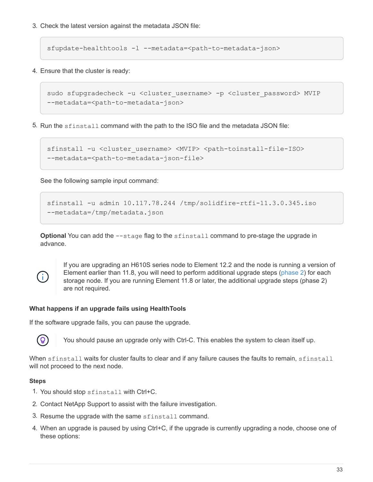3. Check the latest version against the metadata JSON file:

sfupdate-healthtools -l --metadata=<path-to-metadata-json>

4. Ensure that the cluster is ready:

```
sudo sfupgradecheck -u <cluster_username> -p <cluster_password> MVIP
--metadata=<path-to-metadata-json>
```
5. Run the sfinstall command with the path to the ISO file and the metadata JSON file:

```
sfinstall -u <cluster username> <MVIP> <path-toinstall-file-ISO>
--metadata=<path-to-metadata-json-file>
```
See the following sample input command:

```
sfinstall -u admin 10.117.78.244 /tmp/solidfire-rtfi-11.3.0.345.iso
--metadata=/tmp/metadata.json
```
**Optional** You can add the  $-$ stage flag to the sfinstall command to pre-stage the upgrade in advance.



If you are upgrading an H610S series node to Element 12.2 and the node is running a version of Element earlier than 11.8, you will need to perform additional upgrade steps ([phase 2\)](#page-35-0) for each storage node. If you are running Element 11.8 or later, the additional upgrade steps (phase 2) are not required.

# **What happens if an upgrade fails using HealthTools**

If the software upgrade fails, you can pause the upgrade.

You should pause an upgrade only with Ctrl-C. This enables the system to clean itself up.

When sfinstall waits for cluster faults to clear and if any failure causes the faults to remain, sfinstall will not proceed to the next node.

# **Steps**

 $\mathbf{Q}$ 

- 1. You should stop sfinstall with Ctrl+C.
- 2. Contact NetApp Support to assist with the failure investigation.
- 3. Resume the upgrade with the same sfinstall command.
- 4. When an upgrade is paused by using Ctrl+C, if the upgrade is currently upgrading a node, choose one of these options: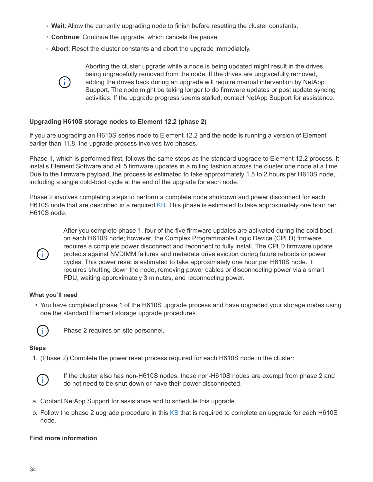- **Wait**: Allow the currently upgrading node to finish before resetting the cluster constants.
- **Continue**: Continue the upgrade, which cancels the pause.
- **Abort**: Reset the cluster constants and abort the upgrade immediately.



Aborting the cluster upgrade while a node is being updated might result in the drives being ungracefully removed from the node. If the drives are ungracefully removed, adding the drives back during an upgrade will require manual intervention by NetApp Support. The node might be taking longer to do firmware updates or post update syncing activities. If the upgrade progress seems stalled, contact NetApp Support for assistance.

# <span id="page-35-0"></span>**Upgrading H610S storage nodes to Element 12.2 (phase 2)**

If you are upgrading an H610S series node to Element 12.2 and the node is running a version of Element earlier than 11.8, the upgrade process involves two phases.

Phase 1, which is performed first, follows the same steps as the standard upgrade to Element 12.2 process. It installs Element Software and all 5 firmware updates in a rolling fashion across the cluster one node at a time. Due to the firmware payload, the process is estimated to take approximately 1.5 to 2 hours per H610S node, including a single cold-boot cycle at the end of the upgrade for each node.

Phase 2 involves completing steps to perform a complete node shutdown and power disconnect for each H610S node that are described in a required [KB.](https://kb.netapp.com/Advice_and_Troubleshooting/Hybrid_Cloud_Infrastructure/H_Series/NetApp_H610S_storage_node_power_off_and_on_procedure) This phase is estimated to take approximately one hour per H610S node.



After you complete phase 1, four of the five firmware updates are activated during the cold boot on each H610S node; however, the Complex Programmable Logic Device (CPLD) firmware requires a complete power disconnect and reconnect to fully install. The CPLD firmware update protects against NVDIMM failures and metadata drive eviction during future reboots or power cycles. This power reset is estimated to take approximately one hour per H610S node. It requires shutting down the node, removing power cables or disconnecting power via a smart PDU, waiting approximately 3 minutes, and reconnecting power.

# **What you'll need**

• You have completed phase 1 of the H610S upgrade process and have upgraded your storage nodes using one the standard Element storage upgrade procedures.



Phase 2 requires on-site personnel.

# **Steps**

1. (Phase 2) Complete the power reset process required for each H610S node in the cluster:



If the cluster also has non-H610S nodes, these non-H610S nodes are exempt from phase 2 and do not need to be shut down or have their power disconnected.

- a. Contact NetApp Support for assistance and to schedule this upgrade.
- b. Follow the phase 2 upgrade procedure in this  $KB$  that is required to complete an upgrade for each H610S node.

# **Find more information**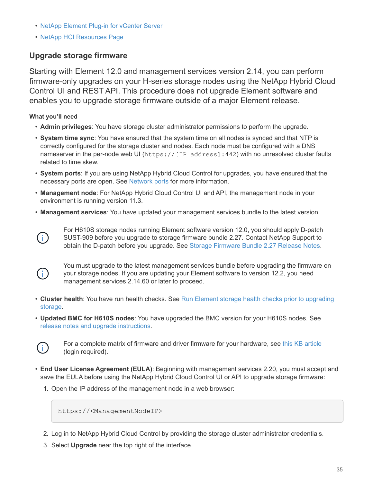- [NetApp Element Plug-in for vCenter Server](https://docs.netapp.com/us-en/vcp/index.html)
- [NetApp HCI Resources Page](https://www.netapp.com/hybrid-cloud/hci-documentation/)

# **Upgrade storage firmware**

Starting with Element 12.0 and management services version 2.14, you can perform firmware-only upgrades on your H-series storage nodes using the NetApp Hybrid Cloud Control UI and REST API. This procedure does not upgrade Element software and enables you to upgrade storage firmware outside of a major Element release.

**What you'll need**

- **Admin privileges**: You have storage cluster administrator permissions to perform the upgrade.
- **System time sync**: You have ensured that the system time on all nodes is synced and that NTP is correctly configured for the storage cluster and nodes. Each node must be configured with a DNS nameserver in the per-node web UI (https://[IP address]:442) with no unresolved cluster faults related to time skew.
- **System ports**: If you are using NetApp Hybrid Cloud Control for upgrades, you have ensured that the necessary ports are open. See [Network ports](https://docs.netapp.com/us-en/hci18/docs/hci_prereqs_required_network_ports.html) for more information.
- **Management node**: For NetApp Hybrid Cloud Control UI and API, the management node in your environment is running version 11.3.
- **Management services**: You have updated your management services bundle to the latest version.



For H610S storage nodes running Element software version 12.0, you should apply D-patch SUST-909 before you upgrade to storage firmware bundle 2.27. Contact NetApp Support to obtain the D-patch before you upgrade. See [Storage Firmware Bundle 2.27 Release Notes](http://docs.netapp.com/us-en/hci/docs/rn_storage_firmware_2.27.html).



You must upgrade to the latest management services bundle before upgrading the firmware on your storage nodes. If you are updating your Element software to version 12.2, you need management services 2.14.60 or later to proceed.

- **Cluster health**: You have run health checks. See [Run Element storage health checks prior to upgrading](#page-9-0) [storage](#page-9-0).
- **Updated BMC for H610S nodes**: You have upgraded the BMC version for your H610S nodes. See [release notes and upgrade instructions](https://docs.netapp.com/us-en/hci18/docs/rn_H610S_BMC_3.84.07.html).



For a complete matrix of firmware and driver firmware for your hardware, see [this KB article](https://kb.netapp.com/Advice_and_Troubleshooting/Hybrid_Cloud_Infrastructure/NetApp_HCI/Firmware_and_driver_versions_in_NetApp_HCI_and_NetApp_Element_software) (login required).

- **End User License Agreement (EULA)**: Beginning with management services 2.20, you must accept and save the EULA before using the NetApp Hybrid Cloud Control UI or API to upgrade storage firmware:
	- 1. Open the IP address of the management node in a web browser:

https://<ManagementNodeIP>

- 2. Log in to NetApp Hybrid Cloud Control by providing the storage cluster administrator credentials.
- 3. Select **Upgrade** near the top right of the interface.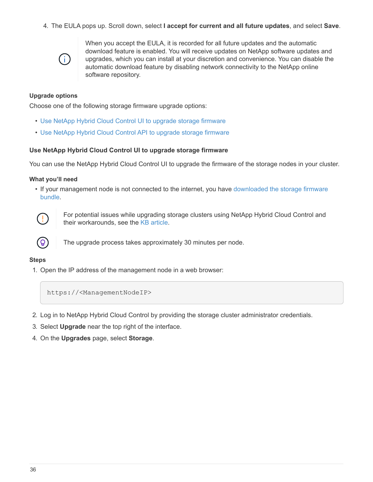4. The EULA pops up. Scroll down, select **I accept for current and all future updates**, and select **Save**.



When you accept the EULA, it is recorded for all future updates and the automatic download feature is enabled. You will receive updates on NetApp software updates and upgrades, which you can install at your discretion and convenience. You can disable the automatic download feature by disabling network connectivity to the NetApp online software repository.

#### **Upgrade options**

Choose one of the following storage firmware upgrade options:

- [Use NetApp Hybrid Cloud Control UI to upgrade storage firmware](#page-37-0)
- [Use NetApp Hybrid Cloud Control API to upgrade storage firmware](#page-40-0)

#### <span id="page-37-0"></span>**Use NetApp Hybrid Cloud Control UI to upgrade storage firmware**

You can use the NetApp Hybrid Cloud Control UI to upgrade the firmware of the storage nodes in your cluster.

#### **What you'll need**

• If your management node is not connected to the internet, you have [downloaded the storage firmware](https://mysupport.netapp.com/site/products/all/details/element-software/downloads-tab/download/62654/Storage_Firmware_Bundle) [bundle.](https://mysupport.netapp.com/site/products/all/details/element-software/downloads-tab/download/62654/Storage_Firmware_Bundle)



For potential issues while upgrading storage clusters using NetApp Hybrid Cloud Control and their workarounds, see the [KB article.](https://kb.netapp.com/Advice_and_Troubleshooting/Hybrid_Cloud_Infrastructure/NetApp_HCI/Potential_issues_and_workarounds_when_running_storage_upgrades_using_NetApp_Hybrid_Cloud_Control)



The upgrade process takes approximately 30 minutes per node.

#### **Steps**

1. Open the IP address of the management node in a web browser:

https://<ManagementNodeIP>

- 2. Log in to NetApp Hybrid Cloud Control by providing the storage cluster administrator credentials.
- 3. Select **Upgrade** near the top right of the interface.
- 4. On the **Upgrades** page, select **Storage**.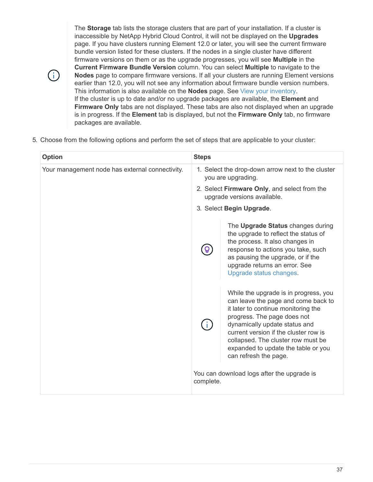The **Storage** tab lists the storage clusters that are part of your installation. If a cluster is inaccessible by NetApp Hybrid Cloud Control, it will not be displayed on the **Upgrades** page. If you have clusters running Element 12.0 or later, you will see the current firmware bundle version listed for these clusters. If the nodes in a single cluster have different firmware versions on them or as the upgrade progresses, you will see **Multiple** in the **Current Firmware Bundle Version** column. You can select **Multiple** to navigate to the **Nodes** page to compare firmware versions. If all your clusters are running Element versions earlier than 12.0, you will not see any information about firmware bundle version numbers. This information is also available on the **Nodes** page. See [View your inventory.](https://docs.netapp.com/us-en/hci18/docs/task_hcc_nodes.html) If the cluster is up to date and/or no upgrade packages are available, the **Element** and **Firmware Only** tabs are not displayed. These tabs are also not displayed when an upgrade is in progress. If the **Element** tab is displayed, but not the **Firmware Only** tab, no firmware packages are available.

5. Choose from the following options and perform the set of steps that are applicable to your cluster:

| <b>Option</b>                                   | <b>Steps</b>                                                                |                                                                                                                                                                                                                                                                                                                                    |  |
|-------------------------------------------------|-----------------------------------------------------------------------------|------------------------------------------------------------------------------------------------------------------------------------------------------------------------------------------------------------------------------------------------------------------------------------------------------------------------------------|--|
| Your management node has external connectivity. |                                                                             | 1. Select the drop-down arrow next to the cluster<br>you are upgrading.                                                                                                                                                                                                                                                            |  |
|                                                 | 2. Select Firmware Only, and select from the<br>upgrade versions available. |                                                                                                                                                                                                                                                                                                                                    |  |
|                                                 | 3. Select Begin Upgrade.                                                    |                                                                                                                                                                                                                                                                                                                                    |  |
|                                                 |                                                                             | The Upgrade Status changes during<br>the upgrade to reflect the status of<br>the process. It also changes in<br>response to actions you take, such<br>as pausing the upgrade, or if the<br>upgrade returns an error. See<br>Upgrade status changes.                                                                                |  |
|                                                 |                                                                             | While the upgrade is in progress, you<br>can leave the page and come back to<br>it later to continue monitoring the<br>progress. The page does not<br>dynamically update status and<br>current version if the cluster row is<br>collapsed. The cluster row must be<br>expanded to update the table or you<br>can refresh the page. |  |
|                                                 | complete.                                                                   | You can download logs after the upgrade is                                                                                                                                                                                                                                                                                         |  |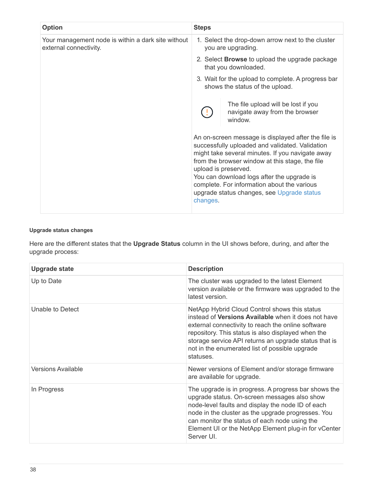| <b>Option</b>                                                                | <b>Steps</b>                                                                                                                                                                                                                                                                                                                                                                                 |  |
|------------------------------------------------------------------------------|----------------------------------------------------------------------------------------------------------------------------------------------------------------------------------------------------------------------------------------------------------------------------------------------------------------------------------------------------------------------------------------------|--|
| Your management node is within a dark site without<br>external connectivity. | 1. Select the drop-down arrow next to the cluster<br>you are upgrading.<br>2. Select <b>Browse</b> to upload the upgrade package<br>that you downloaded.<br>3. Wait for the upload to complete. A progress bar<br>shows the status of the upload.                                                                                                                                            |  |
|                                                                              |                                                                                                                                                                                                                                                                                                                                                                                              |  |
|                                                                              |                                                                                                                                                                                                                                                                                                                                                                                              |  |
|                                                                              | The file upload will be lost if you<br>navigate away from the browser<br>window.                                                                                                                                                                                                                                                                                                             |  |
|                                                                              | An on-screen message is displayed after the file is<br>successfully uploaded and validated. Validation<br>might take several minutes. If you navigate away<br>from the browser window at this stage, the file<br>upload is preserved.<br>You can download logs after the upgrade is<br>complete. For information about the various<br>upgrade status changes, see Upgrade status<br>changes. |  |

## **Upgrade status changes**

Here are the different states that the **Upgrade Status** column in the UI shows before, during, and after the upgrade process:

| <b>Upgrade state</b>      | <b>Description</b>                                                                                                                                                                                                                                                                                                                       |
|---------------------------|------------------------------------------------------------------------------------------------------------------------------------------------------------------------------------------------------------------------------------------------------------------------------------------------------------------------------------------|
| Up to Date                | The cluster was upgraded to the latest Element<br>version available or the firmware was upgraded to the<br>latest version.                                                                                                                                                                                                               |
| Unable to Detect          | NetApp Hybrid Cloud Control shows this status<br>instead of Versions Available when it does not have<br>external connectivity to reach the online software<br>repository. This status is also displayed when the<br>storage service API returns an upgrade status that is<br>not in the enumerated list of possible upgrade<br>statuses. |
| <b>Versions Available</b> | Newer versions of Element and/or storage firmware<br>are available for upgrade.                                                                                                                                                                                                                                                          |
| In Progress               | The upgrade is in progress. A progress bar shows the<br>upgrade status. On-screen messages also show<br>node-level faults and display the node ID of each<br>node in the cluster as the upgrade progresses. You<br>can monitor the status of each node using the<br>Element UI or the NetApp Element plug-in for vCenter<br>Server UI.   |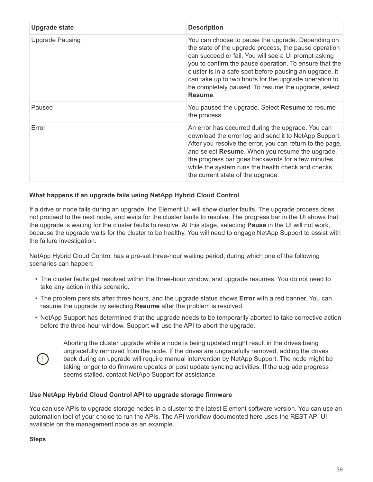| <b>Upgrade state</b>   | <b>Description</b>                                                                                                                                                                                                                                                                                                                                                                                                 |
|------------------------|--------------------------------------------------------------------------------------------------------------------------------------------------------------------------------------------------------------------------------------------------------------------------------------------------------------------------------------------------------------------------------------------------------------------|
| <b>Upgrade Pausing</b> | You can choose to pause the upgrade. Depending on<br>the state of the upgrade process, the pause operation<br>can succeed or fail. You will see a UI prompt asking<br>you to confirm the pause operation. To ensure that the<br>cluster is in a safe spot before pausing an upgrade, it<br>can take up to two hours for the upgrade operation to<br>be completely paused. To resume the upgrade, select<br>Resume. |
| Paused                 | You paused the upgrade. Select Resume to resume<br>the process.                                                                                                                                                                                                                                                                                                                                                    |
| Error                  | An error has occurred during the upgrade. You can<br>download the error log and send it to NetApp Support.<br>After you resolve the error, you can return to the page,<br>and select Resume. When you resume the upgrade,<br>the progress bar goes backwards for a few minutes<br>while the system runs the health check and checks<br>the current state of the upgrade.                                           |

## **What happens if an upgrade fails using NetApp Hybrid Cloud Control**

If a drive or node fails during an upgrade, the Element UI will show cluster faults. The upgrade process does not proceed to the next node, and waits for the cluster faults to resolve. The progress bar in the UI shows that the upgrade is waiting for the cluster faults to resolve. At this stage, selecting **Pause** in the UI will not work, because the upgrade waits for the cluster to be healthy. You will need to engage NetApp Support to assist with the failure investigation.

NetApp Hybrid Cloud Control has a pre-set three-hour waiting period, during which one of the following scenarios can happen:

- The cluster faults get resolved within the three-hour window, and upgrade resumes. You do not need to take any action in this scenario.
- The problem persists after three hours, and the upgrade status shows **Error** with a red banner. You can resume the upgrade by selecting **Resume** after the problem is resolved.
- NetApp Support has determined that the upgrade needs to be temporarily aborted to take corrective action before the three-hour window. Support will use the API to abort the upgrade.



Aborting the cluster upgrade while a node is being updated might result in the drives being ungracefully removed from the node. If the drives are ungracefully removed, adding the drives back during an upgrade will require manual intervention by NetApp Support. The node might be taking longer to do firmware updates or post update syncing activities. If the upgrade progress seems stalled, contact NetApp Support for assistance.

#### <span id="page-40-0"></span>**Use NetApp Hybrid Cloud Control API to upgrade storage firmware**

You can use APIs to upgrade storage nodes in a cluster to the latest Element software version. You can use an automation tool of your choice to run the APIs. The API workflow documented here uses the REST API UI available on the management node as an example.

#### **Steps**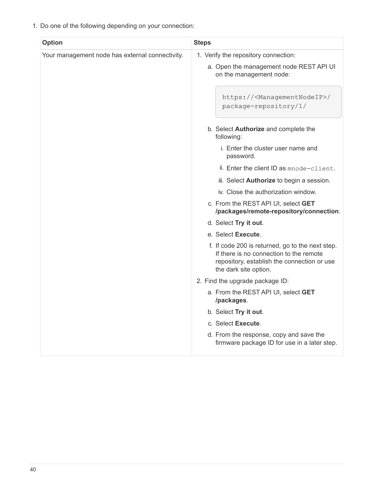1. Do one of the following depending on your connection:

| <b>Option</b>                                   | <b>Steps</b>                                                                                                                                                        |
|-------------------------------------------------|---------------------------------------------------------------------------------------------------------------------------------------------------------------------|
| Your management node has external connectivity. | 1. Verify the repository connection:                                                                                                                                |
|                                                 | a. Open the management node REST API UI<br>on the management node:                                                                                                  |
|                                                 | https:// <managementnodeip>/<br/>package-repository/1/</managementnodeip>                                                                                           |
|                                                 | b. Select <b>Authorize</b> and complete the<br>following:                                                                                                           |
|                                                 | i. Enter the cluster user name and<br>password.                                                                                                                     |
|                                                 | ii. Enter the client ID as mnode-client.                                                                                                                            |
|                                                 | iii. Select <b>Authorize</b> to begin a session.                                                                                                                    |
|                                                 | iv. Close the authorization window.                                                                                                                                 |
|                                                 | c. From the REST API UI, select GET<br>/packages/remote-repository/connection.                                                                                      |
|                                                 | d. Select Try it out.                                                                                                                                               |
|                                                 | e. Select Execute.                                                                                                                                                  |
|                                                 | f. If code 200 is returned, go to the next step.<br>If there is no connection to the remote<br>repository, establish the connection or use<br>the dark site option. |
|                                                 | 2. Find the upgrade package ID:                                                                                                                                     |
|                                                 | a. From the REST API UI, select GET<br>/packages.                                                                                                                   |
|                                                 | b. Select Try it out.                                                                                                                                               |
|                                                 | c. Select Execute.                                                                                                                                                  |
|                                                 | d. From the response, copy and save the<br>firmware package ID for use in a later step.                                                                             |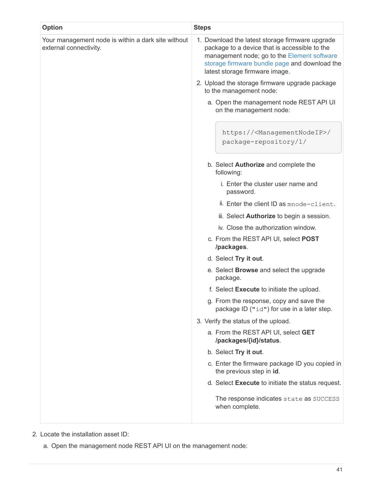| <b>Option</b>                                                                | <b>Steps</b>                                                                                                                                                                                                                       |  |  |
|------------------------------------------------------------------------------|------------------------------------------------------------------------------------------------------------------------------------------------------------------------------------------------------------------------------------|--|--|
| Your management node is within a dark site without<br>external connectivity. | 1. Download the latest storage firmware upgrade<br>package to a device that is accessible to the<br>management node; go to the Element software<br>storage firmware bundle page and download the<br>latest storage firmware image. |  |  |
|                                                                              | 2. Upload the storage firmware upgrade package<br>to the management node:                                                                                                                                                          |  |  |
|                                                                              | a. Open the management node REST API UI<br>on the management node:                                                                                                                                                                 |  |  |
|                                                                              | https:// <managementnodeip>/<br/>package-repository/1/</managementnodeip>                                                                                                                                                          |  |  |
|                                                                              | b. Select <b>Authorize</b> and complete the<br>following:                                                                                                                                                                          |  |  |
|                                                                              | i. Enter the cluster user name and<br>password.                                                                                                                                                                                    |  |  |
|                                                                              | ii. Enter the client ID as mnode-client.                                                                                                                                                                                           |  |  |
|                                                                              | iii. Select <b>Authorize</b> to begin a session.                                                                                                                                                                                   |  |  |
|                                                                              | iv. Close the authorization window.                                                                                                                                                                                                |  |  |
|                                                                              | c. From the REST API UI, select POST<br>/packages.                                                                                                                                                                                 |  |  |
|                                                                              | d. Select Try it out.                                                                                                                                                                                                              |  |  |
|                                                                              | e. Select <b>Browse</b> and select the upgrade<br>package.                                                                                                                                                                         |  |  |
|                                                                              | f. Select Execute to initiate the upload.                                                                                                                                                                                          |  |  |
|                                                                              | g. From the response, copy and save the<br>package ID ("id") for use in a later step.                                                                                                                                              |  |  |
|                                                                              | 3. Verify the status of the upload.                                                                                                                                                                                                |  |  |
|                                                                              | a. From the REST API UI, select GET<br>/packages/{id}/status.                                                                                                                                                                      |  |  |
|                                                                              | b. Select Try it out.                                                                                                                                                                                                              |  |  |
|                                                                              | c. Enter the firmware package ID you copied in<br>the previous step in id.                                                                                                                                                         |  |  |
|                                                                              | d. Select Execute to initiate the status request.                                                                                                                                                                                  |  |  |
|                                                                              | The response indicates state as SUCCESS<br>when complete.                                                                                                                                                                          |  |  |

- 2. Locate the installation asset ID:
	- a. Open the management node REST API UI on the management node: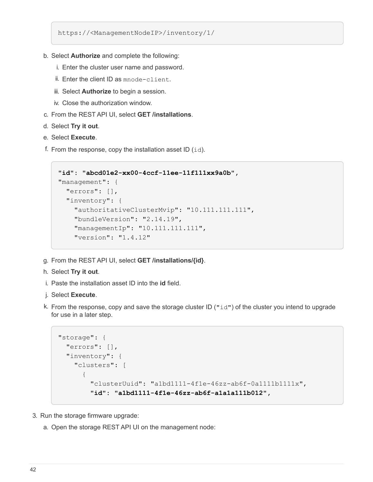https://<ManagementNodeIP>/inventory/1/

- b. Select **Authorize** and complete the following:
	- i. Enter the cluster user name and password.
	- ii. Enter the client ID as mnode-client.
	- iii. Select **Authorize** to begin a session.
	- iv. Close the authorization window.
- c. From the REST API UI, select **GET /installations**.
- d. Select **Try it out**.
- e. Select **Execute**.
- f. From the response, copy the installation asset ID  $(id)$ .

```
"id": "abcd01e2-xx00-4ccf-11ee-11f111xx9a0b",
"management": {
   "errors": [],
   "inventory": {
      "authoritativeClusterMvip": "10.111.111.111",
      "bundleVersion": "2.14.19",
      "managementIp": "10.111.111.111",
      "version": "1.4.12"
```
- g. From the REST API UI, select **GET /installations/{id}**.
- h. Select **Try it out**.
- i. Paste the installation asset ID into the **id** field.
- j. Select **Execute**.
- k. From the response, copy and save the storage cluster ID ( $"id"$ ) of the cluster you intend to upgrade for use in a later step.

```
"storage": {
   "errors": [],
   "inventory": {
      "clusters": [
\{  "clusterUuid": "a1bd1111-4f1e-46zz-ab6f-0a1111b1111x",
          "id": "a1bd1111-4f1e-46zz-ab6f-a1a1a111b012",
```
- 3. Run the storage firmware upgrade:
	- a. Open the storage REST API UI on the management node: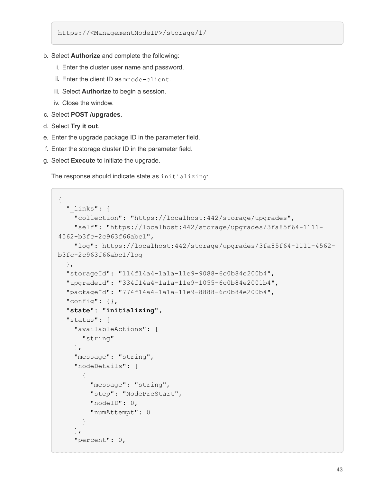https://<ManagementNodeIP>/storage/1/

- b. Select **Authorize** and complete the following:
	- i. Enter the cluster user name and password.
	- ii. Enter the client ID as mnode-client.
	- iii. Select **Authorize** to begin a session.
	- iv. Close the window.
- c. Select **POST /upgrades**.
- d. Select **Try it out**.
- e. Enter the upgrade package ID in the parameter field.
- f. Enter the storage cluster ID in the parameter field.
- g. Select **Execute** to initiate the upgrade.

The response should indicate state as initializing:

```
{
  " links": {
      "collection": "https://localhost:442/storage/upgrades",
      "self": "https://localhost:442/storage/upgrades/3fa85f64-1111-
4562-b3fc-2c963f66abc1",
      "log": https://localhost:442/storage/upgrades/3fa85f64-1111-4562-
b3fc-2c963f66abc1/log
    },
    "storageId": "114f14a4-1a1a-11e9-9088-6c0b84e200b4",
    "upgradeId": "334f14a4-1a1a-11e9-1055-6c0b84e2001b4",
    "packageId": "774f14a4-1a1a-11e9-8888-6c0b84e200b4",
    "config": {},
    "state": "initializing",
    "status": {
      "availableActions": [
         "string"
    \frac{1}{2},
      "message": "string",
      "nodeDetails": [
         {
           "message": "string",
           "step": "NodePreStart",
           "nodeID": 0,
           "numAttempt": 0
         }
    \frac{1}{\sqrt{2}}  "percent": 0,
```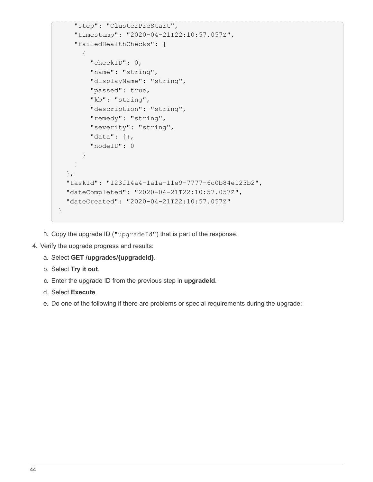```
  "step": "ClusterPreStart",
      "timestamp": "2020-04-21T22:10:57.057Z",
      "failedHealthChecks": [
        {
          "checkID": 0,
        "name": "string",
        "displayName": "string",
          "passed": true,
        "kb": "string",
          "description": "string",
        "remedy": "string",
          "severity": "string",
          "data": {},
          "nodeID": 0
        }
      ]
    },
    "taskId": "123f14a4-1a1a-11e9-7777-6c0b84e123b2",
    "dateCompleted": "2020-04-21T22:10:57.057Z",
    "dateCreated": "2020-04-21T22:10:57.057Z"
}
```
- h. Copy the upgrade ID ("upgradeId") that is part of the response.
- 4. Verify the upgrade progress and results:
	- a. Select **GET /upgrades/{upgradeId}**.
	- b. Select **Try it out**.
	- c. Enter the upgrade ID from the previous step in **upgradeId**.
	- d. Select **Execute**.
	- e. Do one of the following if there are problems or special requirements during the upgrade: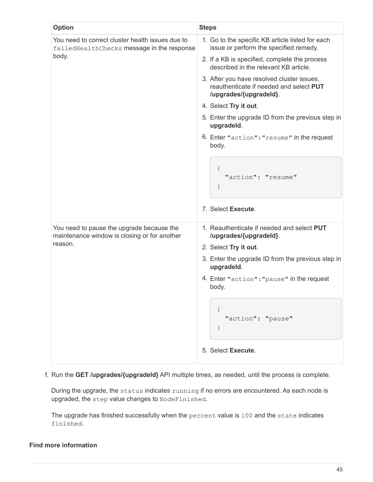| <b>Option</b>                                                                                  | <b>Steps</b>                                                                                                    |  |  |
|------------------------------------------------------------------------------------------------|-----------------------------------------------------------------------------------------------------------------|--|--|
| You need to correct cluster health issues due to<br>failedHealthChecks message in the response | 1. Go to the specific KB article listed for each<br>issue or perform the specified remedy.                      |  |  |
| body.                                                                                          | 2. If a KB is specified, complete the process<br>described in the relevant KB article.                          |  |  |
|                                                                                                | 3. After you have resolved cluster issues,<br>reauthenticate if needed and select PUT<br>/upgrades/{upgradeld}. |  |  |
|                                                                                                | 4. Select Try it out.                                                                                           |  |  |
|                                                                                                | 5. Enter the upgrade ID from the previous step in<br>upgradeld.                                                 |  |  |
|                                                                                                | 6. Enter "action": "resume" in the request<br>body.                                                             |  |  |
|                                                                                                | $\{$<br>"action": "resume"<br>$\}$                                                                              |  |  |
|                                                                                                | 7. Select Execute.                                                                                              |  |  |
| You need to pause the upgrade because the<br>maintenance window is closing or for another      | 1. Reauthenticate if needed and select PUT<br>/upgrades/{upgradeld}.                                            |  |  |
| reason.                                                                                        | 2. Select Try it out.                                                                                           |  |  |
|                                                                                                | 3. Enter the upgrade ID from the previous step in<br>upgradeld.                                                 |  |  |
|                                                                                                | 4. Enter "action": "pause" in the request<br>body.                                                              |  |  |
|                                                                                                | "action": "pause"                                                                                               |  |  |
|                                                                                                | 5. Select Execute.                                                                                              |  |  |

f. Run the **GET /upgrades/{upgradeId}** API multiple times, as needed, until the process is complete.

During the upgrade, the status indicates running if no errors are encountered. As each node is upgraded, the step value changes to NodeFinished.

The upgrade has finished successfully when the percent value is 100 and the state indicates finished.

### **Find more information**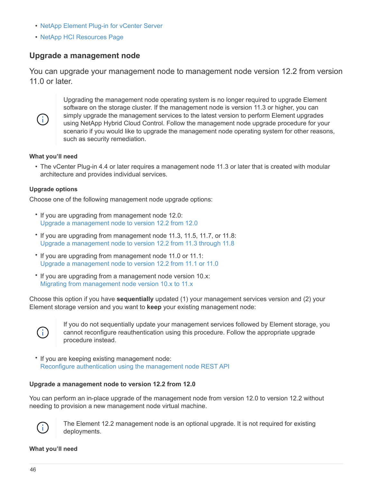- [NetApp Element Plug-in for vCenter Server](https://docs.netapp.com/us-en/vcp/index.html)
- [NetApp HCI Resources Page](https://www.netapp.com/hybrid-cloud/hci-documentation/)

## <span id="page-47-1"></span>**Upgrade a management node**

You can upgrade your management node to management node version 12.2 from version 11.0 or later.



Upgrading the management node operating system is no longer required to upgrade Element software on the storage cluster. If the management node is version 11.3 or higher, you can simply upgrade the management services to the latest version to perform Element upgrades using NetApp Hybrid Cloud Control. Follow the management node upgrade procedure for your scenario if you would like to upgrade the management node operating system for other reasons, such as security remediation.

#### **What you'll need**

• The vCenter Plug-in 4.4 or later requires a management node 11.3 or later that is created with modular architecture and provides individual services.

#### **Upgrade options**

Choose one of the following management node upgrade options:

- If you are upgrading from management node 12.0: [Upgrade a management node to version 12.2 from 12.0](#page-47-0)
- If you are upgrading from management node 11.3, 11.5, 11.7, or 11.8: [Upgrade a management node to version 12.2 from 11.3 through 11.8](#page-50-0)
- If you are upgrading from management node 11.0 or 11.1: [Upgrade a management node to version 12.2 from 11.1 or 11.0](#page-52-0)
- If you are upgrading from a management node version 10.x: [Migrating from management node version 10.x to 11.x](#page-56-0)

Choose this option if you have **sequentially** updated (1) your management services version and (2) your Element storage version and you want to **keep** your existing management node:



If you do not sequentially update your management services followed by Element storage, you cannot reconfigure reauthentication using this procedure. Follow the appropriate upgrade procedure instead.

• If you are keeping existing management node: [Reconfigure authentication using the management node REST API](#page-58-0)

#### <span id="page-47-0"></span>**Upgrade a management node to version 12.2 from 12.0**

You can perform an in-place upgrade of the management node from version 12.0 to version 12.2 without needing to provision a new management node virtual machine.



The Element 12.2 management node is an optional upgrade. It is not required for existing deployments.

#### **What you'll need**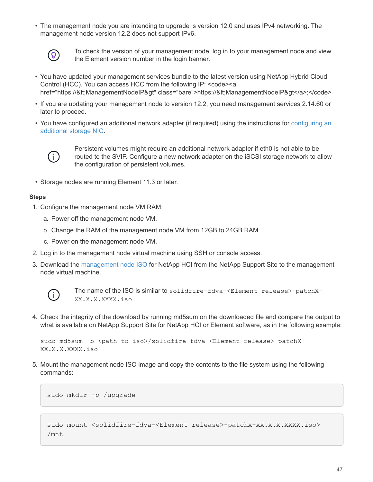• The management node you are intending to upgrade is version 12.0 and uses IPv4 networking. The management node version 12.2 does not support IPv6.



To check the version of your management node, log in to your management node and view the Element version number in the login banner.

- You have updated your management services bundle to the latest version using NetApp Hybrid Cloud Control (HCC). You can access HCC from the following IP: <code><a href="https://<ManagementNodeIP&gt" class="bare">https://&lt;ManagementNodeIP&gt</a>;</code>
- If you are updating your management node to version 12.2, you need management services 2.14.60 or later to proceed.
- You have configured an additional network adapter (if required) using the instructions for [configuring an](https://docs.netapp.com/us-en/hci18/docs/task_mnode_install_add_storage_NIC.html) [additional storage NIC](https://docs.netapp.com/us-en/hci18/docs/task_mnode_install_add_storage_NIC.html).



Persistent volumes might require an additional network adapter if eth0 is not able to be routed to the SVIP. Configure a new network adapter on the iSCSI storage network to allow the configuration of persistent volumes.

• Storage nodes are running Element 11.3 or later.

#### **Steps**

- 1. Configure the management node VM RAM:
	- a. Power off the management node VM.
	- b. Change the RAM of the management node VM from 12GB to 24GB RAM.
	- c. Power on the management node VM.
- 2. Log in to the management node virtual machine using SSH or console access.
- 3. Download the [management node ISO](https://mysupport.netapp.com/site/products/all/details/netapp-hci/downloads-tab) for NetApp HCI from the NetApp Support Site to the management node virtual machine.



The name of the ISO is similar to solidfire-fdva-<Element release>-patchX-XX.X.X.XXXX.iso

4. Check the integrity of the download by running md5sum on the downloaded file and compare the output to what is available on NetApp Support Site for NetApp HCI or Element software, as in the following example:

```
sudo md5sum -b <path to iso>/solidfire-fdva-<Element release>-patchX-
XX.X.X.XXXX.iso
```
5. Mount the management node ISO image and copy the contents to the file system using the following commands:

sudo mkdir -p /upgrade

```
sudo mount <solidfire-fdva-<Element release>-patchX-XX.X.X.XXXX.iso>
/mnt
```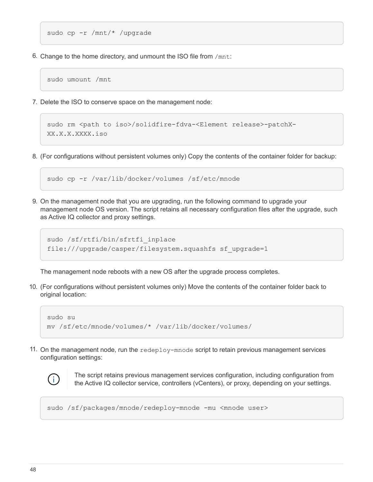```
sudo cp -r /mnt/* /upgrade
```
6. Change to the home directory, and unmount the ISO file from /mnt:

sudo umount /mnt

7. Delete the ISO to conserve space on the management node:

```
sudo rm <path to iso>/solidfire-fdva-<Element release>-patchX-
XX.X.X.XXXX.iso
```
8. (For configurations without persistent volumes only) Copy the contents of the container folder for backup:

```
sudo cp -r /var/lib/docker/volumes /sf/etc/mnode
```
9. On the management node that you are upgrading, run the following command to upgrade your management node OS version. The script retains all necessary configuration files after the upgrade, such as Active IQ collector and proxy settings.

```
sudo /sf/rtfi/bin/sfrtfi_inplace
file:///upgrade/casper/filesystem.squashfs sf_upgrade=1
```
The management node reboots with a new OS after the upgrade process completes.

10. (For configurations without persistent volumes only) Move the contents of the container folder back to original location:

```
sudo su
mv /sf/etc/mnode/volumes/* /var/lib/docker/volumes/
```
11. On the management node, run the redeploy-mnode script to retain previous management services configuration settings:



The script retains previous management services configuration, including configuration from the Active IQ collector service, controllers (vCenters), or proxy, depending on your settings.

sudo /sf/packages/mnode/redeploy-mnode -mu <mnode user>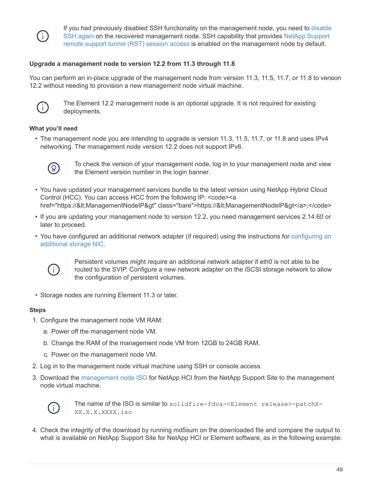

If you had previously disabled SSH functionality on the management node, you need to [disable](https://docs.netapp.com/us-en/hci18/docs/task_mnode_ssh_management.html) [SSH again](https://docs.netapp.com/us-en/hci18/docs/task_mnode_ssh_management.html) on the recovered management node. SSH capability that provides [NetApp Support](https://docs.netapp.com/us-en/hci18/docs/task_mnode_enable_remote_support_connections.html) [remote support tunnel \(RST\) session access](https://docs.netapp.com/us-en/hci18/docs/task_mnode_enable_remote_support_connections.html) is enabled on the management node by default.

## <span id="page-50-0"></span>**Upgrade a management node to version 12.2 from 11.3 through 11.8**

You can perform an in-place upgrade of the management node from version 11.3, 11.5, 11.7, or 11.8 to version 12.2 without needing to provision a new management node virtual machine.



The Element 12.2 management node is an optional upgrade. It is not required for existing deployments.

#### **What you'll need**

• The management node you are intending to upgrade is version 11.3, 11.5, 11.7, or 11.8 and uses IPv4 networking. The management node version 12.2 does not support IPv6.



To check the version of your management node, log in to your management node and view the Element version number in the login banner.

- You have updated your management services bundle to the latest version using NetApp Hybrid Cloud Control (HCC). You can access HCC from the following IP: <code><a href="https://<ManagementNodelP&gt" class="bare">https://&lt;ManagementNodelP&gt</a>;</code>
- If you are updating your management node to version 12.2, you need management services 2.14.60 or later to proceed.
- You have configured an additional network adapter (if required) using the instructions for [configuring an](https://docs.netapp.com/us-en/hci18/docs/task_mnode_install_add_storage_NIC.html) [additional storage NIC](https://docs.netapp.com/us-en/hci18/docs/task_mnode_install_add_storage_NIC.html).



Persistent volumes might require an additional network adapter if eth0 is not able to be routed to the SVIP. Configure a new network adapter on the iSCSI storage network to allow the configuration of persistent volumes.

• Storage nodes are running Element 11.3 or later.

#### **Steps**

- 1. Configure the management node VM RAM:
	- a. Power off the management node VM.
	- b. Change the RAM of the management node VM from 12GB to 24GB RAM.
	- c. Power on the management node VM.
- 2. Log in to the management node virtual machine using SSH or console access.
- 3. Download the [management node ISO](https://mysupport.netapp.com/site/products/all/details/netapp-hci/downloads-tab) for NetApp HCI from the NetApp Support Site to the management node virtual machine.



The name of the ISO is similar to solidfire-fdva-<Element release>-patchX-XX.X.X.XXXX.iso

4. Check the integrity of the download by running md5sum on the downloaded file and compare the output to what is available on NetApp Support Site for NetApp HCI or Element software, as in the following example: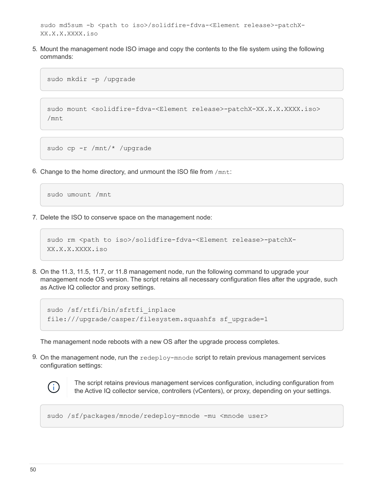```
sudo md5sum -b <path to iso>/solidfire-fdva-<Element release>-patchX-
XX.X.X.XXXX.iso
```
5. Mount the management node ISO image and copy the contents to the file system using the following commands:

sudo mkdir -p /upgrade

```
sudo mount <solidfire-fdva-<Element release>-patchX-XX.X.X.XXXX.iso>
/mnt
```
sudo cp -r /mnt/\* /upgrade

6. Change to the home directory, and unmount the ISO file from /mnt:

sudo umount /mnt

7. Delete the ISO to conserve space on the management node:

```
sudo rm <path to iso>/solidfire-fdva-<Element release>-patchX-
XX.X.X.XXXX.iso
```
8. On the 11.3, 11.5, 11.7, or 11.8 management node, run the following command to upgrade your management node OS version. The script retains all necessary configuration files after the upgrade, such as Active IQ collector and proxy settings.

```
sudo /sf/rtfi/bin/sfrtfi_inplace
file:///upgrade/casper/filesystem.squashfs sf_upgrade=1
```
The management node reboots with a new OS after the upgrade process completes.

9. On the management node, run the redeploy-mnode script to retain previous management services configuration settings:



The script retains previous management services configuration, including configuration from the Active IQ collector service, controllers (vCenters), or proxy, depending on your settings.

sudo /sf/packages/mnode/redeploy-mnode -mu <mnode user>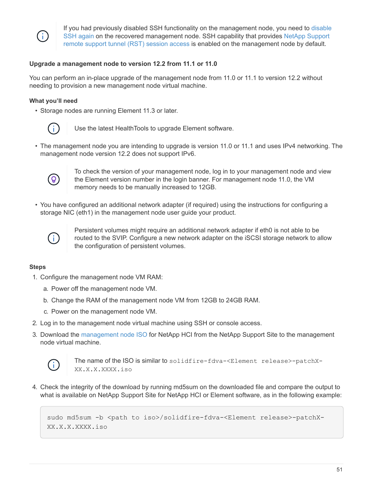

If you had previously disabled SSH functionality on the management node, you need to [disable](https://docs.netapp.com/us-en/hci18/docs/task_mnode_ssh_management.html) [SSH again](https://docs.netapp.com/us-en/hci18/docs/task_mnode_ssh_management.html) on the recovered management node. SSH capability that provides [NetApp Support](https://docs.netapp.com/us-en/hci18/docs/task_mnode_enable_remote_support_connections.html) [remote support tunnel \(RST\) session access](https://docs.netapp.com/us-en/hci18/docs/task_mnode_enable_remote_support_connections.html) is enabled on the management node by default.

## <span id="page-52-0"></span>**Upgrade a management node to version 12.2 from 11.1 or 11.0**

You can perform an in-place upgrade of the management node from 11.0 or 11.1 to version 12.2 without needing to provision a new management node virtual machine.

#### **What you'll need**

• Storage nodes are running Element 11.3 or later.



Use the latest HealthTools to upgrade Element software.

• The management node you are intending to upgrade is version 11.0 or 11.1 and uses IPv4 networking. The management node version 12.2 does not support IPv6.



To check the version of your management node, log in to your management node and view the Element version number in the login banner. For management node 11.0, the VM memory needs to be manually increased to 12GB.

• You have configured an additional network adapter (if required) using the instructions for configuring a storage NIC (eth1) in the management node user guide your product.



Persistent volumes might require an additional network adapter if eth0 is not able to be routed to the SVIP. Configure a new network adapter on the iSCSI storage network to allow the configuration of persistent volumes.

#### **Steps**

- 1. Configure the management node VM RAM:
	- a. Power off the management node VM.
	- b. Change the RAM of the management node VM from 12GB to 24GB RAM.
	- c. Power on the management node VM.
- 2. Log in to the management node virtual machine using SSH or console access.
- 3. Download the [management node ISO](https://mysupport.netapp.com/site/products/all/details/netapp-hci/downloads-tab) for NetApp HCI from the NetApp Support Site to the management node virtual machine.



The name of the ISO is similar to solidfire-fdva-<Element release>-patchX-XX.X.X.XXXX.iso

4. Check the integrity of the download by running md5sum on the downloaded file and compare the output to what is available on NetApp Support Site for NetApp HCI or Element software, as in the following example:

```
sudo md5sum -b <path to iso>/solidfire-fdva-<Element release>-patchX-
XX.X.X.XXXX.iso
```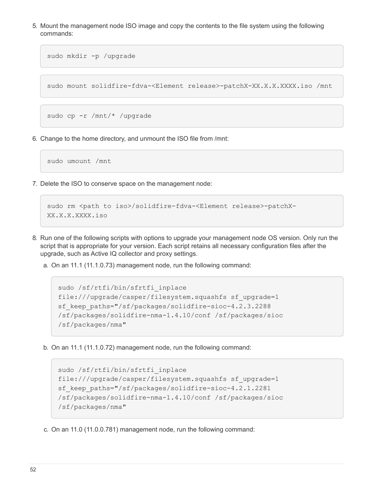5. Mount the management node ISO image and copy the contents to the file system using the following commands:

```
sudo mkdir -p /upgrade
```
sudo mount solidfire-fdva-<Element release>-patchX-XX.X.X.XXXX.iso /mnt

```
sudo cp -r /mnt/* /upgrade
```
6. Change to the home directory, and unmount the ISO file from /mnt:

sudo umount /mnt

7. Delete the ISO to conserve space on the management node:

```
sudo rm <path to iso>/solidfire-fdva-<Element release>-patchX-
XX.X.X.XXXX.iso
```
- 8. Run one of the following scripts with options to upgrade your management node OS version. Only run the script that is appropriate for your version. Each script retains all necessary configuration files after the upgrade, such as Active IQ collector and proxy settings.
	- a. On an 11.1 (11.1.0.73) management node, run the following command:

```
sudo /sf/rtfi/bin/sfrtfi_inplace
file:///upgrade/casper/filesystem.squashfs sf_upgrade=1
sf keep paths="/sf/packages/solidfire-sioc-4.2.3.2288
/sf/packages/solidfire-nma-1.4.10/conf /sf/packages/sioc
/sf/packages/nma"
```
b. On an 11.1 (11.1.0.72) management node, run the following command:

```
sudo /sf/rtfi/bin/sfrtfi_inplace
file:///upgrade/casper/filesystem.squashfs sf_upgrade=1
sf keep paths="/sf/packages/solidfire-sioc-4.2.1.2281
/sf/packages/solidfire-nma-1.4.10/conf /sf/packages/sioc
/sf/packages/nma"
```
c. On an 11.0 (11.0.0.781) management node, run the following command: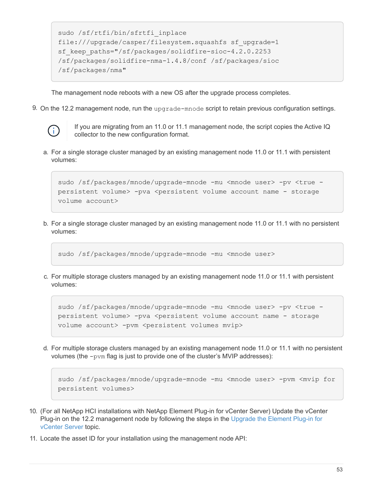```
sudo /sf/rtfi/bin/sfrtfi_inplace
file:///upgrade/casper/filesystem.squashfs sf_upgrade=1
sf keep paths="/sf/packages/solidfire-sioc-4.2.0.2253
/sf/packages/solidfire-nma-1.4.8/conf /sf/packages/sioc
/sf/packages/nma"
```
The management node reboots with a new OS after the upgrade process completes.

9. On the 12.2 management node, run the upgrade-mnode script to retain previous configuration settings.



If you are migrating from an 11.0 or 11.1 management node, the script copies the Active IQ collector to the new configuration format.

a. For a single storage cluster managed by an existing management node 11.0 or 11.1 with persistent volumes:

```
sudo /sf/packages/mnode/upgrade-mnode -mu <mnode user> -pv <true -
persistent volume> -pva <persistent volume account name - storage
volume account>
```
b. For a single storage cluster managed by an existing management node 11.0 or 11.1 with no persistent volumes:

```
sudo /sf/packages/mnode/upgrade-mnode -mu <mnode user>
```
c. For multiple storage clusters managed by an existing management node 11.0 or 11.1 with persistent volumes:

```
sudo /sf/packages/mnode/upgrade-mnode -mu <mnode user> -pv <true -
persistent volume> -pva <persistent volume account name - storage
volume account> -pvm <persistent volumes mvip>
```
d. For multiple storage clusters managed by an existing management node 11.0 or 11.1 with no persistent volumes (the -pvm flag is just to provide one of the cluster's MVIP addresses):

```
sudo /sf/packages/mnode/upgrade-mnode -mu <mnode user> -pvm <mvip for
persistent volumes>
```
- 10. (For all NetApp HCI installations with NetApp Element Plug-in for vCenter Server) Update the vCenter Plug-in on the 12.2 management node by following the steps in the [Upgrade the Element Plug-in for](#page-59-0) [vCenter Server](#page-59-0) topic.
- 11. Locate the asset ID for your installation using the management node API: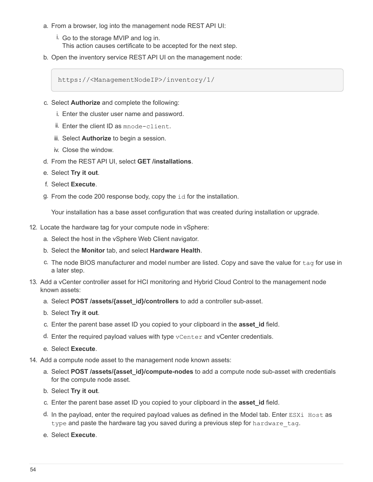- a. From a browser, log into the management node REST API UI:
	- i. Go to the storage MVIP and log in. This action causes certificate to be accepted for the next step.
- b. Open the inventory service REST API UI on the management node:

https://<ManagementNodeIP>/inventory/1/

- c. Select **Authorize** and complete the following:
	- i. Enter the cluster user name and password.
	- ii. Enter the client ID as mnode-client.
	- iii. Select **Authorize** to begin a session.
	- iv. Close the window.
- d. From the REST API UI, select **GET /installations**.
- e. Select **Try it out**.
- f. Select **Execute**.
- g. From the code 200 response body, copy the id for the installation.

Your installation has a base asset configuration that was created during installation or upgrade.

- 12. Locate the hardware tag for your compute node in vSphere:
	- a. Select the host in the vSphere Web Client navigator.
	- b. Select the **Monitor** tab, and select **Hardware Health**.
	- c. The node BIOS manufacturer and model number are listed. Copy and save the value for tag for use in a later step.
- 13. Add a vCenter controller asset for HCI monitoring and Hybrid Cloud Control to the management node known assets:
	- a. Select **POST /assets/{asset\_id}/controllers** to add a controller sub-asset.
	- b. Select **Try it out**.
	- c. Enter the parent base asset ID you copied to your clipboard in the **asset\_id** field.
	- d. Enter the required payload values with type vCenter and vCenter credentials.
	- e. Select **Execute**.
- 14. Add a compute node asset to the management node known assets:
	- a. Select **POST /assets/{asset\_id}/compute-nodes** to add a compute node sub-asset with credentials for the compute node asset.
	- b. Select **Try it out**.
	- c. Enter the parent base asset ID you copied to your clipboard in the **asset\_id** field.
	- d. In the payload, enter the required payload values as defined in the Model tab. Enter ESXi Host as type and paste the hardware tag you saved during a previous step for hardware tag.
	- e. Select **Execute**.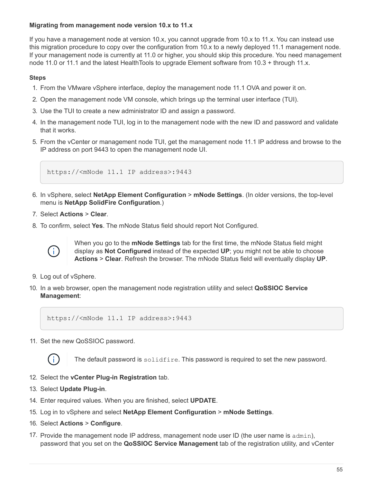## <span id="page-56-0"></span>**Migrating from management node version 10.x to 11.x**

If you have a management node at version 10.x, you cannot upgrade from 10.x to 11.x. You can instead use this migration procedure to copy over the configuration from 10.x to a newly deployed 11.1 management node. If your management node is currently at 11.0 or higher, you should skip this procedure. You need management node 11.0 or 11.1 and the latest HealthTools to upgrade Element software from 10.3 + through 11.x.

### **Steps**

- 1. From the VMware vSphere interface, deploy the management node 11.1 OVA and power it on.
- 2. Open the management node VM console, which brings up the terminal user interface (TUI).
- 3. Use the TUI to create a new administrator ID and assign a password.
- 4. In the management node TUI, log in to the management node with the new ID and password and validate that it works.
- 5. From the vCenter or management node TUI, get the management node 11.1 IP address and browse to the IP address on port 9443 to open the management node UI.

https://<mNode 11.1 IP address>:9443

- 6. In vSphere, select **NetApp Element Configuration** > **mNode Settings**. (In older versions, the top-level menu is **NetApp SolidFire Configuration**.)
- 7. Select **Actions** > **Clear**.
- 8. To confirm, select **Yes**. The mNode Status field should report Not Configured.



When you go to the **mNode Settings** tab for the first time, the mNode Status field might display as **Not Configured** instead of the expected **UP**; you might not be able to choose **Actions** > **Clear**. Refresh the browser. The mNode Status field will eventually display **UP**.

- 9. Log out of vSphere.
- 10. In a web browser, open the management node registration utility and select **QoSSIOC Service Management**:

https://<mNode 11.1 IP address>:9443

11. Set the new QoSSIOC password.



The default password is solidfire. This password is required to set the new password.

- 12. Select the **vCenter Plug-in Registration** tab.
- 13. Select **Update Plug-in**.
- 14. Enter required values. When you are finished, select **UPDATE**.
- 15. Log in to vSphere and select **NetApp Element Configuration** > **mNode Settings**.
- 16. Select **Actions** > **Configure**.
- 17. Provide the management node IP address, management node user ID (the user name is  $\alpha$ dmin), password that you set on the **QoSSIOC Service Management** tab of the registration utility, and vCenter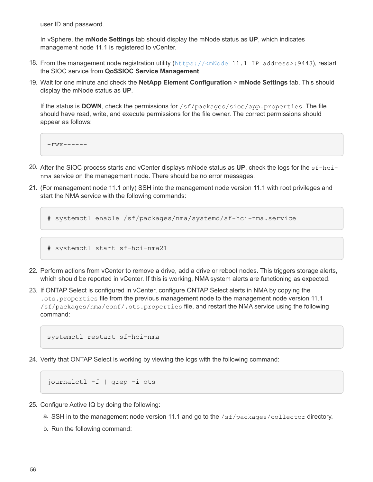user ID and password.

In vSphere, the **mNode Settings** tab should display the mNode status as **UP**, which indicates management node 11.1 is registered to vCenter.

- 18. From the management node registration utility (<https://<mNode>11.1 IP address>:9443), restart the SIOC service from **QoSSIOC Service Management**.
- 19. Wait for one minute and check the **NetApp Element Configuration** > **mNode Settings** tab. This should display the mNode status as **UP**.

If the status is **DOWN**, check the permissions for /sf/packages/sioc/app.properties. The file should have read, write, and execute permissions for the file owner. The correct permissions should appear as follows:

 $-rwx----$ 

- 20. After the SIOC process starts and vCenter displays mNode status as **UP**, check the logs for the sf-hcinma service on the management node. There should be no error messages.
- 21. (For management node 11.1 only) SSH into the management node version 11.1 with root privileges and start the NMA service with the following commands:

```
# systemctl enable /sf/packages/nma/systemd/sf-hci-nma.service
```

```
# systemctl start sf-hci-nma21
```
- 22. Perform actions from vCenter to remove a drive, add a drive or reboot nodes. This triggers storage alerts, which should be reported in vCenter. If this is working, NMA system alerts are functioning as expected.
- 23. If ONTAP Select is configured in vCenter, configure ONTAP Select alerts in NMA by copying the .ots.properties file from the previous management node to the management node version 11.1 /sf/packages/nma/conf/.ots.properties file, and restart the NMA service using the following command:

systemctl restart sf-hci-nma

24. Verify that ONTAP Select is working by viewing the logs with the following command:

journalctl -f | grep -i ots

- 25. Configure Active IQ by doing the following:
	- a. SSH in to the management node version 11.1 and go to the /sf/packages/collector directory.
	- b. Run the following command: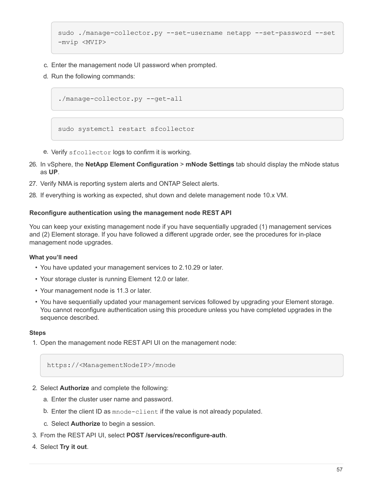```
sudo ./manage-collector.py --set-username netapp --set-password --set
-mvip <MVIP>
```
- c. Enter the management node UI password when prompted.
- d. Run the following commands:

./manage-collector.py --get-all

sudo systemctl restart sfcollector

- e. Verify sfcollector logs to confirm it is working.
- 26. In vSphere, the **NetApp Element Configuration** > **mNode Settings** tab should display the mNode status as **UP**.
- 27. Verify NMA is reporting system alerts and ONTAP Select alerts.
- 28. If everything is working as expected, shut down and delete management node 10.x VM.

#### <span id="page-58-0"></span>**Reconfigure authentication using the management node REST API**

You can keep your existing management node if you have sequentially upgraded (1) management services and (2) Element storage. If you have followed a different upgrade order, see the procedures for in-place management node upgrades.

### **What you'll need**

- You have updated your management services to 2.10.29 or later.
- Your storage cluster is running Element 12.0 or later.
- Your management node is 11.3 or later.
- You have sequentially updated your management services followed by upgrading your Element storage. You cannot reconfigure authentication using this procedure unless you have completed upgrades in the sequence described.

#### **Steps**

1. Open the management node REST API UI on the management node:

https://<ManagementNodeIP>/mnode

- 2. Select **Authorize** and complete the following:
	- a. Enter the cluster user name and password.
	- b. Enter the client ID as mnode-client if the value is not already populated.
	- c. Select **Authorize** to begin a session.
- 3. From the REST API UI, select **POST /services/reconfigure-auth**.
- 4. Select **Try it out**.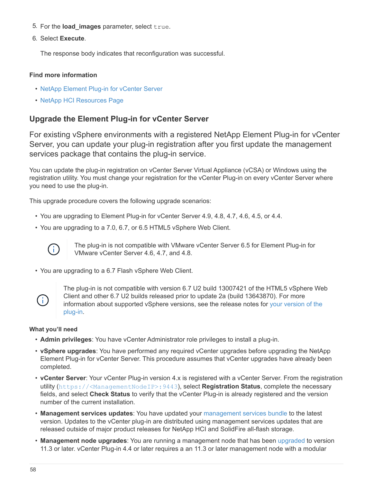- 5. For the **load\_images** parameter, select true.
- 6. Select **Execute**.

The response body indicates that reconfiguration was successful.

#### **Find more information**

- [NetApp Element Plug-in for vCenter Server](https://docs.netapp.com/us-en/vcp/index.html)
- [NetApp HCI Resources Page](https://www.netapp.com/hybrid-cloud/hci-documentation/)

## <span id="page-59-0"></span>**Upgrade the Element Plug-in for vCenter Server**

For existing vSphere environments with a registered NetApp Element Plug-in for vCenter Server, you can update your plug-in registration after you first update the management services package that contains the plug-in service.

You can update the plug-in registration on vCenter Server Virtual Appliance (vCSA) or Windows using the registration utility. You must change your registration for the vCenter Plug-in on every vCenter Server where you need to use the plug-in.

This upgrade procedure covers the following upgrade scenarios:

- You are upgrading to Element Plug-in for vCenter Server 4.9, 4.8, 4.7, 4.6, 4.5, or 4.4.
- You are upgrading to a 7.0, 6.7, or 6.5 HTML5 vSphere Web Client.



The plug-in is not compatible with VMware vCenter Server 6.5 for Element Plug-in for VMware vCenter Server 4.6, 4.7, and 4.8.

• You are upgrading to a 6.7 Flash vSphere Web Client.



The plug-in is not compatible with version 6.7 U2 build 13007421 of the HTML5 vSphere Web Client and other 6.7 U2 builds released prior to update 2a (build 13643870). For more information about supported vSphere versions, see the release notes for [your version of the](https://docs.netapp.com/us-en/vcp/rn_relatedrn_vcp.html#netapp-element-plug-in-for-vcenter-server) [plug-in.](https://docs.netapp.com/us-en/vcp/rn_relatedrn_vcp.html#netapp-element-plug-in-for-vcenter-server)

#### **What you'll need**

- **Admin privileges**: You have vCenter Administrator role privileges to install a plug-in.
- **vSphere upgrades**: You have performed any required vCenter upgrades before upgrading the NetApp Element Plug-in for vCenter Server. This procedure assumes that vCenter upgrades have already been completed.
- **vCenter Server**: Your vCenter Plug-in version 4.x is registered with a vCenter Server. From the registration utility (<https://<ManagementNodeIP>:9443>), select **Registration Status**, complete the necessary fields, and select **Check Status** to verify that the vCenter Plug-in is already registered and the version number of the current installation.
- **Management services updates**: You have updated your [management services bundle](https://mysupport.netapp.com/site/products/all/details/mgmtservices/downloads-tab) to the latest version. Updates to the vCenter plug-in are distributed using management services updates that are released outside of major product releases for NetApp HCI and SolidFire all-flash storage.
- **Management node upgrades**: You are running a management node that has been [upgraded](#page-47-1) to version 11.3 or later. vCenter Plug-in 4.4 or later requires a an 11.3 or later management node with a modular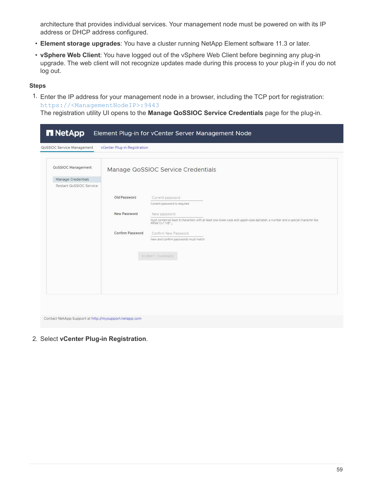architecture that provides individual services. Your management node must be powered on with its IP address or DHCP address configured.

- **Element storage upgrades**: You have a cluster running NetApp Element software 11.3 or later.
- **vSphere Web Client**: You have logged out of the vSphere Web Client before beginning any plug-in upgrade. The web client will not recognize updates made during this process to your plug-in if you do not log out.

#### **Steps**

1. Enter the IP address for your management node in a browser, including the TCP port for registration: <https://<ManagementNodeIP>:9443>

The registration utility UI opens to the **Manage QoSSIOC Service Credentials** page for the plug-in.

| QoSSIOC Service Management                                                 | vCenter Plug-in Registration |                                                                                                                                                                     |
|----------------------------------------------------------------------------|------------------------------|---------------------------------------------------------------------------------------------------------------------------------------------------------------------|
| <b>QoSSIOC Management</b><br>Manage Credentials<br>Restart QoSSIOC Service |                              | Manage QoSSIOC Service Credentials                                                                                                                                  |
|                                                                            | Old Password                 | Current password<br>Current password is required                                                                                                                    |
|                                                                            | New Password                 | New password<br>Must contain at least 8 characters with at least one lower-case and upper-case alphabet, a number and a special character like<br>#\$%&'()-/'.+!@^_ |
|                                                                            | Confirm Password             | Confirm New Password<br>New and confirm passwords must match                                                                                                        |
|                                                                            |                              | SUBMIT CHANGES                                                                                                                                                      |
|                                                                            |                              |                                                                                                                                                                     |
|                                                                            |                              |                                                                                                                                                                     |

2. Select **vCenter Plug-in Registration**.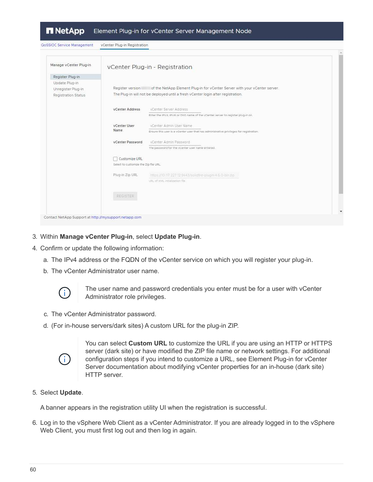| QoSSIOC Service Management | vCenter Plug-in Registration          |                                                                                         |  |
|----------------------------|---------------------------------------|-----------------------------------------------------------------------------------------|--|
| Manage vCenter Plug-in     |                                       | vCenter Plug-in - Registration                                                          |  |
| Register Plug-in           |                                       |                                                                                         |  |
| Update Plug-in             |                                       |                                                                                         |  |
| Unregister Plug-in         | Register version                      | of the NetApp Element Plug-in for vCenter Server with your vCenter server.              |  |
| Registration Status        |                                       | The Plug-in will not be deployed until a fresh vCenter login after registration.        |  |
|                            | vCenter Address                       | vCenter Server Address                                                                  |  |
|                            |                                       | Enter the IPV4, IPV6 or DNS name of the vCenter server to register plug-in on.          |  |
|                            | vCenter User                          | vCenter Admin User Name                                                                 |  |
|                            | Name.                                 | Ensure this user is a vCenter user that has administrative privileges for registration. |  |
|                            | vCenter Password                      | vCenter Admin Password                                                                  |  |
|                            |                                       | The password for the vCenter user name entered.                                         |  |
|                            | Customize URL                         |                                                                                         |  |
|                            | Select to customize the Zip file URL. |                                                                                         |  |
|                            | Plug-in Zip URL                       | https://l0.117.227.12.9443/solidfire-plugin-4.5.0-bin.zip                               |  |
|                            |                                       | URL of XML inhalization file                                                            |  |
|                            | <b>REGISTER</b>                       |                                                                                         |  |
|                            |                                       |                                                                                         |  |
|                            |                                       |                                                                                         |  |

- 3. Within **Manage vCenter Plug-in**, select **Update Plug-in**.
- 4. Confirm or update the following information:
	- a. The IPv4 address or the FQDN of the vCenter service on which you will register your plug-in.
	- b. The vCenter Administrator user name.



The user name and password credentials you enter must be for a user with vCenter Administrator role privileges.

- c. The vCenter Administrator password.
- d. (For in-house servers/dark sites) A custom URL for the plug-in ZIP.



You can select **Custom URL** to customize the URL if you are using an HTTP or HTTPS server (dark site) or have modified the ZIP file name or network settings. For additional configuration steps if you intend to customize a URL, see Element Plug-in for vCenter Server documentation about modifying vCenter properties for an in-house (dark site) HTTP server.

#### 5. Select **Update**.

A banner appears in the registration utility UI when the registration is successful.

6. Log in to the vSphere Web Client as a vCenter Administrator. If you are already logged in to the vSphere Web Client, you must first log out and then log in again.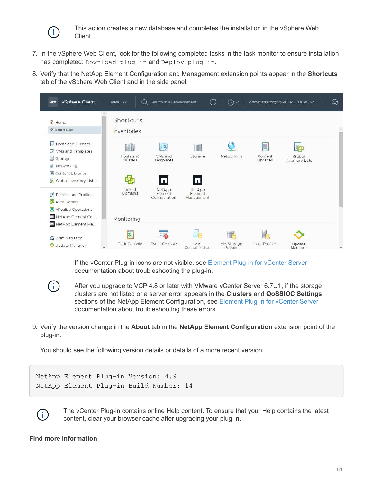

This action creates a new database and completes the installation in the vSphere Web Client.

- 7. In the vSphere Web Client, look for the following completed tasks in the task monitor to ensure installation has completed: Download plug-in and Deploy plug-in.
- 8. Verify that the NetApp Element Configuration and Management extension points appear in the **Shortcuts** tab of the vSphere Web Client and in the side panel.



If the vCenter Plug-in icons are not visible, see [Element Plug-in for vCenter Server](https://docs.netapp.com/us-en/vcp/vcp_reference_troubleshoot_vcp.html#plug-in-registration-successful-but-icons-do-not-appear-in-web-client) documentation about troubleshooting the plug-in.



After you upgrade to VCP 4.8 or later with VMware vCenter Server 6.7U1, if the storage clusters are not listed or a server error appears in the **Clusters** and **QoSSIOC Settings** sections of the NetApp Element Configuration, see [Element Plug-in for vCenter Server](https://docs.netapp.com/us-en/vcp/vcp_reference_troubleshoot_vcp.html#errors-after-vcp-4-8-upgrade-with-vmware-vcenter-server-6-7u1) documentation about troubleshooting these errors.

9. Verify the version change in the **About** tab in the **NetApp Element Configuration** extension point of the plug-in.

You should see the following version details or details of a more recent version:

```
NetApp Element Plug-in Version: 4.9
NetApp Element Plug-in Build Number: 14
```


The vCenter Plug-in contains online Help content. To ensure that your Help contains the latest content, clear your browser cache after upgrading your plug-in.

## **Find more information**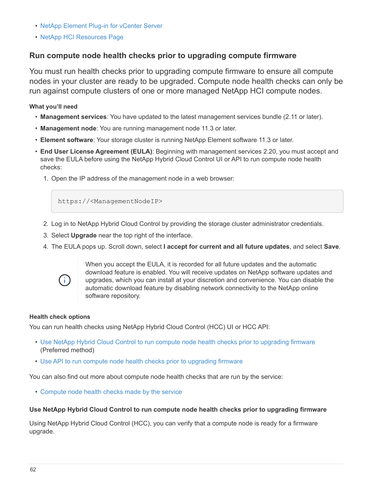- [NetApp Element Plug-in for vCenter Server](https://docs.netapp.com/us-en/vcp/index.html)
- [NetApp HCI Resources Page](https://www.netapp.com/hybrid-cloud/hci-documentation/)

## **Run compute node health checks prior to upgrading compute firmware**

You must run health checks prior to upgrading compute firmware to ensure all compute nodes in your cluster are ready to be upgraded. Compute node health checks can only be run against compute clusters of one or more managed NetApp HCI compute nodes.

**What you'll need**

- **Management services**: You have updated to the latest management services bundle (2.11 or later).
- **Management node**: You are running management node 11.3 or later.
- **Element software**: Your storage cluster is running NetApp Element software 11.3 or later.
- **End User License Agreement (EULA)**: Beginning with management services 2.20, you must accept and save the EULA before using the NetApp Hybrid Cloud Control UI or API to run compute node health checks:
	- 1. Open the IP address of the management node in a web browser:

https://<ManagementNodeIP>

- 2. Log in to NetApp Hybrid Cloud Control by providing the storage cluster administrator credentials.
- 3. Select **Upgrade** near the top right of the interface.
- 4. The EULA pops up. Scroll down, select **I accept for current and all future updates**, and select **Save**.



When you accept the EULA, it is recorded for all future updates and the automatic download feature is enabled. You will receive updates on NetApp software updates and upgrades, which you can install at your discretion and convenience. You can disable the automatic download feature by disabling network connectivity to the NetApp online software repository.

#### **Health check options**

You can run health checks using NetApp Hybrid Cloud Control (HCC) UI or HCC API:

- [Use NetApp Hybrid Cloud Control to run compute node health checks prior to upgrading firmware](#page-63-0) (Preferred method)
- [Use API to run compute node health checks prior to upgrading firmware](#page-64-0)

You can also find out more about compute node health checks that are run by the service:

• [Compute node health checks made by the service](#page-67-0)

## <span id="page-63-0"></span>**Use NetApp Hybrid Cloud Control to run compute node health checks prior to upgrading firmware**

Using NetApp Hybrid Cloud Control (HCC), you can verify that a compute node is ready for a firmware upgrade.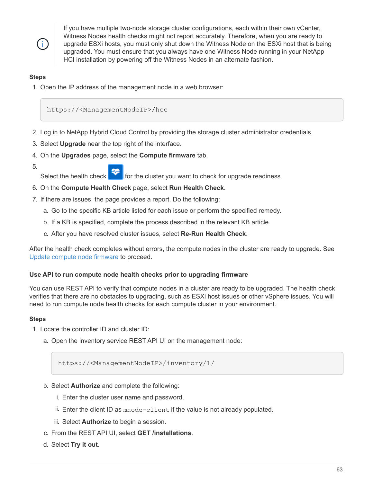÷.

If you have multiple two-node storage cluster configurations, each within their own vCenter, Witness Nodes health checks might not report accurately. Therefore, when you are ready to upgrade ESXi hosts, you must only shut down the Witness Node on the ESXi host that is being upgraded. You must ensure that you always have one Witness Node running in your NetApp HCI installation by powering off the Witness Nodes in an alternate fashion.

## **Steps**

1. Open the IP address of the management node in a web browser:

https://<ManagementNodeIP>/hcc

- 2. Log in to NetApp Hybrid Cloud Control by providing the storage cluster administrator credentials.
- 3. Select **Upgrade** near the top right of the interface.
- 4. On the **Upgrades** page, select the **Compute firmware** tab.
- 5.

Select the health check  $\mathbb{R}$  for the cluster you want to check for upgrade readiness.

- 6. On the **Compute Health Check** page, select **Run Health Check**.
- 7. If there are issues, the page provides a report. Do the following:
	- a. Go to the specific KB article listed for each issue or perform the specified remedy.
	- b. If a KB is specified, complete the process described in the relevant KB article.
	- c. After you have resolved cluster issues, select **Re-Run Health Check**.

After the health check completes without errors, the compute nodes in the cluster are ready to upgrade. See [Update compute node firmware](#page-71-0) to proceed.

## <span id="page-64-0"></span>**Use API to run compute node health checks prior to upgrading firmware**

You can use REST API to verify that compute nodes in a cluster are ready to be upgraded. The health check verifies that there are no obstacles to upgrading, such as ESXi host issues or other vSphere issues. You will need to run compute node health checks for each compute cluster in your environment.

## **Steps**

- 1. Locate the controller ID and cluster ID:
	- a. Open the inventory service REST API UI on the management node:

https://<ManagementNodeIP>/inventory/1/

- b. Select **Authorize** and complete the following:
	- i. Enter the cluster user name and password.
	- ii. Enter the client ID as mnode-client if the value is not already populated.
	- iii. Select **Authorize** to begin a session.
- c. From the REST API UI, select **GET /installations**.
- d. Select **Try it out**.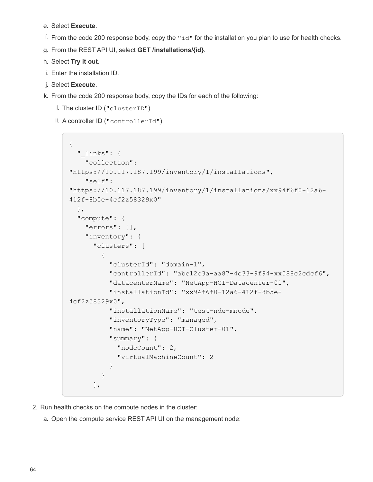- e. Select **Execute**.
- f. From the code 200 response body, copy the " $id$ " for the installation you plan to use for health checks.
- g. From the REST API UI, select **GET /installations/{id}**.
- h. Select **Try it out**.
- i. Enter the installation ID.
- j. Select **Execute**.
- k. From the code 200 response body, copy the IDs for each of the following:
	- i. The cluster ID ("clusterID")
	- ii. A controller ID ("controllerId")

```
{
  " links": {
      "collection":
"https://10.117.187.199/inventory/1/installations",
      "self":
"https://10.117.187.199/inventory/1/installations/xx94f6f0-12a6-
412f-8b5e-4cf2z58329x0"
    },
    "compute": {
      "errors": [],
      "inventory": {
        "clusters": [
\{  "clusterId": "domain-1",
            "controllerId": "abc12c3a-aa87-4e33-9f94-xx588c2cdcf6",
            "datacenterName": "NetApp-HCI-Datacenter-01",
            "installationId": "xx94f6f0-12a6-412f-8b5e-
4cf2z58329x0",
            "installationName": "test-nde-mnode",
            "inventoryType": "managed",
            "name": "NetApp-HCI-Cluster-01",
            "summary": {
              "nodeCount": 2,
              "virtualMachineCount": 2
  }
  }
        ],
```
- 2. Run health checks on the compute nodes in the cluster:
	- a. Open the compute service REST API UI on the management node: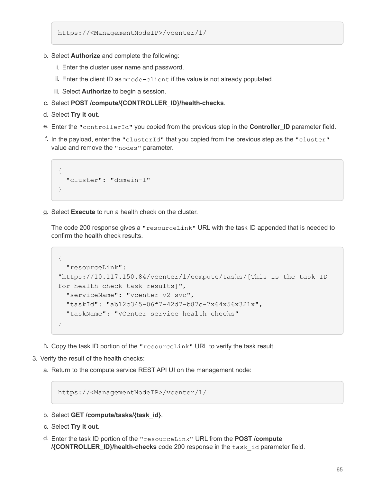https://<ManagementNodeIP>/vcenter/1/

- b. Select **Authorize** and complete the following:
	- i. Enter the cluster user name and password.
	- ii. Enter the client ID as mnode-client if the value is not already populated.
	- iii. Select **Authorize** to begin a session.
- c. Select **POST /compute/{CONTROLLER\_ID}/health-checks**.
- d. Select **Try it out**.
- e. Enter the "controllerId" you copied from the previous step in the **Controller\_ID** parameter field.
- f. In the payload, enter the "clusterId" that you copied from the previous step as the "cluster" value and remove the "nodes" parameter.

```
{
    "cluster": "domain-1"
}
```
g. Select **Execute** to run a health check on the cluster.

The code 200 response gives a "resourceLink" URL with the task ID appended that is needed to confirm the health check results.

```
{
    "resourceLink":
"https://10.117.150.84/vcenter/1/compute/tasks/[This is the task ID
for health check task results]",
    "serviceName": "vcenter-v2-svc",
    "taskId": "ab12c345-06f7-42d7-b87c-7x64x56x321x",
    "taskName": "VCenter service health checks"
}
```
- h. Copy the task ID portion of the "resourceLink" URL to verify the task result.
- 3. Verify the result of the health checks:
	- a. Return to the compute service REST API UI on the management node:

https://<ManagementNodeIP>/vcenter/1/

- b. Select **GET /compute/tasks/{task\_id}**.
- c. Select **Try it out**.
- d. Enter the task ID portion of the "resourceLink" URL from the **POST /compute /{CONTROLLER\_ID}/health-checks** code 200 response in the task\_id parameter field.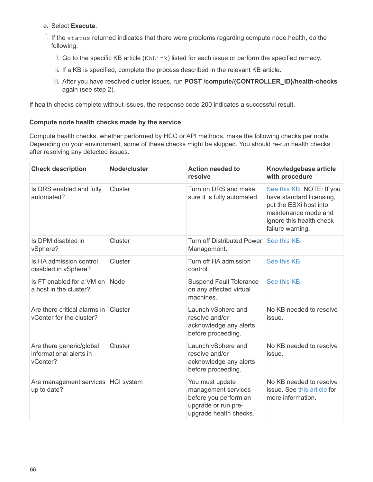### e. Select **Execute**.

- f. If the status returned indicates that there were problems regarding compute node health, do the following:
	- i. Go to the specific KB article (KbLink) listed for each issue or perform the specified remedy.
	- ii. If a KB is specified, complete the process described in the relevant KB article.
	- iii. After you have resolved cluster issues, run **POST /compute/{CONTROLLER\_ID}/health-checks** again (see step 2).

If health checks complete without issues, the response code 200 indicates a successful result.

## <span id="page-67-0"></span>**Compute node health checks made by the service**

Compute health checks, whether performed by HCC or API methods, make the following checks per node. Depending on your environment, some of these checks might be skipped. You should re-run health checks after resolving any detected issues.

| <b>Check description</b>                                        | Node/cluster | <b>Action needed to</b><br>resolve                                                                               | Knowledgebase article<br>with procedure                                                                                                                 |
|-----------------------------------------------------------------|--------------|------------------------------------------------------------------------------------------------------------------|---------------------------------------------------------------------------------------------------------------------------------------------------------|
| Is DRS enabled and fully<br>automated?                          | Cluster      | Turn on DRS and make<br>sure it is fully automated.                                                              | See this KB. NOTE: If you<br>have standard licensing,<br>put the ESXi host into<br>maintenance mode and<br>ignore this health check<br>failure warning. |
| Is DPM disabled in<br>vSphere?                                  | Cluster      | <b>Turn off Distributed Power</b><br>Management.                                                                 | See this KB.                                                                                                                                            |
| Is HA admission control<br>disabled in vSphere?                 | Cluster      | Turn off HA admission<br>control.                                                                                | See this KB.                                                                                                                                            |
| Is FT enabled for a VM on<br>a host in the cluster?             | Node         | <b>Suspend Fault Tolerance</b><br>on any affected virtual<br>machines.                                           | See this KB.                                                                                                                                            |
| Are there critical alarms in<br>vCenter for the cluster?        | Cluster      | Launch vSphere and<br>resolve and/or<br>acknowledge any alerts<br>before proceeding.                             | No KB needed to resolve<br>issue.                                                                                                                       |
| Are there generic/global<br>informational alerts in<br>vCenter? | Cluster      | Launch vSphere and<br>resolve and/or<br>acknowledge any alerts<br>before proceeding.                             | No KB needed to resolve<br>issue.                                                                                                                       |
| Are management services HCI system<br>up to date?               |              | You must update<br>management services<br>before you perform an<br>upgrade or run pre-<br>upgrade health checks. | No KB needed to resolve<br>issue. See this article for<br>more information.                                                                             |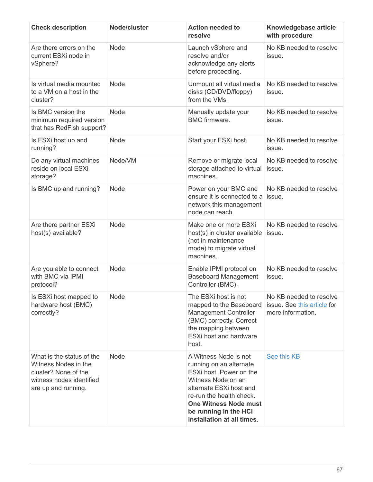| <b>Check description</b>                                                                                                     | Node/cluster | <b>Action needed to</b><br>resolve                                                                                                                                                                                                              | Knowledgebase article<br>with procedure                                     |
|------------------------------------------------------------------------------------------------------------------------------|--------------|-------------------------------------------------------------------------------------------------------------------------------------------------------------------------------------------------------------------------------------------------|-----------------------------------------------------------------------------|
| Are there errors on the<br>current ESXi node in<br>vSphere?                                                                  | Node         | Launch vSphere and<br>resolve and/or<br>acknowledge any alerts<br>before proceeding.                                                                                                                                                            | No KB needed to resolve<br>issue.                                           |
| Is virtual media mounted<br>to a VM on a host in the<br>cluster?                                                             | Node         | Unmount all virtual media<br>disks (CD/DVD/floppy)<br>from the VMs.                                                                                                                                                                             | No KB needed to resolve<br>issue.                                           |
| Is BMC version the<br>minimum required version<br>that has RedFish support?                                                  | <b>Node</b>  | Manually update your<br><b>BMC</b> firmware.                                                                                                                                                                                                    | No KB needed to resolve<br>issue.                                           |
| Is ESXi host up and<br>running?                                                                                              | Node         | Start your ESXi host.                                                                                                                                                                                                                           | No KB needed to resolve<br>issue.                                           |
| Do any virtual machines<br>reside on local ESXi<br>storage?                                                                  | Node/VM      | Remove or migrate local<br>storage attached to virtual<br>machines.                                                                                                                                                                             | No KB needed to resolve<br>issue.                                           |
| Is BMC up and running?                                                                                                       | <b>Node</b>  | Power on your BMC and<br>ensure it is connected to a<br>network this management<br>node can reach.                                                                                                                                              | No KB needed to resolve<br>issue.                                           |
| Are there partner ESXi<br>host(s) available?                                                                                 | <b>Node</b>  | Make one or more ESXi<br>host(s) in cluster available<br>(not in maintenance<br>mode) to migrate virtual<br>machines.                                                                                                                           | No KB needed to resolve<br>issue.                                           |
| Are you able to connect<br>with BMC via IPMI<br>protocol?                                                                    | <b>Node</b>  | Enable IPMI protocol on<br><b>Baseboard Management</b><br>Controller (BMC).                                                                                                                                                                     | No KB needed to resolve<br>issue.                                           |
| Is ESXi host mapped to<br>hardware host (BMC)<br>correctly?                                                                  | Node         | The ESXi host is not<br>mapped to the Baseboard<br><b>Management Controller</b><br>(BMC) correctly. Correct<br>the mapping between<br>ESXi host and hardware<br>host.                                                                           | No KB needed to resolve<br>issue. See this article for<br>more information. |
| What is the status of the<br>Witness Nodes in the<br>cluster? None of the<br>witness nodes identified<br>are up and running. | <b>Node</b>  | A Witness Node is not<br>running on an alternate<br>ESXi host. Power on the<br>Witness Node on an<br>alternate ESXi host and<br>re-run the health check.<br><b>One Witness Node must</b><br>be running in the HCI<br>installation at all times. | See this KB                                                                 |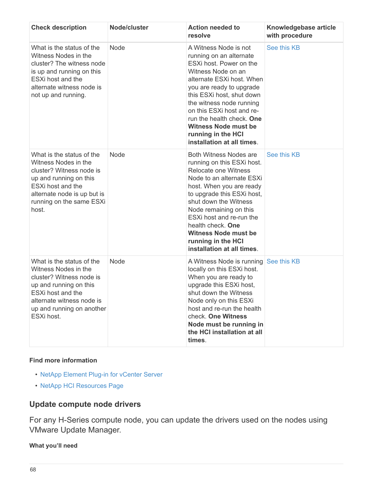| <b>Check description</b>                                                                                                                                                                             | Node/cluster | <b>Action needed to</b><br>resolve                                                                                                                                                                                                                                                                                                                                | Knowledgebase article<br>with procedure |
|------------------------------------------------------------------------------------------------------------------------------------------------------------------------------------------------------|--------------|-------------------------------------------------------------------------------------------------------------------------------------------------------------------------------------------------------------------------------------------------------------------------------------------------------------------------------------------------------------------|-----------------------------------------|
| What is the status of the<br>Witness Nodes in the<br>cluster? The witness node<br>is up and running on this<br>ESXi host and the<br>alternate witness node is<br>not up and running.                 | Node         | A Witness Node is not<br>running on an alternate<br>ESXi host. Power on the<br>Witness Node on an<br>alternate ESXi host. When<br>you are ready to upgrade<br>this ESXi host, shut down<br>the witness node running<br>on this ESXi host and re-<br>run the health check. One<br><b>Witness Node must be</b><br>running in the HCI<br>installation at all times.  | See this KB                             |
| What is the status of the<br>Witness Nodes in the<br>cluster? Witness node is<br>up and running on this<br>ESXi host and the<br>alternate node is up but is<br>running on the same ESXi<br>host.     | Node         | <b>Both Witness Nodes are</b><br>running on this ESXi host.<br>Relocate one Witness<br>Node to an alternate ESXi<br>host. When you are ready<br>to upgrade this ESXi host,<br>shut down the Witness<br>Node remaining on this<br>ESXi host and re-run the<br>health check. One<br><b>Witness Node must be</b><br>running in the HCI<br>installation at all times. | See this KB                             |
| What is the status of the<br>Witness Nodes in the<br>cluster? Witness node is<br>up and running on this<br>ESXi host and the<br>alternate witness node is<br>up and running on another<br>ESXi host. | Node         | A Witness Node is running See this KB<br>locally on this ESXi host.<br>When you are ready to<br>upgrade this ESXi host,<br>shut down the Witness<br>Node only on this ESXi<br>host and re-run the health<br>check. One Witness<br>Node must be running in<br>the HCI installation at all<br>times.                                                                |                                         |

## **Find more information**

- [NetApp Element Plug-in for vCenter Server](https://docs.netapp.com/us-en/vcp/index.html)
- [NetApp HCI Resources Page](https://www.netapp.com/hybrid-cloud/hci-documentation/)

# **Update compute node drivers**

For any H-Series compute node, you can update the drivers used on the nodes using VMware Update Manager.

**What you'll need**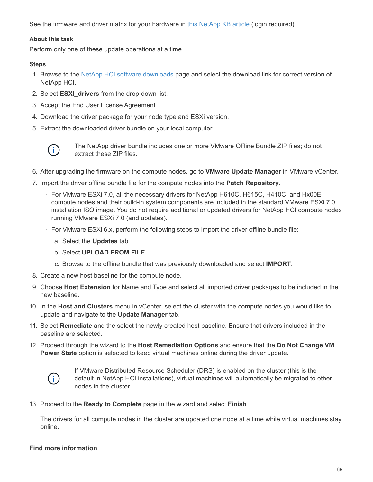See the firmware and driver matrix for your hardware in [this NetApp KB article](https://kb.netapp.com/Advice_and_Troubleshooting/Hybrid_Cloud_Infrastructure/NetApp_HCI/Firmware_and_driver_versions_in_NetApp_HCI_and_NetApp_Element_software) (login required).

### **About this task**

Perform only one of these update operations at a time.

### **Steps**

- 1. Browse to the [NetApp HCI software downloads](https://mysupport.netapp.com/site/products/all/details/netapp-hci/downloads-tab) page and select the download link for correct version of NetApp HCI.
- 2. Select **ESXI\_drivers** from the drop-down list.
- 3. Accept the End User License Agreement.
- 4. Download the driver package for your node type and ESXi version.
- 5. Extract the downloaded driver bundle on your local computer.



The NetApp driver bundle includes one or more VMware Offline Bundle ZIP files; do not extract these ZIP files.

- 6. After upgrading the firmware on the compute nodes, go to **VMware Update Manager** in VMware vCenter.
- 7. Import the driver offline bundle file for the compute nodes into the **Patch Repository**.
	- For VMware ESXi 7.0, all the necessary drivers for NetApp H610C, H615C, H410C, and Hx00E compute nodes and their build-in system components are included in the standard VMware ESXi 7.0 installation ISO image. You do not require additional or updated drivers for NetApp HCI compute nodes running VMware ESXi 7.0 (and updates).
	- For VMware ESXi 6.x, perform the following steps to import the driver offline bundle file:
		- a. Select the **Updates** tab.
		- b. Select **UPLOAD FROM FILE**.
		- c. Browse to the offline bundle that was previously downloaded and select **IMPORT**.
- 8. Create a new host baseline for the compute node.
- 9. Choose **Host Extension** for Name and Type and select all imported driver packages to be included in the new baseline.
- 10. In the **Host and Clusters** menu in vCenter, select the cluster with the compute nodes you would like to update and navigate to the **Update Manager** tab.
- 11. Select **Remediate** and the select the newly created host baseline. Ensure that drivers included in the baseline are selected.
- 12. Proceed through the wizard to the **Host Remediation Options** and ensure that the **Do Not Change VM Power State** option is selected to keep virtual machines online during the driver update.



If VMware Distributed Resource Scheduler (DRS) is enabled on the cluster (this is the default in NetApp HCI installations), virtual machines will automatically be migrated to other nodes in the cluster.

13. Proceed to the **Ready to Complete** page in the wizard and select **Finish**.

The drivers for all compute nodes in the cluster are updated one node at a time while virtual machines stay online.

## **Find more information**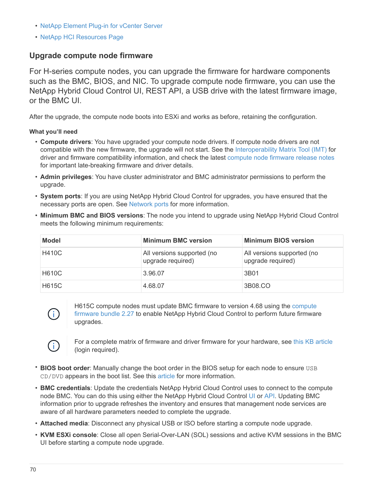- [NetApp Element Plug-in for vCenter Server](https://docs.netapp.com/us-en/vcp/index.html)
- [NetApp HCI Resources Page](https://www.netapp.com/hybrid-cloud/hci-documentation/)

## <span id="page-71-0"></span>**Upgrade compute node firmware**

For H-series compute nodes, you can upgrade the firmware for hardware components such as the BMC, BIOS, and NIC. To upgrade compute node firmware, you can use the NetApp Hybrid Cloud Control UI, REST API, a USB drive with the latest firmware image, or the BMC UI.

After the upgrade, the compute node boots into ESXi and works as before, retaining the configuration.

**What you'll need**

- **Compute drivers**: You have upgraded your compute node drivers. If compute node drivers are not compatible with the new firmware, the upgrade will not start. See the [Interoperability Matrix Tool \(IMT\)](https://mysupport.netapp.com/matrix) for driver and firmware compatibility information, and check the latest [compute node firmware release notes](https://docs.netapp.com/us-en/hci18/docs/rn_relatedrn.html) for important late-breaking firmware and driver details.
- **Admin privileges**: You have cluster administrator and BMC administrator permissions to perform the upgrade.
- **System ports**: If you are using NetApp Hybrid Cloud Control for upgrades, you have ensured that the necessary ports are open. See [Network ports](https://docs.netapp.com/us-en/hci18/docs/hci_prereqs_required_network_ports.html) for more information.
- **Minimum BMC and BIOS versions**: The node you intend to upgrade using NetApp Hybrid Cloud Control meets the following minimum requirements:

| Model        | <b>Minimum BMC version</b>                      | <b>Minimum BIOS version</b>                     |
|--------------|-------------------------------------------------|-------------------------------------------------|
| <b>H410C</b> | All versions supported (no<br>upgrade required) | All versions supported (no<br>upgrade required) |
| <b>H610C</b> | 3.96.07                                         | 3B01                                            |
| <b>H615C</b> | 4.68.07                                         | 3B08.CO                                         |



H615C compute nodes must update BMC firmware to version 4.68 using the [compute](https://docs.netapp.com/us-en/hci18/docs/rn_compute_firmware_2.27.html) [firmware bundle 2.27](https://docs.netapp.com/us-en/hci18/docs/rn_compute_firmware_2.27.html) to enable NetApp Hybrid Cloud Control to perform future firmware upgrades.



For a complete matrix of firmware and driver firmware for your hardware, see [this KB article](https://kb.netapp.com/Advice_and_Troubleshooting/Hybrid_Cloud_Infrastructure/NetApp_HCI/Firmware_and_driver_versions_in_NetApp_HCI_and_NetApp_Element_software) (login required).

- **BIOS boot order**: Manually change the boot order in the BIOS setup for each node to ensure USB CD/DVD appears in the boot list. See this [article](https://kb.netapp.com/Advice_and_Troubleshooting/Hybrid_Cloud_Infrastructure/NetApp_HCI/Known_issues_and_workarounds_for_Compute_Node_upgrades#BootOrder) for more information.
- **BMC credentials**: Update the credentials NetApp Hybrid Cloud Control uses to connect to the compute node BMC. You can do this using either the NetApp Hybrid Cloud Control [UI](https://docs.netapp.com/us-en/hci18/docs/task_hcc_edit_bmc_info.html#use-netapp-hybrid-cloud-control-to-edit-bmc-information) or [API](https://docs.netapp.com/us-en/hci18/docs/task_hcc_edit_bmc_info.html#use-the-rest-api-to-edit-bmc-information). Updating BMC information prior to upgrade refreshes the inventory and ensures that management node services are aware of all hardware parameters needed to complete the upgrade.
- **Attached media**: Disconnect any physical USB or ISO before starting a compute node upgrade.
- **KVM ESXi console**: Close all open Serial-Over-LAN (SOL) sessions and active KVM sessions in the BMC UI before starting a compute node upgrade.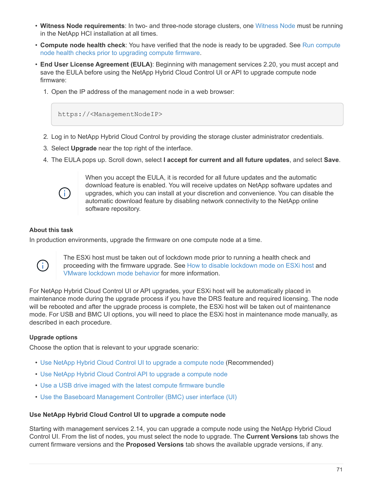- **Witness Node requirements**: In two- and three-node storage clusters, one [Witness Node](https://docs.netapp.com/us-en/hci18/docs/concept_hci_nodes.html) must be running in the NetApp HCI installation at all times.
- **Compute node health check**: You have verified that the node is ready to be upgraded. See [Run compute](#page-63-0) [node health checks prior to upgrading compute firmware](#page-63-0).
- **End User License Agreement (EULA)**: Beginning with management services 2.20, you must accept and save the EULA before using the NetApp Hybrid Cloud Control UI or API to upgrade compute node firmware:
	- 1. Open the IP address of the management node in a web browser:

https://<ManagementNodeIP>

- 2. Log in to NetApp Hybrid Cloud Control by providing the storage cluster administrator credentials.
- 3. Select **Upgrade** near the top right of the interface.
- 4. The EULA pops up. Scroll down, select **I accept for current and all future updates**, and select **Save**.



When you accept the EULA, it is recorded for all future updates and the automatic download feature is enabled. You will receive updates on NetApp software updates and upgrades, which you can install at your discretion and convenience. You can disable the automatic download feature by disabling network connectivity to the NetApp online software repository.

#### **About this task**

In production environments, upgrade the firmware on one compute node at a time.



The ESXi host must be taken out of lockdown mode prior to running a health check and proceeding with the firmware upgrade. See [How to disable lockdown mode on ESXi host](https://kb.netapp.com/Advice_and_Troubleshooting/Hybrid_Cloud_Infrastructure/NetApp_HCI/How_to_disable_lockdown_mode_on_ESXi_host) and [VMware lockdown mode behavior](https://docs.vmware.com/en/VMware-vSphere/7.0/com.vmware.vsphere.security.doc/GUID-F8F105F7-CF93-46DF-9319-F8991839D265.html) for more information.

For NetApp Hybrid Cloud Control UI or API upgrades, your ESXi host will be automatically placed in maintenance mode during the upgrade process if you have the DRS feature and required licensing. The node will be rebooted and after the upgrade process is complete, the ESXi host will be taken out of maintenance mode. For USB and BMC UI options, you will need to place the ESXi host in maintenance mode manually, as described in each procedure.

#### **Upgrade options**

Choose the option that is relevant to your upgrade scenario:

- [Use NetApp Hybrid Cloud Control UI to upgrade a compute node](#page-72-0) (Recommended)
- [Use NetApp Hybrid Cloud Control API to upgrade a compute node](#page-76-0)
- [Use a USB drive imaged with the latest compute firmware bundle](#page-82-0)
- [Use the Baseboard Management Controller \(BMC\) user interface \(UI\)](#page-83-0)

#### <span id="page-72-0"></span>**Use NetApp Hybrid Cloud Control UI to upgrade a compute node**

Starting with management services 2.14, you can upgrade a compute node using the NetApp Hybrid Cloud Control UI. From the list of nodes, you must select the node to upgrade. The **Current Versions** tab shows the current firmware versions and the **Proposed Versions** tab shows the available upgrade versions, if any.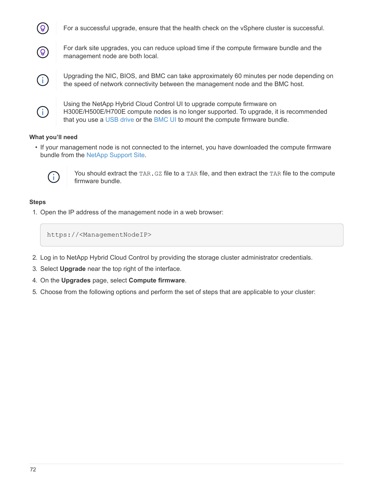

For a successful upgrade, ensure that the health check on the vSphere cluster is successful.



For dark site upgrades, you can reduce upload time if the compute firmware bundle and the management node are both local.



Upgrading the NIC, BIOS, and BMC can take approximately 60 minutes per node depending on the speed of network connectivity between the management node and the BMC host.



Using the NetApp Hybrid Cloud Control UI to upgrade compute firmware on H300E/H500E/H700E compute nodes is no longer supported. To upgrade, it is recommended that you use a [USB drive](#page-82-0) or the [BMC UI](#page-83-0) to mount the compute firmware bundle.

# **What you'll need**

• If your management node is not connected to the internet, you have downloaded the compute firmware bundle from the [NetApp Support Site.](https://mysupport.netapp.com/site/products/all/details/netapp-hci/downloads-tab/download/62542/Compute_Firmware_Bundle)



You should extract the TAR. GZ file to a TAR file, and then extract the TAR file to the compute firmware bundle.

#### **Steps**

1. Open the IP address of the management node in a web browser:

https://<ManagementNodeIP>

- 2. Log in to NetApp Hybrid Cloud Control by providing the storage cluster administrator credentials.
- 3. Select **Upgrade** near the top right of the interface.
- 4. On the **Upgrades** page, select **Compute firmware**.
- 5. Choose from the following options and perform the set of steps that are applicable to your cluster: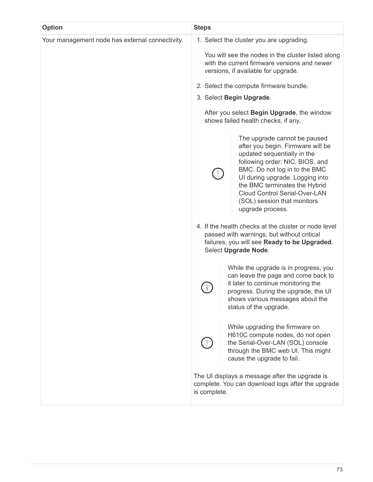| <b>Option</b>                                   | <b>Steps</b> |                                                                                                                                                                                       |                                                                                                                                                                                                                                                                                                                                     |
|-------------------------------------------------|--------------|---------------------------------------------------------------------------------------------------------------------------------------------------------------------------------------|-------------------------------------------------------------------------------------------------------------------------------------------------------------------------------------------------------------------------------------------------------------------------------------------------------------------------------------|
| Your management node has external connectivity. |              | 1. Select the cluster you are upgrading.<br>You will see the nodes in the cluster listed along<br>with the current firmware versions and newer<br>versions, if available for upgrade. |                                                                                                                                                                                                                                                                                                                                     |
|                                                 |              |                                                                                                                                                                                       | 2. Select the compute firmware bundle.                                                                                                                                                                                                                                                                                              |
|                                                 |              |                                                                                                                                                                                       | 3. Select Begin Upgrade.                                                                                                                                                                                                                                                                                                            |
|                                                 |              |                                                                                                                                                                                       | After you select Begin Upgrade, the window<br>shows failed health checks, if any.                                                                                                                                                                                                                                                   |
|                                                 |              |                                                                                                                                                                                       | The upgrade cannot be paused<br>after you begin. Firmware will be<br>updated sequentially in the<br>following order: NIC, BIOS, and<br>BMC. Do not log in to the BMC<br>UI during upgrade. Logging into<br>the BMC terminates the Hybrid<br><b>Cloud Control Serial-Over-LAN</b><br>(SOL) session that monitors<br>upgrade process. |
|                                                 |              |                                                                                                                                                                                       | 4. If the health checks at the cluster or node level<br>passed with warnings, but without critical<br>failures, you will see Ready to be Upgraded.<br>Select Upgrade Node.                                                                                                                                                          |
|                                                 |              |                                                                                                                                                                                       | While the upgrade is in progress, you<br>can leave the page and come back to<br>it later to continue monitoring the<br>progress. During the upgrade, the UI<br>shows various messages about the<br>status of the upgrade.                                                                                                           |
|                                                 |              |                                                                                                                                                                                       | While upgrading the firmware on<br>H610C compute nodes, do not open<br>the Serial-Over-LAN (SOL) console<br>through the BMC web UI. This might<br>cause the upgrade to fail.                                                                                                                                                        |
|                                                 | is complete. |                                                                                                                                                                                       | The UI displays a message after the upgrade is<br>complete. You can download logs after the upgrade                                                                                                                                                                                                                                 |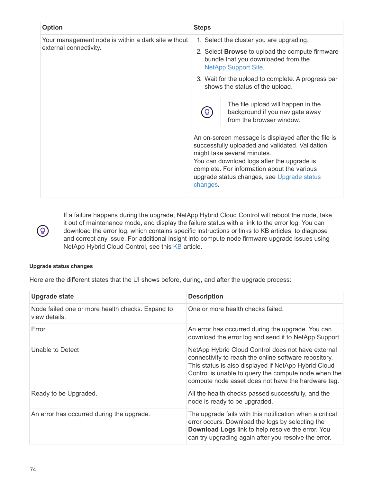| <b>Option</b>                                      | <b>Steps</b>                                                                                                                                                                                                                                                                                 |  |  |  |
|----------------------------------------------------|----------------------------------------------------------------------------------------------------------------------------------------------------------------------------------------------------------------------------------------------------------------------------------------------|--|--|--|
| Your management node is within a dark site without | 1. Select the cluster you are upgrading.                                                                                                                                                                                                                                                     |  |  |  |
| external connectivity.                             | 2. Select <b>Browse</b> to upload the compute firmware<br>bundle that you downloaded from the<br><b>NetApp Support Site.</b>                                                                                                                                                                 |  |  |  |
|                                                    | 3. Wait for the upload to complete. A progress bar<br>shows the status of the upload.                                                                                                                                                                                                        |  |  |  |
|                                                    | The file upload will happen in the<br>background if you navigate away<br>from the browser window.                                                                                                                                                                                            |  |  |  |
|                                                    | An on-screen message is displayed after the file is<br>successfully uploaded and validated. Validation<br>might take several minutes.<br>You can download logs after the upgrade is<br>complete. For information about the various<br>upgrade status changes, see Upgrade status<br>changes. |  |  |  |

If a failure happens during the upgrade, NetApp Hybrid Cloud Control will reboot the node, take it out of maintenance mode, and display the failure status with a link to the error log. You can download the error log, which contains specific instructions or links to KB articles, to diagnose and correct any issue. For additional insight into compute node firmware upgrade issues using NetApp Hybrid Cloud Control, see this [KB](https://kb.netapp.com/Advice_and_Troubleshooting/Hybrid_Cloud_Infrastructure/NetApp_HCI/Known_issues_and_workarounds_for_Compute_Node_upgrades) article.

#### **Upgrade status changes**

Here are the different states that the UI shows before, during, and after the upgrade process:

| Upgrade state                                                     | <b>Description</b>                                                                                                                                                                                                                                                                |
|-------------------------------------------------------------------|-----------------------------------------------------------------------------------------------------------------------------------------------------------------------------------------------------------------------------------------------------------------------------------|
| Node failed one or more health checks. Expand to<br>view details. | One or more health checks failed.                                                                                                                                                                                                                                                 |
| Error                                                             | An error has occurred during the upgrade. You can<br>download the error log and send it to NetApp Support.                                                                                                                                                                        |
| Unable to Detect                                                  | NetApp Hybrid Cloud Control does not have external<br>connectivity to reach the online software repository.<br>This status is also displayed if NetApp Hybrid Cloud<br>Control is unable to query the compute node when the<br>compute node asset does not have the hardware tag. |
| Ready to be Upgraded.                                             | All the health checks passed successfully, and the<br>node is ready to be upgraded.                                                                                                                                                                                               |
| An error has occurred during the upgrade.                         | The upgrade fails with this notification when a critical<br>error occurs. Download the logs by selecting the<br>Download Logs link to help resolve the error. You<br>can try upgrading again after you resolve the error.                                                         |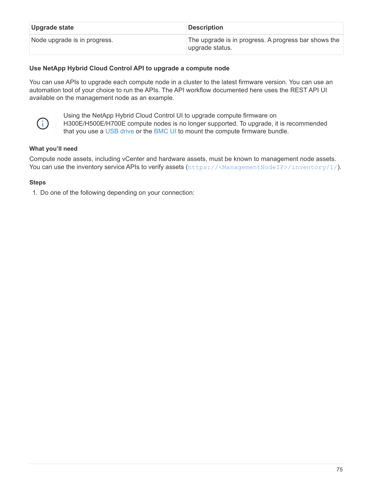| Upgrade state                | <b>Description</b>                                                       |
|------------------------------|--------------------------------------------------------------------------|
| Node upgrade is in progress. | The upgrade is in progress. A progress bar shows the<br>∣upgrade status. |

# <span id="page-76-0"></span>**Use NetApp Hybrid Cloud Control API to upgrade a compute node**

You can use APIs to upgrade each compute node in a cluster to the latest firmware version. You can use an automation tool of your choice to run the APIs. The API workflow documented here uses the REST API UI available on the management node as an example.



Using the NetApp Hybrid Cloud Control UI to upgrade compute firmware on H300E/H500E/H700E compute nodes is no longer supported. To upgrade, it is recommended that you use a [USB drive](#page-82-0) or the [BMC UI](#page-83-0) to mount the compute firmware bundle.

# **What you'll need**

Compute node assets, including vCenter and hardware assets, must be known to management node assets. You can use the inventory service APIs to verify assets (<https://<ManagementNodeIP>/inventory/1/>).

#### **Steps**

1. Do one of the following depending on your connection: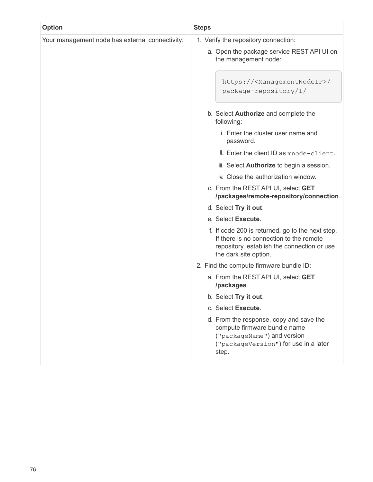| <b>Option</b>                                   | <b>Steps</b>                                                                                                                                                        |  |  |  |
|-------------------------------------------------|---------------------------------------------------------------------------------------------------------------------------------------------------------------------|--|--|--|
| Your management node has external connectivity. | 1. Verify the repository connection:                                                                                                                                |  |  |  |
|                                                 | a. Open the package service REST API UI on<br>the management node:                                                                                                  |  |  |  |
|                                                 | https:// <managementnodeip>/<br/>package-repository/1/</managementnodeip>                                                                                           |  |  |  |
|                                                 | b. Select <b>Authorize</b> and complete the<br>following:                                                                                                           |  |  |  |
|                                                 | i. Enter the cluster user name and<br>password.                                                                                                                     |  |  |  |
|                                                 | ii. Enter the client ID as mnode-client.                                                                                                                            |  |  |  |
|                                                 | iii. Select <b>Authorize</b> to begin a session.                                                                                                                    |  |  |  |
|                                                 | iv. Close the authorization window.                                                                                                                                 |  |  |  |
|                                                 | c. From the REST API UI, select GET<br>/packages/remote-repository/connection.                                                                                      |  |  |  |
|                                                 | d. Select Try it out.                                                                                                                                               |  |  |  |
|                                                 | e. Select Execute.                                                                                                                                                  |  |  |  |
|                                                 | f. If code 200 is returned, go to the next step.<br>If there is no connection to the remote<br>repository, establish the connection or use<br>the dark site option. |  |  |  |
|                                                 | 2. Find the compute firmware bundle ID:                                                                                                                             |  |  |  |
|                                                 | a. From the REST API UI, select GET<br>/packages.                                                                                                                   |  |  |  |
|                                                 | b. Select Try it out.                                                                                                                                               |  |  |  |
|                                                 | c. Select Execute.                                                                                                                                                  |  |  |  |
|                                                 | d. From the response, copy and save the<br>compute firmware bundle name<br>("packageName") and version<br>("packageVersion") for use in a later<br>step.            |  |  |  |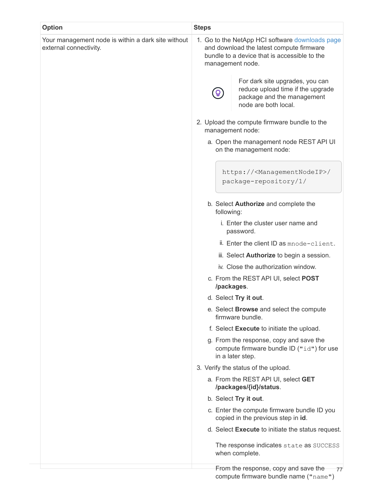| <b>Option</b>                                                                | <b>Steps</b>                                                                                                                                                    |  |  |  |  |
|------------------------------------------------------------------------------|-----------------------------------------------------------------------------------------------------------------------------------------------------------------|--|--|--|--|
| Your management node is within a dark site without<br>external connectivity. | 1. Go to the NetApp HCI software downloads page<br>and download the latest compute firmware<br>bundle to a device that is accessible to the<br>management node. |  |  |  |  |
|                                                                              | For dark site upgrades, you can<br>reduce upload time if the upgrade<br>package and the management<br>node are both local.                                      |  |  |  |  |
|                                                                              | 2. Upload the compute firmware bundle to the<br>management node:                                                                                                |  |  |  |  |
|                                                                              | a. Open the management node REST API UI<br>on the management node:                                                                                              |  |  |  |  |
|                                                                              | https:// <managementnodeip>/<br/>package-repository/1/</managementnodeip>                                                                                       |  |  |  |  |
|                                                                              | b. Select Authorize and complete the<br>following:                                                                                                              |  |  |  |  |
|                                                                              | i. Enter the cluster user name and<br>password.                                                                                                                 |  |  |  |  |
|                                                                              | ii. Enter the client ID as mnode-client.                                                                                                                        |  |  |  |  |
|                                                                              | iii. Select <b>Authorize</b> to begin a session.                                                                                                                |  |  |  |  |
|                                                                              | iv. Close the authorization window.                                                                                                                             |  |  |  |  |
|                                                                              | c. From the REST API UI, select POST<br>/packages.                                                                                                              |  |  |  |  |
|                                                                              | d. Select Try it out.                                                                                                                                           |  |  |  |  |
|                                                                              | e. Select <b>Browse</b> and select the compute<br>firmware bundle.                                                                                              |  |  |  |  |
|                                                                              | f. Select Execute to initiate the upload.                                                                                                                       |  |  |  |  |
|                                                                              | g. From the response, copy and save the<br>compute firmware bundle ID ("id") for use<br>in a later step.                                                        |  |  |  |  |
|                                                                              | 3. Verify the status of the upload.                                                                                                                             |  |  |  |  |
|                                                                              | a. From the REST API UI, select GET<br>/packages/{id}/status.                                                                                                   |  |  |  |  |
|                                                                              | b. Select Try it out.                                                                                                                                           |  |  |  |  |
|                                                                              | c. Enter the compute firmware bundle ID you<br>copied in the previous step in id.                                                                               |  |  |  |  |
|                                                                              | d. Select Execute to initiate the status request.                                                                                                               |  |  |  |  |
|                                                                              | The response indicates state as SUCCESS<br>when complete.                                                                                                       |  |  |  |  |
|                                                                              | From the response, copy and save the<br>77                                                                                                                      |  |  |  |  |

compute firmware bundle name ("name")

77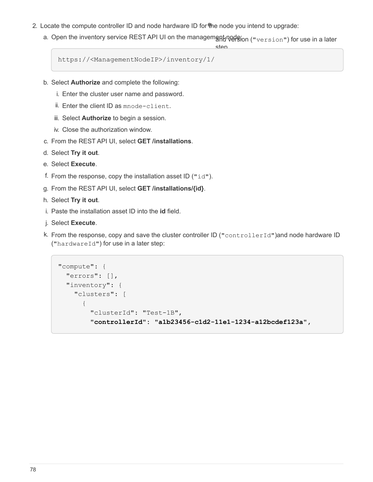- 2. Locate the compute controller ID and node hardware ID for the node you intend to upgrade:
	- a. Open the inventory service REST API UI on the managem<del>s</del><code>p</code>t<code>no</code>erfion (" $\mathtt{version}$ ") for use in a later

step.

```
https://<ManagementNodeIP>/inventory/1/
```
- b. Select **Authorize** and complete the following:
	- i. Enter the cluster user name and password.
	- ii. Enter the client ID as mnode-client.
	- iii. Select **Authorize** to begin a session.
	- iv. Close the authorization window.
- c. From the REST API UI, select **GET /installations**.
- d. Select **Try it out**.
- e. Select **Execute**.
- f. From the response, copy the installation asset ID ( $"id"$ ).
- g. From the REST API UI, select **GET /installations/{id}**.
- h. Select **Try it out**.
- i. Paste the installation asset ID into the **id** field.
- j. Select **Execute**.
- k. From the response, copy and save the cluster controller ID ("controllerId")and node hardware ID ("hardwareId") for use in a later step:

```
"compute": {
   "errors": [],
    "inventory": {
      "clusters": [
        {
          "clusterId": "Test-1B",
           "controllerId": "a1b23456-c1d2-11e1-1234-a12bcdef123a",
```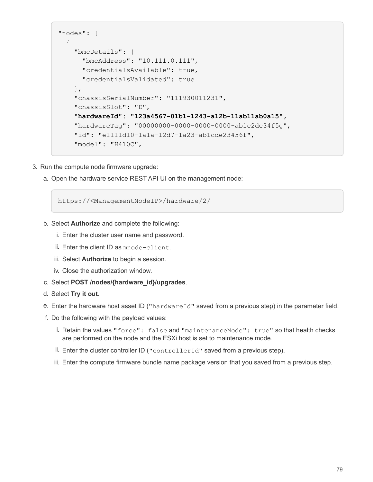```
"nodes": [
    {
      "bmcDetails": {
        "bmcAddress": "10.111.0.111",
        "credentialsAvailable": true,
        "credentialsValidated": true
      },
      "chassisSerialNumber": "111930011231",
      "chassisSlot": "D",
      "hardwareId": "123a4567-01b1-1243-a12b-11ab11ab0a15",
      "hardwareTag": "00000000-0000-0000-0000-ab1c2de34f5g",
      "id": "e1111d10-1a1a-12d7-1a23-ab1cde23456f",
      "model": "H410C",
```
- 3. Run the compute node firmware upgrade:
	- a. Open the hardware service REST API UI on the management node:

https://<ManagementNodeIP>/hardware/2/

- b. Select **Authorize** and complete the following:
	- i. Enter the cluster user name and password.
	- ii. Enter the client ID as mnode-client.
	- iii. Select **Authorize** to begin a session.
	- iv. Close the authorization window.
- c. Select **POST /nodes/{hardware\_id}/upgrades**.
- d. Select **Try it out**.
- e. Enter the hardware host asset ID ("hardwareId" saved from a previous step) in the parameter field.
- f. Do the following with the payload values:
	- i. Retain the values "force": false and "maintenanceMode": true" so that health checks are performed on the node and the ESXi host is set to maintenance mode.
	- ii. Enter the cluster controller ID ("controllerId" saved from a previous step).
	- iii. Enter the compute firmware bundle name package version that you saved from a previous step.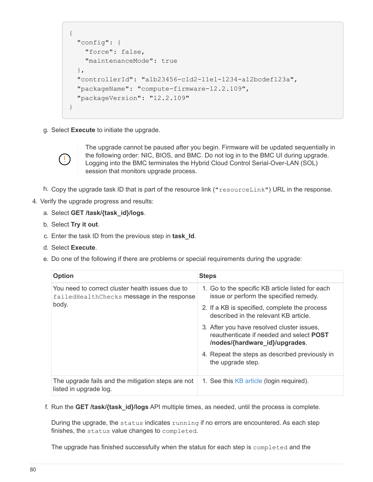```
{
    "config": {
      "force": false,
      "maintenanceMode": true
    },
    "controllerId": "a1b23456-c1d2-11e1-1234-a12bcdef123a",
    "packageName": "compute-firmware-12.2.109",
    "packageVersion": "12.2.109"
}
```
g. Select **Execute** to initiate the upgrade.



The upgrade cannot be paused after you begin. Firmware will be updated sequentially in the following order: NIC, BIOS, and BMC. Do not log in to the BMC UI during upgrade. Logging into the BMC terminates the Hybrid Cloud Control Serial-Over-LAN (SOL) session that monitors upgrade process.

- h. Copy the upgrade task ID that is part of the resource link ("resourceLink") URL in the response.
- 4. Verify the upgrade progress and results:
	- a. Select **GET /task/{task\_id}/logs**.
	- b. Select **Try it out**.
	- c. Enter the task ID from the previous step in **task\_Id**.
	- d. Select **Execute**.
	- e. Do one of the following if there are problems or special requirements during the upgrade:

| <b>Option</b>                                                                                             | <b>Steps</b>                                                                                                                    |
|-----------------------------------------------------------------------------------------------------------|---------------------------------------------------------------------------------------------------------------------------------|
| You need to correct cluster health issues due to<br>failed Health Checks message in the response<br>body. | 1. Go to the specific KB article listed for each<br>issue or perform the specified remedy.                                      |
|                                                                                                           | 2. If a KB is specified, complete the process<br>described in the relevant KB article                                           |
|                                                                                                           | 3. After you have resolved cluster issues,<br>reauthenticate if needed and select <b>POST</b><br>/nodes/{hardware_id}/upgrades. |
|                                                                                                           | 4. Repeat the steps as described previously in<br>the upgrade step.                                                             |
| The upgrade fails and the mitigation steps are not<br>listed in upgrade log.                              | 1. See this KB article (login required).                                                                                        |

f. Run the **GET /task/{task\_id}/logs** API multiple times, as needed, until the process is complete.

During the upgrade, the status indicates running if no errors are encountered. As each step finishes, the status value changes to completed.

The upgrade has finished successfully when the status for each step is completed and the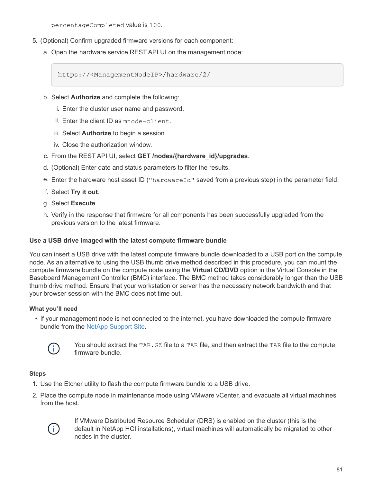percentageCompleted value is 100.

- 5. (Optional) Confirm upgraded firmware versions for each component:
	- a. Open the hardware service REST API UI on the management node:

https://<ManagementNodeIP>/hardware/2/

- b. Select **Authorize** and complete the following:
	- i. Enter the cluster user name and password.
	- ii. Enter the client ID as mnode-client.
	- iii. Select **Authorize** to begin a session.
	- iv. Close the authorization window.
- c. From the REST API UI, select **GET /nodes/{hardware\_id}/upgrades**.
- d. (Optional) Enter date and status parameters to filter the results.
- e. Enter the hardware host asset ID ("hardwareId" saved from a previous step) in the parameter field.
- f. Select **Try it out**.
- g. Select **Execute**.
- h. Verify in the response that firmware for all components has been successfully upgraded from the previous version to the latest firmware.

#### <span id="page-82-0"></span>**Use a USB drive imaged with the latest compute firmware bundle**

You can insert a USB drive with the latest compute firmware bundle downloaded to a USB port on the compute node. As an alternative to using the USB thumb drive method described in this procedure, you can mount the compute firmware bundle on the compute node using the **Virtual CD/DVD** option in the Virtual Console in the Baseboard Management Controller (BMC) interface. The BMC method takes considerably longer than the USB thumb drive method. Ensure that your workstation or server has the necessary network bandwidth and that your browser session with the BMC does not time out.

#### **What you'll need**

• If your management node is not connected to the internet, you have downloaded the compute firmware bundle from the [NetApp Support Site.](https://mysupport.netapp.com/site/products/all/details/netapp-hci/downloads-tab/download/62542/Compute_Firmware_Bundle)



You should extract the TAR. GZ file to a TAR file, and then extract the TAR file to the compute firmware bundle.

#### **Steps**

- 1. Use the Etcher utility to flash the compute firmware bundle to a USB drive.
- 2. Place the compute node in maintenance mode using VMware vCenter, and evacuate all virtual machines from the host.



If VMware Distributed Resource Scheduler (DRS) is enabled on the cluster (this is the default in NetApp HCI installations), virtual machines will automatically be migrated to other nodes in the cluster.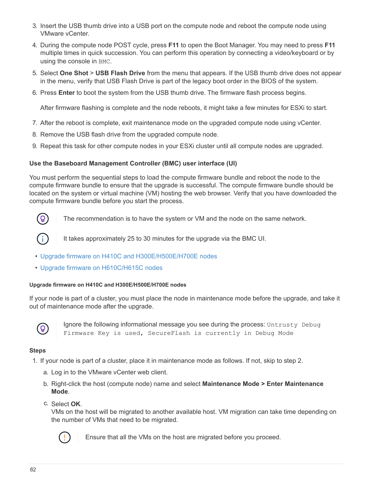- 3. Insert the USB thumb drive into a USB port on the compute node and reboot the compute node using VMware vCenter.
- 4. During the compute node POST cycle, press **F11** to open the Boot Manager. You may need to press **F11** multiple times in quick succession. You can perform this operation by connecting a video/keyboard or by using the console in BMC.
- 5. Select **One Shot** > **USB Flash Drive** from the menu that appears. If the USB thumb drive does not appear in the menu, verify that USB Flash Drive is part of the legacy boot order in the BIOS of the system.
- 6. Press **Enter** to boot the system from the USB thumb drive. The firmware flash process begins.

After firmware flashing is complete and the node reboots, it might take a few minutes for ESXi to start.

- 7. After the reboot is complete, exit maintenance mode on the upgraded compute node using vCenter.
- 8. Remove the USB flash drive from the upgraded compute node.
- 9. Repeat this task for other compute nodes in your ESXi cluster until all compute nodes are upgraded.

#### <span id="page-83-0"></span>**Use the Baseboard Management Controller (BMC) user interface (UI)**

You must perform the sequential steps to load the compute firmware bundle and reboot the node to the compute firmware bundle to ensure that the upgrade is successful. The compute firmware bundle should be located on the system or virtual machine (VM) hosting the web browser. Verify that you have downloaded the compute firmware bundle before you start the process.



The recommendation is to have the system or VM and the node on the same network.



It takes approximately 25 to 30 minutes for the upgrade via the BMC UI.

- [Upgrade firmware on H410C and H300E/H500E/H700E nodes](#page-83-1)
- [Upgrade firmware on H610C/H615C nodes](#page-85-0)

#### <span id="page-83-1"></span>**Upgrade firmware on H410C and H300E/H500E/H700E nodes**

If your node is part of a cluster, you must place the node in maintenance mode before the upgrade, and take it out of maintenance mode after the upgrade.



Ignore the following informational message you see during the process: Untrusty Debug Firmware Key is used, SecureFlash is currently in Debug Mode

#### **Steps**

- 1. If your node is part of a cluster, place it in maintenance mode as follows. If not, skip to step 2.
	- a. Log in to the VMware vCenter web client.
	- b. Right-click the host (compute node) name and select **Maintenance Mode > Enter Maintenance Mode**.
	- c. Select **OK**.

VMs on the host will be migrated to another available host. VM migration can take time depending on the number of VMs that need to be migrated.



Ensure that all the VMs on the host are migrated before you proceed.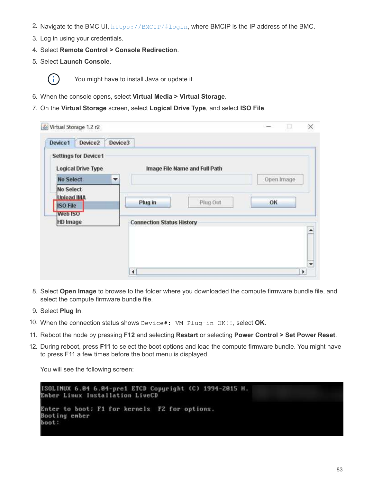- 2. Navigate to the BMC UI, <https://BMCIP/#login>, where BMCIP is the IP address of the BMC.
- 3. Log in using your credentials.
- 4. Select **Remote Control > Console Redirection**.
- 5. Select **Launch Console**.



You might have to install Java or update it.

- 6. When the console opens, select **Virtual Media > Virtual Storage**.
- 7. On the **Virtual Storage** screen, select **Logical Drive Type**, and select **ISO File**.

| Virtual Storage 1.2 r2<br>Device2<br>Device3<br>Device1             |                                  |                      |
|---------------------------------------------------------------------|----------------------------------|----------------------|
| <b>Settings for Device1</b><br><b>Logical Drive Type</b>            | Image File Name and Full Path    |                      |
| <b>No Select</b><br>۳                                               |                                  | Open Image           |
| <b>No Select</b><br><b>Upload IMA</b><br><b>ISO File</b><br>Web ISO | Plug Out<br>Plug in              | OK                   |
| HD Image                                                            | <b>Connection Status History</b> |                      |
|                                                                     |                                  |                      |
|                                                                     |                                  |                      |
|                                                                     |                                  | $\ddot{\phantom{0}}$ |
|                                                                     | $\blacktriangleleft$             | Þ                    |

- 8. Select **Open Image** to browse to the folder where you downloaded the compute firmware bundle file, and select the compute firmware bundle file.
- 9. Select **Plug In**.
- 10. When the connection status shows Device#: VM Plug-in OK!!, select **OK**.
- 11. Reboot the node by pressing **F12** and selecting **Restart** or selecting **Power Control > Set Power Reset**.
- 12. During reboot, press **F11** to select the boot options and load the compute firmware bundle. You might have to press F11 a few times before the boot menu is displayed.

You will see the following screen:

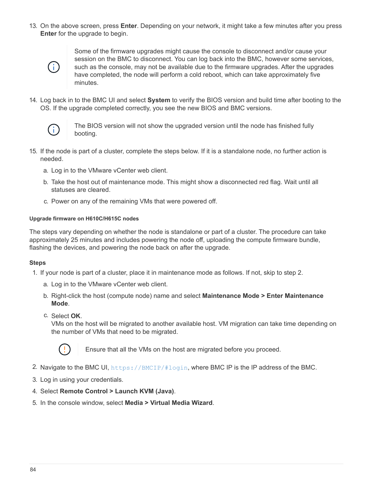13. On the above screen, press **Enter**. Depending on your network, it might take a few minutes after you press **Enter** for the upgrade to begin.



Some of the firmware upgrades might cause the console to disconnect and/or cause your session on the BMC to disconnect. You can log back into the BMC, however some services, such as the console, may not be available due to the firmware upgrades. After the upgrades have completed, the node will perform a cold reboot, which can take approximately five minutes.

14. Log back in to the BMC UI and select **System** to verify the BIOS version and build time after booting to the OS. If the upgrade completed correctly, you see the new BIOS and BMC versions.



The BIOS version will not show the upgraded version until the node has finished fully booting.

- 15. If the node is part of a cluster, complete the steps below. If it is a standalone node, no further action is needed.
	- a. Log in to the VMware vCenter web client.
	- b. Take the host out of maintenance mode. This might show a disconnected red flag. Wait until all statuses are cleared.
	- c. Power on any of the remaining VMs that were powered off.

#### <span id="page-85-0"></span>**Upgrade firmware on H610C/H615C nodes**

The steps vary depending on whether the node is standalone or part of a cluster. The procedure can take approximately 25 minutes and includes powering the node off, uploading the compute firmware bundle, flashing the devices, and powering the node back on after the upgrade.

#### **Steps**

- 1. If your node is part of a cluster, place it in maintenance mode as follows. If not, skip to step 2.
	- a. Log in to the VMware vCenter web client.
	- b. Right-click the host (compute node) name and select **Maintenance Mode > Enter Maintenance Mode**.
	- c. Select **OK**.

VMs on the host will be migrated to another available host. VM migration can take time depending on the number of VMs that need to be migrated.



Ensure that all the VMs on the host are migrated before you proceed.

- 2. Navigate to the BMC UI,  $https://BMCIP/#login, where BMC IP is the IP address of the BMC.$  $https://BMCIP/#login, where BMC IP is the IP address of the BMC.$
- 3. Log in using your credentials.
- 4. Select **Remote Control > Launch KVM (Java)**.
- 5. In the console window, select **Media > Virtual Media Wizard**.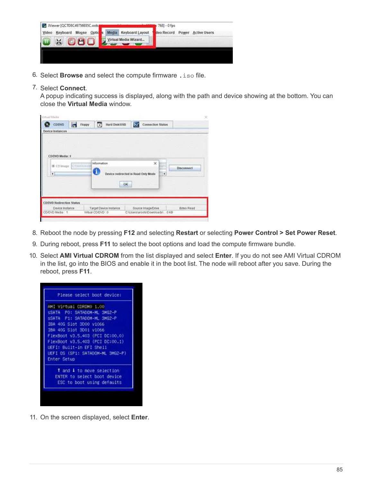|       | Wiewer [QCTD8C49756E85C.oob.] |             |    |                       | $768 - 0$ fps |       |              |
|-------|-------------------------------|-------------|----|-----------------------|---------------|-------|--------------|
| Video | Keyboard                      | Mouse Optic | ш. | Media Keyboard Layout | deo Record    | Power | Active Users |
|       | M.                            | 080         |    | Virtual Media Wizard  |               |       | man          |
|       |                               |             |    |                       |               |       |              |
|       |                               |             |    |                       |               |       |              |

- 6. Select **Browse** and select the compute firmware .iso file.
- 7. Select **Connect**.

A popup indicating success is displayed, along with the path and device showing at the bottom. You can close the **Virtual Media** window.

| Vimial Madia                       |        |                                     |    |                                  |                   |
|------------------------------------|--------|-------------------------------------|----|----------------------------------|-------------------|
| COIDVD.                            | Floppy | r.<br>Hard Disk/USB                 |    | Connection Status                |                   |
| Device Instances                   |        |                                     |    |                                  |                   |
|                                    |        |                                     |    |                                  |                   |
|                                    |        |                                     |    |                                  |                   |
|                                    |        |                                     |    |                                  |                   |
| CD/DVD Media: I                    |        |                                     |    |                                  |                   |
|                                    |        | information                         |    | $\boldsymbol{\times}$            |                   |
| <b>W CD Image</b>                  |        |                                     |    |                                  | <b>Disconnect</b> |
| ٠                                  |        | Device redirected in Read Only Mode |    | ٠                                |                   |
|                                    |        |                                     |    |                                  |                   |
|                                    |        |                                     | ЮK |                                  |                   |
|                                    |        |                                     |    |                                  |                   |
|                                    |        |                                     |    |                                  |                   |
| <b>CDDVD Redirection Status</b>    |        |                                     |    |                                  |                   |
| Device Instance<br>CD/DVD Media: 1 |        | Target Device Instance              |    | Bource Image/Drive               | Bines Read        |
|                                    |        | Write CO/DVD: 0                     |    | C'IUsent/atoots/Downloads/  0 KB |                   |

- 8. Reboot the node by pressing **F12** and selecting **Restart** or selecting **Power Control > Set Power Reset**.
- 9. During reboot, press **F11** to select the boot options and load the compute firmware bundle.
- 10. Select **AMI Virtual CDROM** from the list displayed and select **Enter**. If you do not see AMI Virtual CDROM in the list, go into the BIOS and enable it in the boot list. The node will reboot after you save. During the reboot, press **F11**.



11. On the screen displayed, select **Enter**.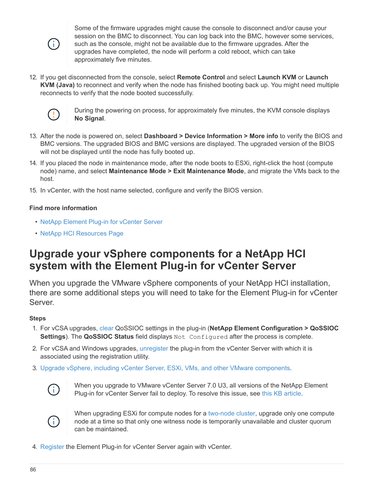

Some of the firmware upgrades might cause the console to disconnect and/or cause your session on the BMC to disconnect. You can log back into the BMC, however some services, such as the console, might not be available due to the firmware upgrades. After the upgrades have completed, the node will perform a cold reboot, which can take approximately five minutes.

12. If you get disconnected from the console, select **Remote Control** and select **Launch KVM** or **Launch KVM (Java)** to reconnect and verify when the node has finished booting back up. You might need multiple reconnects to verify that the node booted successfully.



During the powering on process, for approximately five minutes, the KVM console displays **No Signal**.

- 13. After the node is powered on, select **Dashboard > Device Information > More info** to verify the BIOS and BMC versions. The upgraded BIOS and BMC versions are displayed. The upgraded version of the BIOS will not be displayed until the node has fully booted up.
- 14. If you placed the node in maintenance mode, after the node boots to ESXi, right-click the host (compute node) name, and select **Maintenance Mode > Exit Maintenance Mode**, and migrate the VMs back to the host.
- 15. In vCenter, with the host name selected, configure and verify the BIOS version.

# **Find more information**

- [NetApp Element Plug-in for vCenter Server](https://docs.netapp.com/us-en/vcp/index.html)
- [NetApp HCI Resources Page](https://www.netapp.com/hybrid-cloud/hci-documentation/)

# **Upgrade your vSphere components for a NetApp HCI system with the Element Plug-in for vCenter Server**

When you upgrade the VMware vSphere components of your NetApp HCI installation, there are some additional steps you will need to take for the Element Plug-in for vCenter Server.

# **Steps**

- 1. For vCSA upgrades, [clear](https://docs.netapp.com/us-en/vcp/vcp_task_qossioc.html#clear-qossioc-settings) QoSSIOC settings in the plug-in (**NetApp Element Configuration > QoSSIOC Settings**). The **QoSSIOC Status** field displays Not Configured after the process is complete.
- 2. For vCSA and Windows upgrades, [unregister](https://docs.netapp.com/us-en/vcp/task_vcp_unregister.html) the plug-in from the vCenter Server with which it is associated using the registration utility.
- 3. [Upgrade vSphere, including vCenter Server, ESXi, VMs, and other VMware components](https://docs.vmware.com/en/VMware-vSphere/6.7/com.vmware.vcenter.upgrade.doc/GUID-7AFB6672-0B0B-4902-B254-EE6AE81993B2.html).



When you upgrade to VMware vCenter Server 7.0 U3, all versions of the NetApp Element Plug-in for vCenter Server fail to deploy. To resolve this issue, see [this KB article](https://kb.netapp.com/Advice_and_Troubleshooting/Hybrid_Cloud_Infrastructure/NetApp_HCI/vCenter_plug-in_deployment_fails_after_upgrading_vCenter_to_version_7.0_U3).



When upgrading ESXi for compute nodes for a [two-node cluster](https://www.netapp.com/us/media/tr-4823.pdf), upgrade only one compute node at a time so that only one witness node is temporarily unavailable and cluster quorum can be maintained.

4. [Register](https://docs.netapp.com/us-en/vcp/vcp_task_getstarted.html#register-the-plug-in-with-vcenter) the Element Plug-in for vCenter Server again with vCenter.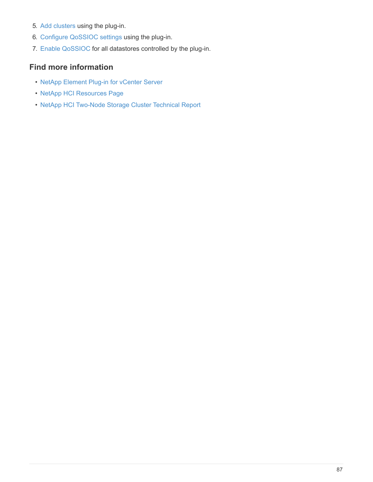- 5. [Add clusters](https://docs.netapp.com/us-en/vcp/vcp_task_getstarted.html#add-storage-clusters-for-use-with-the-plug-in) using the plug-in.
- 6. [Configure QoSSIOC settings](https://docs.netapp.com/us-en/vcp/vcp_task_getstarted.html#configure-qossioc-settings-using-the-plug-in) using the plug-in.
- 7. [Enable QoSSIOC](https://docs.netapp.com/us-en/vcp/vcp_task_qossioc.html#enabling-qossioc-automation-on-datastores) for all datastores controlled by the plug-in.

# **Find more information**

- [NetApp Element Plug-in for vCenter Server](https://docs.netapp.com/us-en/vcp/index.html)
- [NetApp HCI Resources Page](https://www.netapp.com/hybrid-cloud/hci-documentation/)
- [NetApp HCI Two-Node Storage Cluster Technical Report](https://www.netapp.com/us/media/tr-4823.pdf)